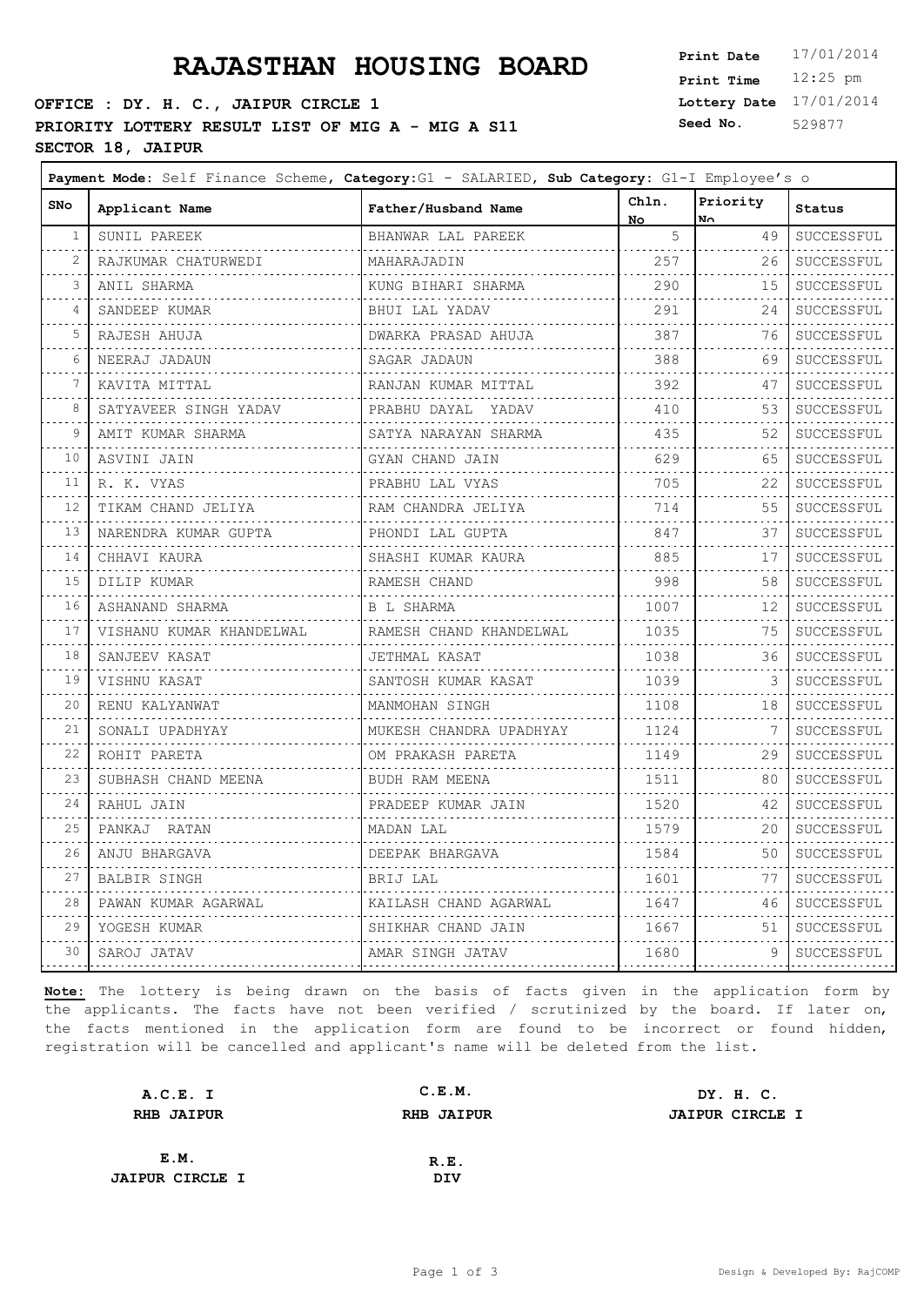# **PRAJASTHAN HOUSING BOARD**

### **OFFICE : DY. H. C., JAIPUR CIRCLE 1 PRIORITY LOTTERY RESULT LIST OF MIG A - MIG A S11** S **SECTOR 18, JAIPUR**

| 17/01/2014 |
|------------|
| $12:25$ pm |
| 17/01/2014 |
| 529877     |
|            |

| SNo                        | Applicant Name             | Father/Husband Name          | Chln.<br>No.                                                                                                                                                                                                                                                                                                                                                                                                                                                                                   | Priority<br>No. | Status                 |
|----------------------------|----------------------------|------------------------------|------------------------------------------------------------------------------------------------------------------------------------------------------------------------------------------------------------------------------------------------------------------------------------------------------------------------------------------------------------------------------------------------------------------------------------------------------------------------------------------------|-----------------|------------------------|
| 1                          | SUNIL PAREEK               | BHANWAR LAL PAREEK           | 5                                                                                                                                                                                                                                                                                                                                                                                                                                                                                              | 49              | SUCCESSFUL             |
| 2                          | RAJKUMAR CHATURWEDI        | MAHARAJADIN                  | 257                                                                                                                                                                                                                                                                                                                                                                                                                                                                                            | 26              | SUCCESSFUL             |
| 3                          | ANIL SHARMA                | KUNG BIHARI SHARMA           | .<br>290                                                                                                                                                                                                                                                                                                                                                                                                                                                                                       | 15              | .<br>SUCCESSFUL        |
| 4                          | .<br>SANDEEP KUMAR         | BHUI LAL YADAV               | .<br>291                                                                                                                                                                                                                                                                                                                                                                                                                                                                                       | 24              | .<br>SUCCESSFUL        |
| 5                          | .<br>RAJESH AHUJA          | DWARKA PRASAD AHUJA          | <u>.</u><br>387                                                                                                                                                                                                                                                                                                                                                                                                                                                                                | 76              | .<br>SUCCESSFUL        |
| 6                          | .<br>NEERAJ JADAUN         | SAGAR JADAUN                 | 388                                                                                                                                                                                                                                                                                                                                                                                                                                                                                            | 69              | .<br>SUCCESSFUL        |
| 7                          | .<br>KAVITA MITTAL         | RANJAN KUMAR MITTAL          | .<br>392                                                                                                                                                                                                                                                                                                                                                                                                                                                                                       | 47              | .<br>$\tt SUCCESSFUL$  |
| 8                          | .<br>SATYAVEER SINGH YADAV | PRABHU DAYAL YADAV           | .<br>410                                                                                                                                                                                                                                                                                                                                                                                                                                                                                       | 53              | .<br>SUCCESSFUL        |
| 9                          | AMIT KUMAR SHARMA          | SATYA NARAYAN SHARMA         | .<br>435                                                                                                                                                                                                                                                                                                                                                                                                                                                                                       | 52              | .<br>SUCCESSFUL        |
| 10                         | ASVINI JAIN                | GYAN CHAND JAIN              | .<br>629                                                                                                                                                                                                                                                                                                                                                                                                                                                                                       | 65              | .<br>SUCCESSFUL        |
| 11                         | R. K. VYAS                 | PRABHU LAL VYAS              | 705                                                                                                                                                                                                                                                                                                                                                                                                                                                                                            | 22              | SUCCESSFUL             |
| المتعامل<br>12             | .<br>TIKAM CHAND JELIYA    | RAM CHANDRA JELIYA           | .<br>714                                                                                                                                                                                                                                                                                                                                                                                                                                                                                       | 55              | <u>.</u><br>SUCCESSFUL |
| 13                         | NARENDRA KUMAR GUPTA       | PHONDI LAL GUPTA             | .<br>847                                                                                                                                                                                                                                                                                                                                                                                                                                                                                       | 37              | .<br>SUCCESSFUL        |
| 14                         | CHHAVI KAURA               | SHASHI KUMAR KAURA           | .<br>885                                                                                                                                                                                                                                                                                                                                                                                                                                                                                       | 17              | SUCCESSFUL             |
| 15                         | DILIP KUMAR                | RAMESH CHAND                 | .<br>998                                                                                                                                                                                                                                                                                                                                                                                                                                                                                       | 58              | SUCCESSFUL             |
| 16                         | .<br>ASHANAND SHARMA       | .<br>B L SHARMA              | .<br>1007                                                                                                                                                                                                                                                                                                                                                                                                                                                                                      | 12              | .<br>SUCCESSFUL        |
| والمرابين<br>17            | VISHANU KUMAR KHANDELWAL   | RAMESH CHAND KHANDELWAL      | $\begin{array}{cccccccccccccc} \multicolumn{2}{c}{} & \multicolumn{2}{c}{} & \multicolumn{2}{c}{} & \multicolumn{2}{c}{} & \multicolumn{2}{c}{} & \multicolumn{2}{c}{} & \multicolumn{2}{c}{} & \multicolumn{2}{c}{} & \multicolumn{2}{c}{} & \multicolumn{2}{c}{} & \multicolumn{2}{c}{} & \multicolumn{2}{c}{} & \multicolumn{2}{c}{} & \multicolumn{2}{c}{} & \multicolumn{2}{c}{} & \multicolumn{2}{c}{} & \multicolumn{2}{c}{} & \multicolumn{2}{c}{} & \multicolumn{2}{c}{} & \$<br>1035 | 75              | <b>.</b><br>SUCCESSFUL |
| 18                         | SANJEEV KASAT              | JETHMAL KASAT                | .<br>1038                                                                                                                                                                                                                                                                                                                                                                                                                                                                                      | 36              | .<br>SUCCESSFUL        |
| 19                         | VISHNU KASAT               | SANTOSH KUMAR KASAT          | .<br>1039                                                                                                                                                                                                                                                                                                                                                                                                                                                                                      | 3               | SUCCESSFUL             |
| بالأباء<br>20              | RENU KALYANWAT             | MANMOHAN SINGH               | 1108                                                                                                                                                                                                                                                                                                                                                                                                                                                                                           | 18              | .<br>SUCCESSFUL        |
| 21                         | SONALI UPADHYAY<br>.       | .<br>MUKESH CHANDRA UPADHYAY | 1124<br>.                                                                                                                                                                                                                                                                                                                                                                                                                                                                                      | 7               | SUCCESSFUL             |
| 22                         | ROHIT PARETA               | OM PRAKASH PARETA            | 1149<br>.                                                                                                                                                                                                                                                                                                                                                                                                                                                                                      | 29              | SUCCESSFUL             |
| 23                         | SUBHASH CHAND MEENA        | BUDH RAM MEENA               | 1511                                                                                                                                                                                                                                                                                                                                                                                                                                                                                           | 80              | .<br>SUCCESSFUL        |
| 24<br>$\sim$ $\sim$ $\sim$ | RAHUL JAIN<br>.            | PRADEEP KUMAR JAIN           | 1520<br>.                                                                                                                                                                                                                                                                                                                                                                                                                                                                                      | 42              | SUCCESSFUL<br>.        |
| 25<br>.                    | PANKAJ RATAN               | MADAN LAL                    | 1579<br>.                                                                                                                                                                                                                                                                                                                                                                                                                                                                                      | 20              | SUCCESSFUL             |
| 26<br>.                    | ANJU BHARGAVA              | DEEPAK BHARGAVA              | 1584<br>.                                                                                                                                                                                                                                                                                                                                                                                                                                                                                      | 50              | .<br>SUCCESSFUL        |
| 27                         | BALBIR SINGH               | BRIJ LAL<br>.                | 1601<br>.                                                                                                                                                                                                                                                                                                                                                                                                                                                                                      | 77              | SUCCESSFUL             |
| 28                         | PAWAN KUMAR AGARWAL        | KAILASH CHAND AGARWAL        | 1647                                                                                                                                                                                                                                                                                                                                                                                                                                                                                           | 46              | SUCCESSFUL             |
| 29                         | YOGESH KUMAR<br>.          | SHIKHAR CHAND JAIN           | 1667                                                                                                                                                                                                                                                                                                                                                                                                                                                                                           | 51              | SUCCESSFUL<br>.        |
| 30                         | SAROJ JATAV                | AMAR SINGH JATAV             | 1680                                                                                                                                                                                                                                                                                                                                                                                                                                                                                           | 9               | SUCCESSFUL             |
|                            |                            |                              |                                                                                                                                                                                                                                                                                                                                                                                                                                                                                                |                 |                        |

| A.C.E. I               | C.E.M.            | DY. H. C.              |
|------------------------|-------------------|------------------------|
| <b>RHB JAIPUR</b>      | <b>RHB JAIPUR</b> | <b>JAIPUR CIRCLE I</b> |
|                        |                   |                        |
| E.M.                   | R.E.              |                        |
| <b>JAIPUR CIRCLE I</b> | DIV               |                        |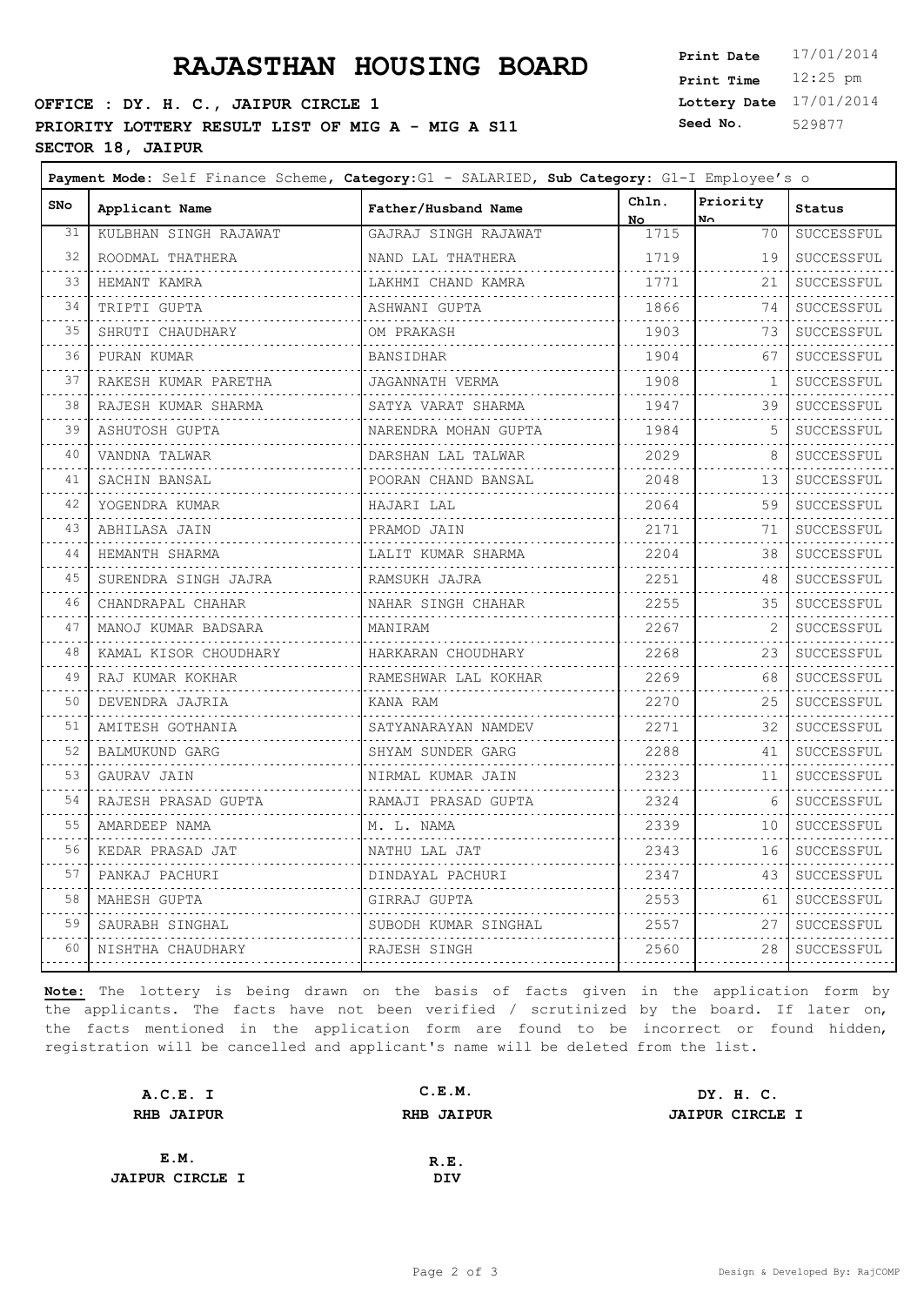### **OFFICE : DY. H. C., JAIPUR CIRCLE 1 PRIORITY LOTTERY RESULT LIST OF MIG A - MIG A S11** Seed No. **SECTOR 18, JAIPUR**

**Lottery Date** 17/01/2014 **Print Time** 12:25 pm **Seed No.** 529877

 $\overline{\phantom{0}}$ 

| <b>SNo</b>                 | Applicant Name            | Father/Husband Name     | Chln.<br>No.               | Priority<br>No.         | Status          |
|----------------------------|---------------------------|-------------------------|----------------------------|-------------------------|-----------------|
| 31                         | KULBHAN SINGH RAJAWAT     | GAJRAJ SINGH RAJAWAT    | 1715                       | 70                      | SUCCESSFUL      |
| 32                         | ROODMAL THATHERA          | NAND LAL THATHERA       | 1719                       | 19                      | SUCCESSFUL      |
| 33                         | .<br>HEMANT KAMRA         | .<br>LAKHMI CHAND KAMRA | and a straight and<br>1771 | 21                      | SUCCESSFUL      |
| 34                         | .<br>TRIPTI GUPTA         | ASHWANI GUPTA           | .<br>1866                  | 74                      | .<br>SUCCESSFUL |
| 35                         | SHRUTI CHAUDHARY          | OM PRAKASH              | 1903                       | 73                      | SUCCESSFUL      |
| $\sim 10$<br>36            | PURAN KUMAR               | BANSIDHAR               | 1904                       | 67                      | .<br>SUCCESSFUL |
| 37                         | .<br>RAKESH KUMAR PARETHA | JAGANNATH VERMA         | 1908                       | 1                       | .<br>SUCCESSFUL |
| $\sim$ $\sim$ $\sim$<br>38 | RAJESH KUMAR SHARMA       | SATYA VARAT SHARMA      | .<br>1947                  | 39                      | .<br>SUCCESSFUL |
| .<br>39                    | ASHUTOSH GUPTA<br>.       | NARENDRA MOHAN GUPTA    | .<br>1984                  | 5                       | .<br>SUCCESSFUL |
| 40                         | VANDNA TALWAR             | DARSHAN LAL TALWAR      | .<br>2029                  | 8                       | SUCCESSFUL      |
| 41                         | SACHIN BANSAL             | POORAN CHAND BANSAL     | .<br>2048                  | 13                      | .<br>SUCCESSFUL |
| 42                         | YOGENDRA KUMAR            | HAJARI LAL              | 2064                       | 59                      | SUCCESSFUL      |
| $\sim$ $\sim$ $\sim$<br>43 | ABHILASA JAIN             | .<br>PRAMOD JAIN        | 2171                       | 71                      | .<br>SUCCESSFUL |
| .<br>44                    | HEMANTH SHARMA            | .<br>LALIT KUMAR SHARMA | .<br>2204                  | $- - - - - - - -$<br>38 | .<br>SUCCESSFUL |
| 45                         | SURENDRA SINGH JAJRA      | RAMSUKH JAJRA           | 2251                       | 48                      | SUCCESSFUL      |
| 46                         | CHANDRAPAL CHAHAR         | .<br>NAHAR SINGH CHAHAR | . <b>.</b> .<br>2255       | 35                      | SUCCESSFUL      |
| 47                         | MANOJ KUMAR BADSARA       | MANIRAM                 | 2267                       |                         | .<br>SUCCESSFUL |
| .<br>48                    | KAMAL KISOR CHOUDHARY     | HARKARAN CHOUDHARY      | .<br>2268                  | 23                      | .<br>SUCCESSFUL |
| 49                         | RAJ KUMAR KOKHAR          | RAMESHWAR LAL KOKHAR    | 2269<br>.                  | 68                      | .<br>SUCCESSFUL |
| 50                         | DEVENDRA JAJRIA           | KANA RAM                | 2270                       | 25                      | SUCCESSFUL      |
| 51                         | AMITESH GOTHANIA          | SATYANARAYAN NAMDEV     | .<br>2271                  | 32                      | SUCCESSFUL      |
| 52<br>$\sim$ $\sim$ $\sim$ | BALMUKUND GARG<br>.       | SHYAM SUNDER GARG       | 2288<br>.                  | 41                      | SUCCESSFUL<br>. |
| 53                         | GAURAV JAIN               | NIRMAL KUMAR JAIN       | 2323<br>.                  | 11                      | SUCCESSFUL      |
| 54                         | RAJESH PRASAD GUPTA       | RAMAJI PRASAD GUPTA     | 2324                       | 6                       | .<br>SUCCESSFUL |
| 55                         | AMARDEEP NAMA<br>.        | M. L. NAMA              | 2339                       | 10                      | SUCCESSFUL      |
| 56                         | KEDAR PRASAD JAT          | NATHU LAL JAT           | 2343                       | 16                      | SUCCESSFUL      |
| 57<br>$\sim$ $\sim$ $\sim$ | PANKAJ PACHURI            | DINDAYAL PACHURI        | 2347<br>.                  | 43                      | SUCCESSFUL      |
| 58                         | MAHESH GUPTA              | GIRRAJ GUPTA            | 2553                       | 61                      | .<br>SUCCESSFUL |
| 59                         | SAURABH SINGHAL           | SUBODH KUMAR SINGHAL    | 2557                       | 27                      | SUCCESSFUL      |
| 60                         | NISHTHA CHAUDHARY         | RAJESH SINGH            | 2560                       | 28<br>.                 | SUCCESSFUL      |
|                            |                           |                         | .                          |                         | .               |

| A.C.E. I               | C.E.M.            | DY. H. C.              |
|------------------------|-------------------|------------------------|
| <b>RHB JAIPUR</b>      | <b>RHB JAIPUR</b> | <b>JAIPUR CIRCLE I</b> |
|                        |                   |                        |
| E.M.                   | R.E.              |                        |
| <b>JAIPUR CIRCLE I</b> | DIV               |                        |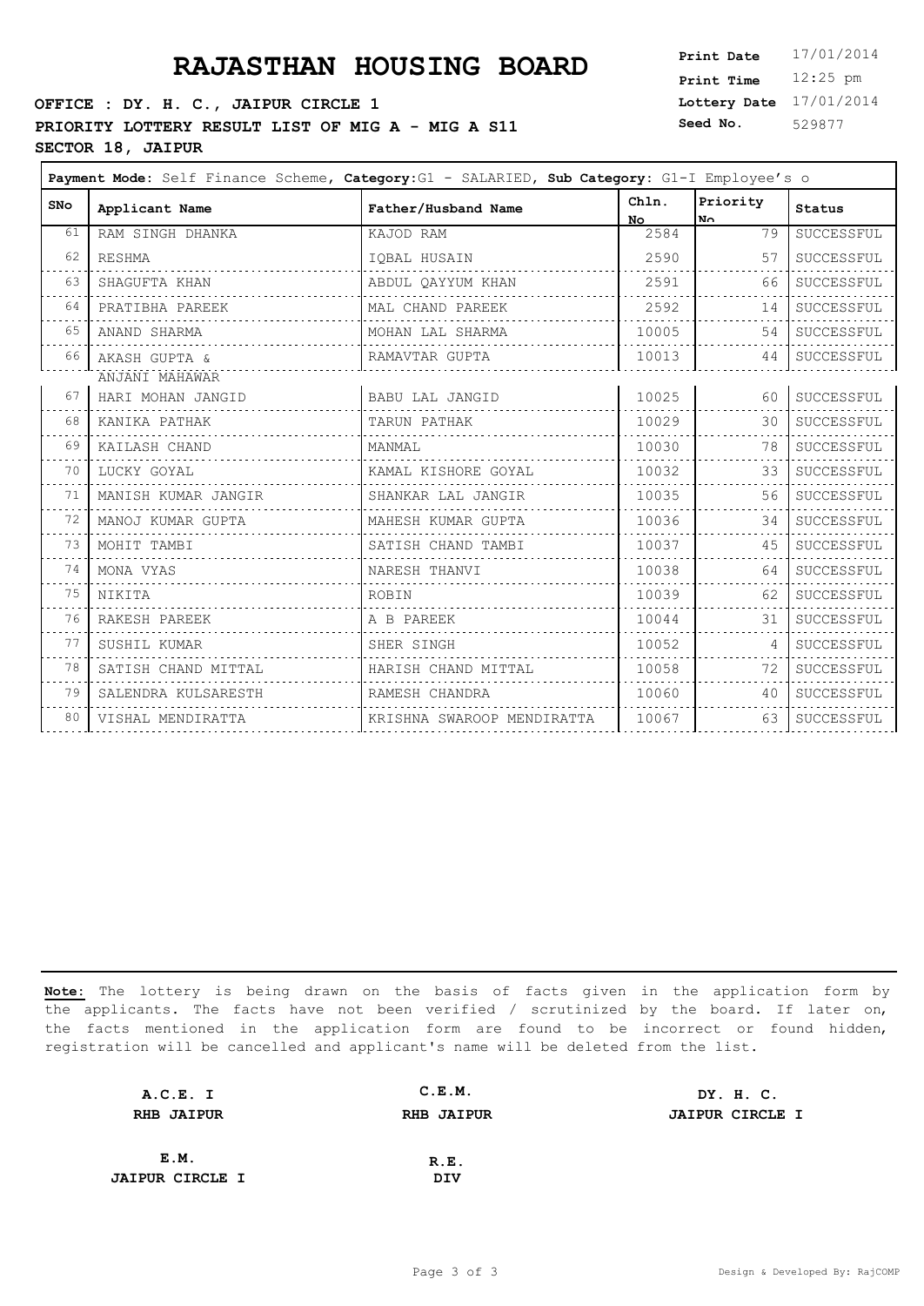## **PRAJASTHAN HOUSING BOARD**

### **OFFICE : DY. H. C., JAIPUR CIRCLE 1** PRIORITY LOTTERY RESULT LIST OF MIG A - MIG A S11 **S SECTOR 18, JAIPUR**

| Print Date        | 17/01/2014 |
|-------------------|------------|
| <b>Print Time</b> | $12:25$ pm |
| Lottery Date      | 17/01/2014 |
| Seed No.          | 529877     |

| <b>SNo</b> | Applicant Name      | Father/Husband Name        | Chln.<br>No. | Priority<br>No. | <b>Status</b> |
|------------|---------------------|----------------------------|--------------|-----------------|---------------|
| 61         | RAM SINGH DHANKA    | KAJOD RAM                  | 2584         | 79              | SUCCESSFUL    |
| 62         | RESHMA              | IQBAL HUSAIN               | 2590         | 57              | SUCCESSFUL    |
| 63         | SHAGUFTA KHAN       | ABDUL QAYYUM KHAN          | 2591         | 66              | SUCCESSFUL    |
| 64         | PRATIBHA PAREEK     | MAL CHAND PAREEK           | 2592         | 14              | SUCCESSFUL    |
| 65         | ANAND SHARMA        | MOHAN LAL SHARMA           | 10005        | 54              | SUCCESSFUL    |
| 66         | AKASH GUPTA &       | RAMAVTAR GUPTA             | 10013        | 44              | SUCCESSFUL    |
|            | ANJANI MAHAWAR      |                            |              |                 |               |
| 67         | HARI MOHAN JANGID   | BABU LAL JANGID            | 10025        | 60              | SUCCESSFUL    |
| 68         | KANIKA PATHAK       | TARUN PATHAK               | 10029        | 30              | SUCCESSFUL    |
| 69         | KAILASH CHAND       | MANMAL                     | 10030        | 78              | SUCCESSFUL    |
| 70         | LUCKY GOYAL         | KAMAL KISHORE GOYAL        | 10032        | 33              | SUCCESSFUL    |
| 71         | MANISH KUMAR JANGIR | SHANKAR LAL JANGIR         | 10035        | 56              | SUCCESSFUL    |
| 72         | MANOJ KUMAR GUPTA   | MAHESH KUMAR GUPTA         | 10036        | 34              | SUCCESSFUL    |
| 73         | MOHIT TAMBI         | SATISH CHAND TAMBI         | 10037        | 45              | SUCCESSFUL    |
| 74         | MONA VYAS           | NARESH THANVI              | 10038        | 64              | SUCCESSFUL    |
| 75         | NIKITA              | ROBIN                      | 10039        | 62              | SUCCESSFUL    |
| 76         | RAKESH PAREEK       | A B PAREEK                 | 10044        | 31              | SUCCESSFUL    |
| 77         | SUSHIL KUMAR        | SHER SINGH                 | 10052        | 4               | SUCCESSFUL    |
| 78         | SATISH CHAND MITTAL | HARISH CHAND MITTAL        | 10058        | 72              | SUCCESSFUL    |
| 79         | SALENDRA KULSARESTH | RAMESH CHANDRA             | 10060        | 40              | SUCCESSFUL    |
| 80         | VISHAL MENDIRATTA   | KRISHNA SWAROOP MENDIRATTA | 10067        | 63              | SUCCESSFUL    |
|            |                     |                            |              |                 |               |

| A.C.E. I               | C.E.M.            | DY. H. C.              |
|------------------------|-------------------|------------------------|
| <b>RHB JAIPUR</b>      | <b>RHB JAIPUR</b> | <b>JAIPUR CIRCLE I</b> |
|                        |                   |                        |
| E.M.                   | R.E.              |                        |
| <b>JAIPUR CIRCLE I</b> | DIV               |                        |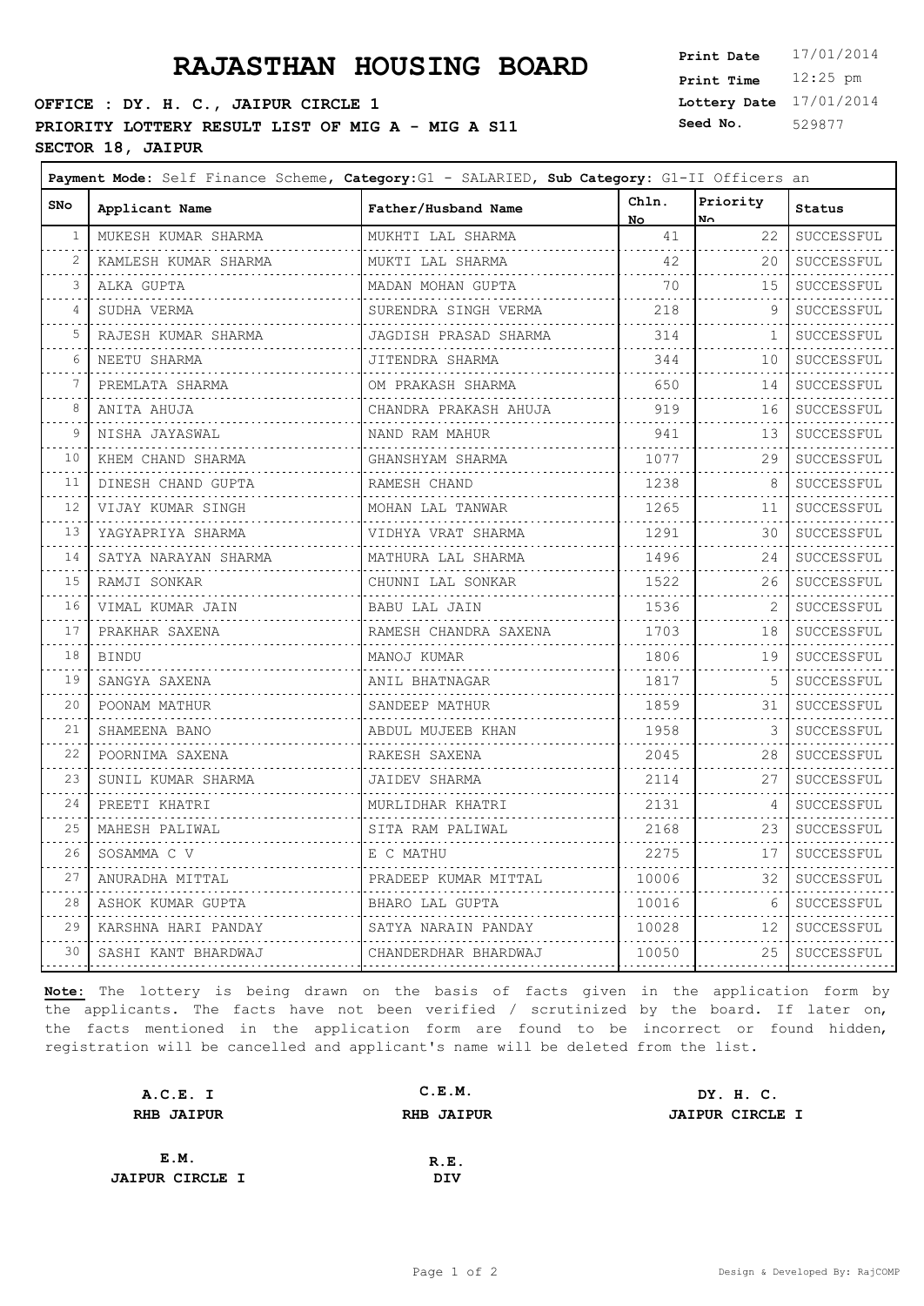# **PRAJASTHAN HOUSING BOARD**

### **OFFICE : DY. H. C., JAIPUR CIRCLE 1 PRIORITY LOTTERY RESULT LIST OF MIG A - MIG A S11** S **SECTOR 18, JAIPUR**

 $\blacksquare$ 

| <b>Print Date</b> | 17/01/2014 |
|-------------------|------------|
| <b>Print Time</b> | $12:25$ pm |
| Lottery Date      | 17/01/2014 |
| Seed No.          | 529877     |

┑

| SNo                        | Applicant Name           | Father/Husband Name   | Chln.<br>No.                | Priority<br>$N_{\odot}$ | <b>Status</b>          |
|----------------------------|--------------------------|-----------------------|-----------------------------|-------------------------|------------------------|
| 1                          | MUKESH KUMAR SHARMA      | MUKHTI LAL SHARMA     | 41                          | 22                      | SUCCESSFUL             |
| 2                          | KAMLESH KUMAR SHARMA     | MUKTI LAL SHARMA      | 42                          | 20                      | SUCCESSFUL<br>.        |
| 3                          | ALKA GUPTA               | MADAN MOHAN GUPTA     | 70                          | 15                      | SUCCESSFUL             |
| $\overline{4}$             | SUDHA VERMA              | SURENDRA SINGH VERMA  | .<br>218                    | 9                       | .<br>SUCCESSFUL        |
| 5                          | .<br>RAJESH KUMAR SHARMA | JAGDISH PRASAD SHARMA | and a diagonal and<br>314   | 1                       | .<br>SUCCESSFUL        |
| 6                          | NEETU SHARMA             | JITENDRA SHARMA       | .<br>344                    | 10                      | SUCCESSFUL             |
| 7                          | .<br>PREMLATA SHARMA     | OM PRAKASH SHARMA     | 650                         | 14                      | .<br>SUCCESSFUL        |
| 8                          | ANITA AHUJA              | CHANDRA PRAKASH AHUJA | 919                         | 16                      | SUCCESSFUL             |
| 9                          | .<br>NISHA JAYASWAL      | NAND RAM MAHUR        | 941                         | 13                      | .<br>SUCCESSFUL        |
| 10                         | KHEM CHAND SHARMA        | GHANSHYAM SHARMA      | <u>.</u><br>1077            | 29                      | .<br>SUCCESSFUL        |
| 11                         | DINESH CHAND GUPTA       | RAMESH CHAND          | 1238                        | 8                       | SUCCESSFUL             |
| $\sim$ $\sim$ $\sim$<br>12 | VIJAY KUMAR SINGH        | .<br>MOHAN LAL TANWAR | <u>.</u><br>1265            | 11                      | .<br>SUCCESSFUL        |
| 13                         | YAGYAPRIYA SHARMA        | VIDHYA VRAT SHARMA    | .<br>1291                   | 30                      | .<br>SUCCESSFUL        |
| .<br>14                    | SATYA NARAYAN SHARMA     | MATHURA LAL SHARMA    | .<br>1496                   | 24                      | .<br>SUCCESSFUL        |
| .<br>15                    | RAMJI SONKAR             | CHUNNI LAL SONKAR     | 1522                        | 26                      | .<br>SUCCESSFUL        |
| 16                         | .<br>VIMAL KUMAR JAIN    | BABU LAL JAIN         | 1536                        | 2                       | SUCCESSFUL             |
| والمرامي<br>17             | PRAKHAR SAXENA           | RAMESH CHANDRA SAXENA | .<br>1703                   | 18                      | .<br>SUCCESSFUL        |
| والمستند<br>18             | BINDU                    | MANOJ KUMAR           | .<br>1806                   | 19                      | .<br>SUCCESSFUL        |
| $\sim$ $\sim$ $\sim$<br>19 | SANGYA SAXENA            | .<br>ANIL BHATNAGAR   | ---------<br>1817           | -5                      | .<br>SUCCESSFUL        |
| .<br>20                    | .<br>POONAM MATHUR       | SANDEEP MATHUR        | .<br>1859<br>.              | 31                      | .<br>SUCCESSFUL        |
| 21                         | SHAMEENA BANO<br>.       | ABDUL MUJEEB KHAN     | 1958<br>.                   | 3                       | SUCCESSFUL<br><u>.</u> |
| $  -$<br>22                | POORNIMA SAXENA          | RAKESH SAXENA         | 2045<br>.                   | 28                      | SUCCESSFUL             |
| 23                         | SUNIL KUMAR SHARMA       | JAIDEV SHARMA         | 2114                        | 27                      | .<br>SUCCESSFUL        |
| 24                         | PREETI KHATRI            | MURLIDHAR KHATRI      | 2131<br>.                   | 4                       | SUCCESSFUL<br>.        |
| 25                         | MAHESH PALIWAL           | SITA RAM PALIWAL      | 2168<br>.                   | 23                      | SUCCESSFUL             |
| 26<br>.                    | SOSAMMA C V              | .<br>E C MATHU        | 2275<br>dia dia dia dia dia | 17<br>.                 | .<br>SUCCESSFUL<br>.   |
| 27<br>.                    | ANURADHA MITTAL          | PRADEEP KUMAR MITTAL  | 10006<br>.                  | 32                      | SUCCESSFUL<br>.        |
| 28                         | ASHOK KUMAR GUPTA        | BHARO LAL GUPTA       | 10016<br>.                  | 6                       | SUCCESSFUL             |
| 29                         | KARSHNA HARI PANDAY      | SATYA NARAIN PANDAY   | 10028                       | 12                      | SUCCESSFUL             |
| 30                         | SASHI KANT BHARDWAJ      | CHANDERDHAR BHARDWAJ  | 10050                       |                         | 25   SUCCESSFUL        |

| A.C.E. I               | C.E.M.            | DY. H. C.              |
|------------------------|-------------------|------------------------|
| <b>RHB JAIPUR</b>      | <b>RHB JAIPUR</b> | <b>JAIPUR CIRCLE I</b> |
|                        |                   |                        |
| E.M.                   | R.E.              |                        |
| <b>JAIPUR CIRCLE I</b> | DIV               |                        |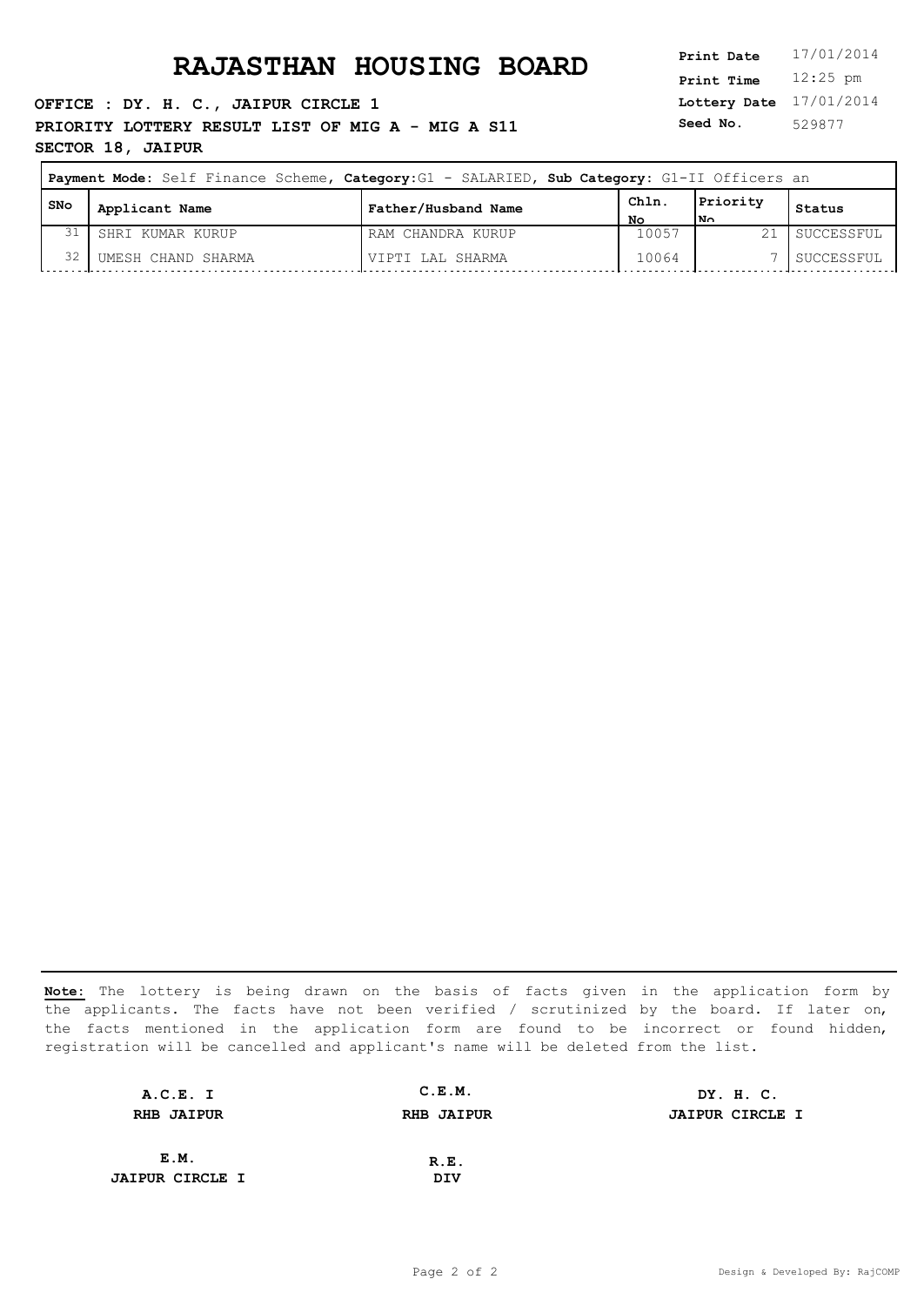**OFFICE : DY. H. C., JAIPUR CIRCLE 1 PRIORITY LOTTERY RESULT LIST OF MIG A - MIG A S11** Seed No. **SECTOR 18, JAIPUR**

**Lottery Date** 17/01/2014 **Print Time** 12:25 pm **Seed No.** 529877

| Payment Mode: Self Finance Scheme, Category: G1 - SALARIED, Sub Category: G1-II Officers an |                    |                     |            |                 |            |
|---------------------------------------------------------------------------------------------|--------------------|---------------------|------------|-----------------|------------|
| l SNo                                                                                       | Applicant Name     | Father/Husband Name | Chln<br>NΟ | Priority<br>lм∩ | Status     |
| 31                                                                                          | SHRI KUMAR KURUP   | RAM CHANDRA KURUP   | 10057      | 21              | SUCCESSFUL |
| 32                                                                                          | UMESH CHAND SHARMA | VIPTI LAL SHARMA    | 10064      |                 | SUCCESSFUL |

| A.C.E. I               | C.E.M.            | DY. H. C.              |
|------------------------|-------------------|------------------------|
| <b>RHB JAIPUR</b>      | <b>RHB JAIPUR</b> | <b>JAIPUR CIRCLE I</b> |
|                        |                   |                        |
| E.M.                   | R.E.              |                        |
| <b>JAIPUR CIRCLE I</b> | DIV               |                        |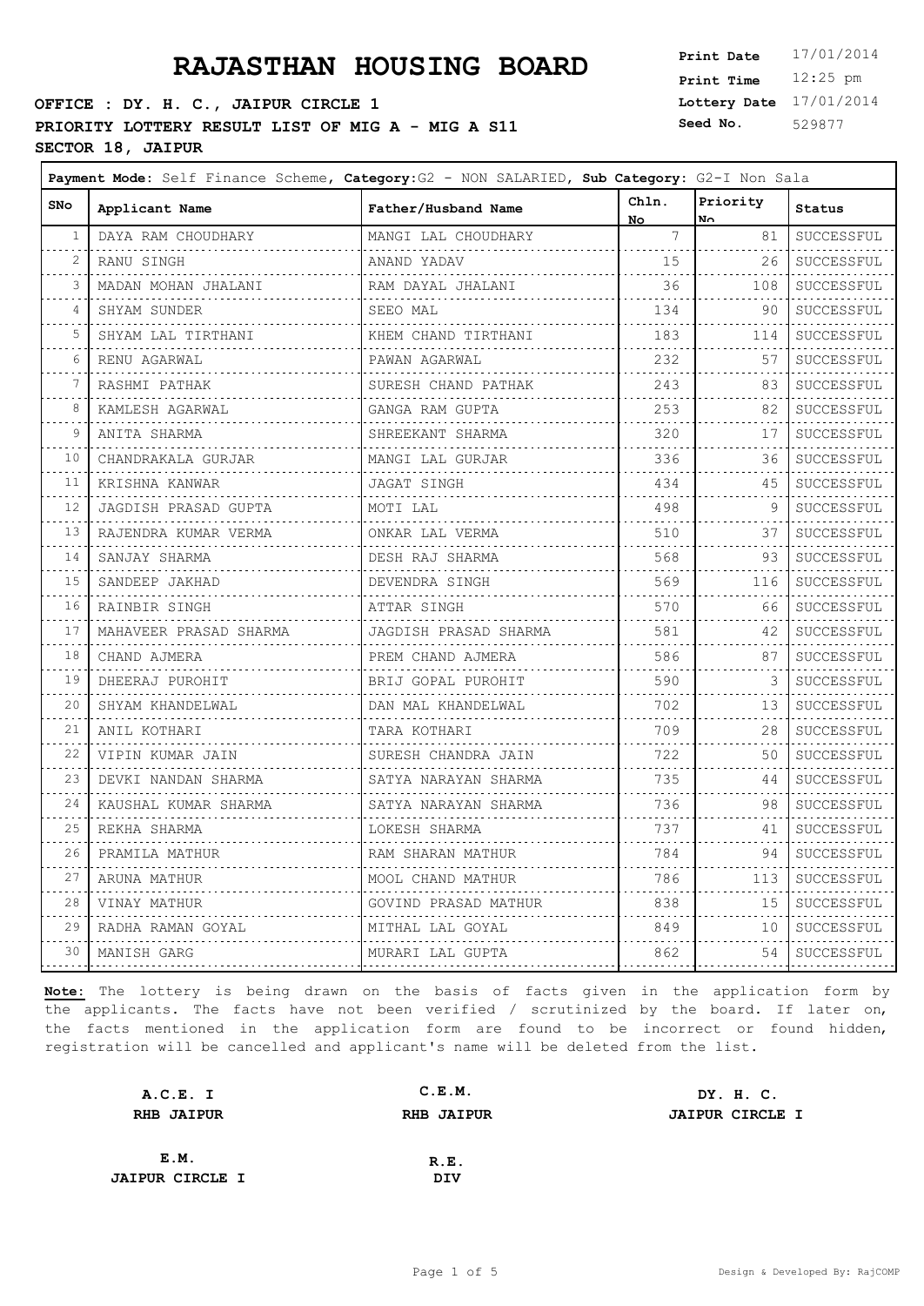# **PRAJASTHAN HOUSING BOARD**

### **OFFICE : DY. H. C., JAIPUR CIRCLE 1 PRIORITY LOTTERY RESULT LIST OF MIG A - MIG A S11** S **SECTOR 18, JAIPUR**

 $\blacksquare$ 

| 17/01/2014 |
|------------|
| $12:25$ pm |
| 17/01/2014 |
| 529877     |
|            |

┑

| <b>SNo</b>                 | Applicant Name         | Father/Husband Name      | Chln.<br>No.                 | Priority<br>No. | <b>Status</b>        |
|----------------------------|------------------------|--------------------------|------------------------------|-----------------|----------------------|
| 1                          | DAYA RAM CHOUDHARY     | MANGI LAL CHOUDHARY      | $7\phantom{.0}$              | 81              | SUCCESSFUL           |
| 2                          | RANU SINGH             | ANAND YADAV              | 15                           | 26              | .<br>SUCCESSFUL      |
| 3                          | MADAN MOHAN JHALANI    | RAM DAYAL JHALANI        | 36                           | 108             | SUCCESSFUL           |
| 4                          | SHYAM SUNDER           | SEEO MAL                 | 134                          | 90              | .<br>SUCCESSFUL      |
| 5                          | SHYAM LAL TIRTHANI     | .<br>KHEM CHAND TIRTHANI | .<br>183                     | 114             | .<br>SUCCESSFUL      |
| 6                          | RENU AGARWAL           | PAWAN AGARWAL            | 1.1.1.1.1.1.1.1<br>232       | 57              | SUCCESSFUL           |
| 7                          | RASHMI PATHAK          | SURESH CHAND PATHAK      | .<br>243                     | 83              | .<br>SUCCESSFUL      |
| 8                          | KAMLESH AGARWAL        | GANGA RAM GUPTA          | .<br>253                     | 82              | .<br>SUCCESSFUL      |
| 9                          | ANITA SHARMA           | SHREEKANT SHARMA         | .<br>320                     | 17              | .<br>SUCCESSFUL      |
| 10                         | CHANDRAKALA GURJAR     | MANGI LAL GURJAR         | dia dia dia dia dia d<br>336 | .<br>36         | .<br>SUCCESSFUL      |
| 11                         | KRISHNA KANWAR         | JAGAT SINGH              | 434                          | 45              | SUCCESSFUL           |
| والمراب<br>12              | JAGDISH PRASAD GUPTA   | <u>.</u><br>MOTI LAL     | 498                          | 9               | .<br>SUCCESSFUL      |
| .<br>13                    | RAJENDRA KUMAR VERMA   | ONKAR LAL VERMA          | .<br>510                     | 37              | .<br>SUCCESSFUL      |
| .<br>14                    | SANJAY SHARMA          | DESH RAJ SHARMA          | .<br>568                     | 93              | SUCCESSFUL           |
| .<br>15                    | .<br>SANDEEP JAKHAD    | .<br>DEVENDRA SINGH      | .<br>569                     | 116             | .<br>SUCCESSFUL      |
| 16                         | .<br>RAINBIR SINGH     | .<br>ATTAR SINGH         | 570                          | 66              | .<br>SUCCESSFUL      |
| .<br>17                    | MAHAVEER PRASAD SHARMA | JAGDISH PRASAD SHARMA    | dia dia dia dia d<br>581     | 42              | .<br>SUCCESSFUL      |
| .<br>18                    | CHAND AJMERA           | PREM CHAND AJMERA        | .<br>586                     | 87              | .<br>SUCCESSFUL      |
| 19                         | .<br>DHEERAJ PUROHIT   | BRIJ GOPAL PUROHIT       | .<br>590                     | 3               | .<br>SUCCESSFUL      |
| $\sim$ $\sim$ $\sim$<br>20 | SHYAM KHANDELWAL       | DAN MAL KHANDELWAL       | .<br>702                     | 13              | .<br>SUCCESSFUL      |
| والمحامر<br>21             | ANIL KOTHARI           | .<br>TARA KOTHARI        | .<br>709<br>.                | 28              | .<br>SUCCESSFUL<br>. |
| 22                         | VIPIN KUMAR JAIN       | SURESH CHANDRA JAIN      | 722<br>.                     | 50              | SUCCESSFUL           |
| 23                         | DEVKI NANDAN SHARMA    | SATYA NARAYAN SHARMA     | 735                          | 44              | .<br>SUCCESSFUL      |
| 24<br>والمرادي             | KAUSHAL KUMAR SHARMA   | SATYA NARAYAN SHARMA     | 736<br>.                     | 98              | SUCCESSFUL<br>.      |
| 25<br>.                    | REKHA SHARMA           | LOKESH SHARMA            | 737<br>.                     | 41<br>.         | SUCCESSFUL           |
| 26<br>والمرامي             | PRAMILA MATHUR         | RAM SHARAN MATHUR        | 784<br>.                     | 94              | .<br>SUCCESSFUL      |
| 27                         | ARUNA MATHUR           | MOOL CHAND MATHUR        | 786<br>.                     | 113             | SUCCESSFUL           |
| 28                         | VINAY MATHUR<br>.      | GOVIND PRASAD MATHUR     | 838                          | 15              | SUCCESSFUL<br>.      |
| 29                         | RADHA RAMAN GOYAL      | MITHAL LAL GOYAL         | 849                          | 10              | SUCCESSFUL<br>.      |
| 30                         | MANISH GARG            | MURARI LAL GUPTA         | 862                          |                 | 54   SUCCESSFUL      |
|                            |                        |                          |                              |                 |                      |

| A.C.E. I               | C.E.M.            | DY. H. C.              |
|------------------------|-------------------|------------------------|
| <b>RHB JAIPUR</b>      | <b>RHB JAIPUR</b> | <b>JAIPUR CIRCLE I</b> |
|                        |                   |                        |
| E.M.                   | R.E.              |                        |
| <b>JAIPUR CIRCLE I</b> | DIV               |                        |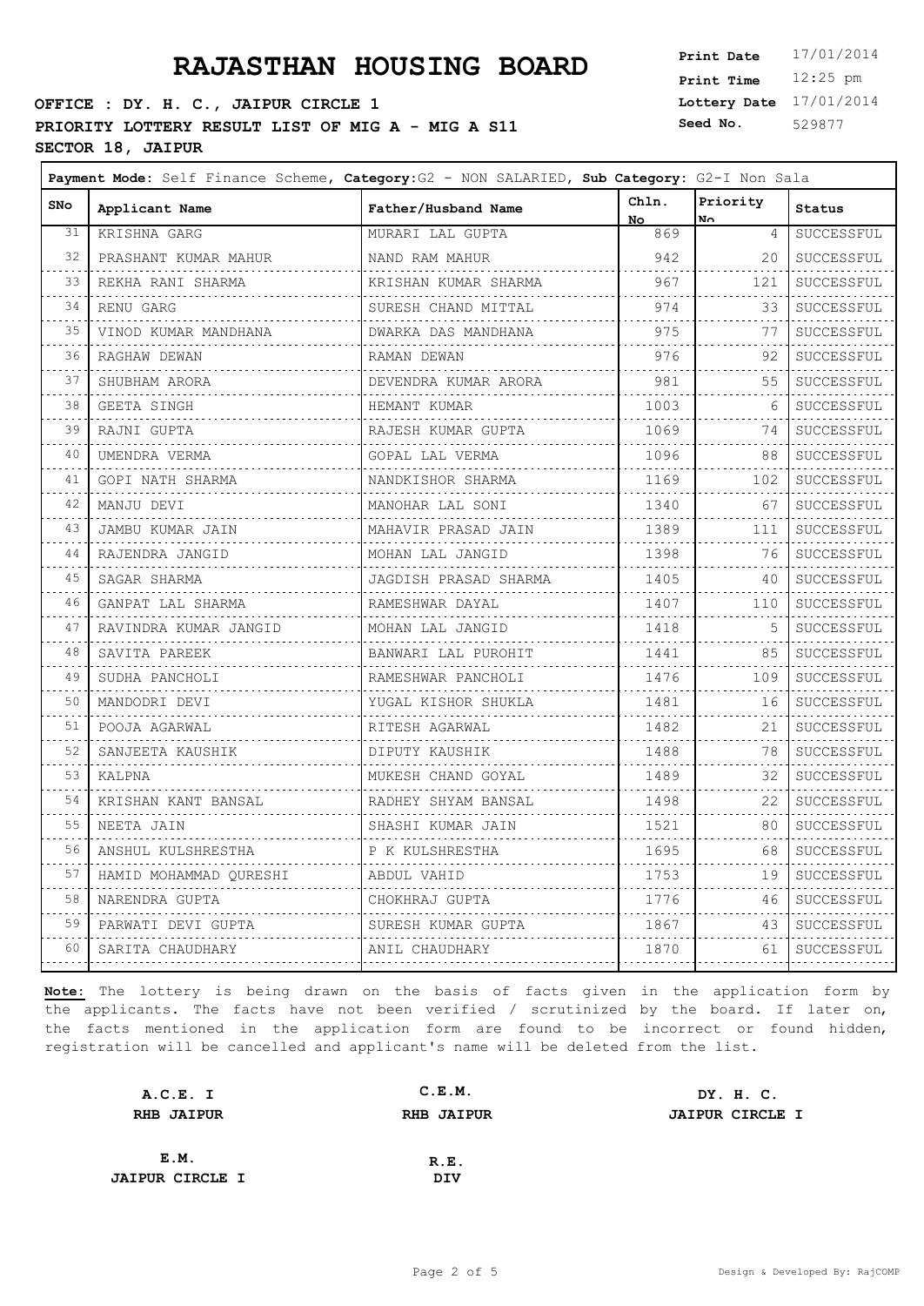### **OFFICE : DY. H. C., JAIPUR CIRCLE 1 PRIORITY LOTTERY RESULT LIST OF MIG A - MIG A S11** Seed No. **SECTOR 18, JAIPUR**

**Lottery Date** 17/01/2014 **Print Time** 12:25 pm **Seed No.** 529877

 $\overline{\phantom{0}}$ 

| <b>SNo</b>                 | Applicant Name                | Father/Husband Name     | Chln.<br>No.               | Priority<br>No. | Status                     |
|----------------------------|-------------------------------|-------------------------|----------------------------|-----------------|----------------------------|
| 31                         | KRISHNA GARG                  | MURARI LAL GUPTA        | 869                        | $\overline{4}$  | SUCCESSFUL                 |
| 32                         | PRASHANT KUMAR MAHUR          | NAND RAM MAHUR          | 942                        | 20              | SUCCESSFUL                 |
| 33                         | REKHA RANI SHARMA             | KRISHAN KUMAR SHARMA    | 967<br>dia dia dia dia dia | 121             | SUCCESSFUL                 |
| 34                         | RENU GARG                     | SURESH CHAND MITTAL     | 974                        | 33              | .<br>SUCCESSFUL            |
| 35                         | VINOD KUMAR MANDHANA          | DWARKA DAS MANDHANA     | 975                        | 77              | SUCCESSFUL                 |
| 36                         | RAGHAW DEWAN                  | RAMAN DEWAN             | 976                        | 92              | .<br>SUCCESSFUL            |
| 37                         | . <i>.</i> .<br>SHUBHAM ARORA | DEVENDRA KUMAR ARORA    | .<br>981                   | 55              | <b>.</b><br>SUCCESSFUL     |
| .<br>38                    | .<br>GEETA SINGH              | HEMANT KUMAR            | .<br>1003                  | 6               | .<br>SUCCESSFUL            |
| .<br>39                    | .<br>RAJNI GUPTA              | .<br>RAJESH KUMAR GUPTA | .<br>1069                  | 74              | .<br>SUCCESSFUL            |
| 40                         | .<br>UMENDRA VERMA            | GOPAL LAL VERMA         | .<br>1096                  | 88              | SUCCESSFUL                 |
| 41                         | GOPI NATH SHARMA              | NANDKISHOR SHARMA       | .<br>1169                  | 102             | .<br>SUCCESSFUL            |
| 42                         | MANJU DEVI                    | MANOHAR LAL SONI        | 1340                       | 67              | SUCCESSFUL                 |
| $\sim$ $\sim$ $\sim$<br>43 | .<br>JAMBU KUMAR JAIN         | MAHAVIR PRASAD JAIN     | .<br>1389                  | 111             | .<br>SUCCESSFUL            |
| المتعادي<br>44             | RAJENDRA JANGID               | MOHAN LAL JANGID        | 1398                       | 76              | .<br>SUCCESSFUL            |
| 45                         | SAGAR SHARMA                  | JAGDISH PRASAD SHARMA   | 1405                       | 40              | SUCCESSFUL                 |
| 46                         | GANPAT LAL SHARMA             | RAMESHWAR DAYAL         | .<br>1407                  | 110             | SUCCESSFUL                 |
| 47                         | RAVINDRA KUMAR JANGID         | MOHAN LAL JANGID        | .<br>1418                  | 5               | .<br>SUCCESSFUL            |
| .<br>48                    | SAVITA PAREEK                 | BANWARI LAL PUROHIT     | .<br>1441                  | 85              | .<br>SUCCESSFUL            |
| 49                         | SUDHA PANCHOLI                | RAMESHWAR PANCHOLI      | <u>.</u> .<br>1476         | 109             | .<br>SUCCESSFUL            |
| 50                         | MANDODRI DEVI                 | YUGAL KISHOR SHUKLA     | .<br>1481                  | 16              | SUCCESSFUL                 |
| 51                         | POOJA AGARWAL                 | .<br>RITESH AGARWAL     | 1482                       | 21              | .<br>SUCCESSFUL            |
| 52<br>$\sim$ $\sim$ $\sim$ | SANJEETA KAUSHIK              | DIPUTY KAUSHIK          | 1488<br>.                  | 78              | SUCCESSFUL<br>.            |
| 53                         | KALPNA                        | MUKESH CHAND GOYAL      | 1489<br>.                  | 32              | SUCCESSFUL<br>.            |
| 54                         | KRISHAN KANT BANSAL           | RADHEY SHYAM BANSAL     | 1498                       | 22              | SUCCESSFUL                 |
| 55                         | NEETA JAIN                    | SHASHI KUMAR JAIN       | 1521                       | 80              | SUCCESSFUL                 |
| 56                         | ANSHUL KULSHRESTHA            | P K KULSHRESTHA<br>.    | .<br>1695<br>.             | 68              | SUCCESSFUL                 |
| 57                         | HAMID MOHAMMAD QURESHI        | ABDUL VAHID             | 1753                       | 19              | . <b>.</b> .<br>SUCCESSFUL |
| .<br>58<br>.               | NARENDRA GUPTA                | CHOKHRAJ GUPTA          | .<br>1776                  | 46              | SUCCESSFUL                 |
| 59                         | PARWATI DEVI GUPTA            | SURESH KUMAR GUPTA      | 1867                       | 43              | SUCCESSFUL                 |
| 60                         | SARITA CHAUDHARY              | ANIL CHAUDHARY          | 1870<br>.                  | 61              | SUCCESSFUL<br>.            |
|                            |                               |                         |                            |                 |                            |

| A.C.E. I               | C.E.M.            | DY. H. C.              |
|------------------------|-------------------|------------------------|
| <b>RHB JAIPUR</b>      | <b>RHB JAIPUR</b> | <b>JAIPUR CIRCLE I</b> |
|                        |                   |                        |
| E.M.                   | R.E.              |                        |
| <b>JAIPUR CIRCLE I</b> | DIV               |                        |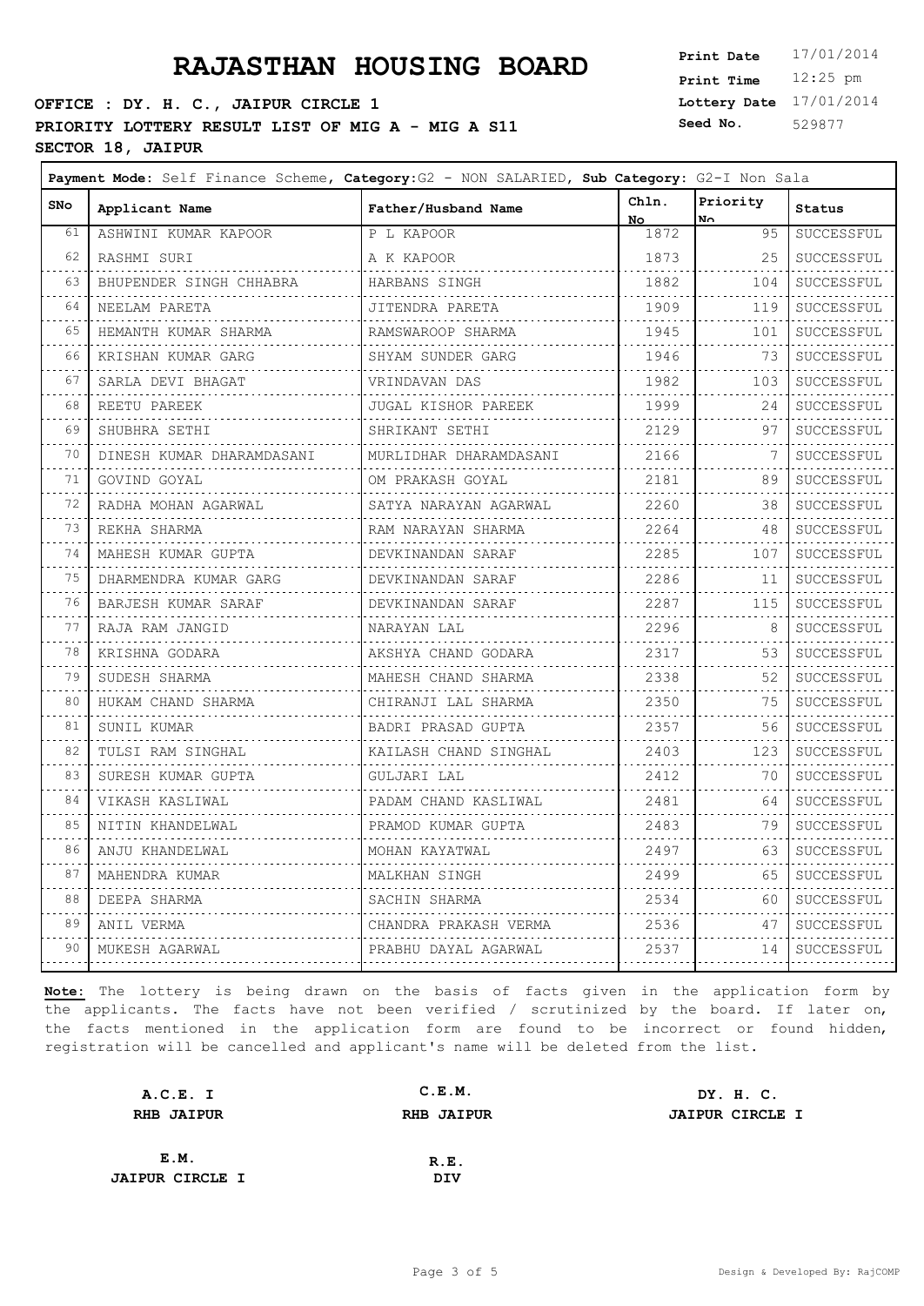### **OFFICE : DY. H. C., JAIPUR CIRCLE 1 PRIORITY LOTTERY RESULT LIST OF MIG A - MIG A S11** Seed No. **SECTOR 18, JAIPUR**

 $\blacksquare$ 

**Lottery Date** 17/01/2014 **Print Time** 12:25 pm **Seed No.** 529877

 $\overline{\phantom{0}}$ 

| SNo                        | Applicant Name                 | Father/Husband Name    | Chln.                                    | Priority  | <b>Status</b>            |
|----------------------------|--------------------------------|------------------------|------------------------------------------|-----------|--------------------------|
| 61                         | ASHWINI KUMAR KAPOOR           | P L KAPOOR             | No.<br>1872                              | No.<br>95 | SUCCESSFUL               |
| 62                         | RASHMI SURI                    | A K KAPOOR             | 1873                                     | 25        | SUCCESSFUL               |
| 63                         | BHUPENDER SINGH CHHABRA        | HARBANS SINGH          | 1882                                     | 104       | SUCCESSFUL               |
| 64                         | NEELAM PARETA                  | JITENDRA PARETA        | 1909                                     | 119       | SUCCESSFUL               |
| $\sim$ $\sim$ $\sim$<br>65 | HEMANTH KUMAR SHARMA           | RAMSWAROOP SHARMA      | .<br>1945                                | 101       | .<br>SUCCESSFUL          |
| 66                         | KRISHAN KUMAR GARG             | SHYAM SUNDER GARG      | 1946                                     | 73        | SUCCESSFUL               |
| 67                         | SARLA DEVI BHAGAT              | VRINDAVAN DAS          | .<br>1982                                | 103       | SUCCESSFUL               |
| 68                         | REETU PAREEK                   | JUGAL KISHOR PAREEK    | .<br>1999                                | 24        | .<br>SUCCESSFUL          |
| 69                         | SHUBHRA SETHI                  | SHRIKANT SETHI         | 2129                                     | 97        | SUCCESSFUL               |
| $\sim 10$<br>70            | .<br>DINESH KUMAR DHARAMDASANI | MURLIDHAR DHARAMDASANI | .<br>2166                                | 7         | .<br>SUCCESSFUL          |
| 71                         | GOVIND GOYAL                   | OM PRAKASH GOYAL       | .<br>2181                                | 89        | .<br>SUCCESSFUL          |
| 72                         | RADHA MOHAN AGARWAL            | SATYA NARAYAN AGARWAL  | .<br>2260                                | 38        | SUCCESSFUL               |
| $\sim$ $\sim$ $\sim$<br>73 | REKHA SHARMA                   | RAM NARAYAN SHARMA     | 2264                                     | 48        | .<br>SUCCESSFUL          |
| 74                         | MAHESH KUMAR GUPTA             | DEVKINANDAN SARAF      | .<br>2285                                | 107       | .<br>SUCCESSFUL          |
| .<br>75                    | DHARMENDRA KUMAR GARG          | DEVKINANDAN SARAF      | .<br>2286                                | 11        | .<br>SUCCESSFUL          |
| $\sim$ $\sim$<br>76        | BARJESH KUMAR SARAF            | DEVKINANDAN SARAF      | .<br>2287                                | 115       | .<br>$\verb SUCCESSFUL $ |
| 77                         | RAJA RAM JANGID                | NARAYAN LAL            | .<br>2296                                | 8         | SUCCESSFUL               |
| 78                         | KRISHNA GODARA                 | AKSHYA CHAND GODARA    | .<br>2317                                | 53        | .<br>SUCCESSFUL          |
| 79                         | SUDESH SHARMA                  | MAHESH CHAND SHARMA    | 2338                                     | 52        | SUCCESSFUL               |
| $\sim$ $\sim$ $\sim$<br>80 | HUKAM CHAND SHARMA             | CHIRANJI LAL SHARMA    | $\alpha$ is a second contract of<br>2350 | 75        | .<br>SUCCESSFUL          |
| 81                         | SUNIL KUMAR                    | BADRI PRASAD GUPTA     | .<br>2357                                | 56        | .<br>SUCCESSFUL          |
| 82                         | TULSI RAM SINGHAL              | KAILASH CHAND SINGHAL  | 2403                                     | 123       | SUCCESSFUL               |
| $\sim$ $\sim$ $\sim$<br>83 | SURESH KUMAR GUPTA             | GULJARI LAL            | .<br>2412                                | 70        | SUCCESSFUL               |
| 84                         | VIKASH KASLIWAL                | PADAM CHAND KASLIWAL   | .<br>2481                                | 64        | .<br>SUCCESSFUL          |
| .<br>85                    | NITIN KHANDELWAL               | PRAMOD KUMAR GUPTA     | .<br>2483                                | 79        | .<br>SUCCESSFUL          |
| .<br>86                    | ANJU KHANDELWAL                | MOHAN KAYATWAL         | 2497                                     | 63        | SUCCESSFUL               |
| 87                         | MAHENDRA KUMAR                 | MALKHAN SINGH          | 2499                                     | 65        | SUCCESSFUL               |
| .<br>88                    | .<br>DEEPA SHARMA              | .<br>SACHIN SHARMA     | .<br>2534                                | 60        | SUCCESSFUL               |
| 89                         | ANIL VERMA<br>.                | CHANDRA PRAKASH VERMA  | 2536                                     | 47        | SUCCESSFUL               |
| 90                         | MUKESH AGARWAL                 | PRABHU DAYAL AGARWAL   | 2537<br>.                                | 14<br>.   | SUCCESSFUL<br>.          |
|                            |                                |                        |                                          |           |                          |

| A.C.E. I               | C.E.M.            | DY. H. C.              |
|------------------------|-------------------|------------------------|
| <b>RHB JAIPUR</b>      | <b>RHB JAIPUR</b> | <b>JAIPUR CIRCLE I</b> |
|                        |                   |                        |
| E.M.                   | R.E.              |                        |
| <b>JAIPUR CIRCLE I</b> | DIV               |                        |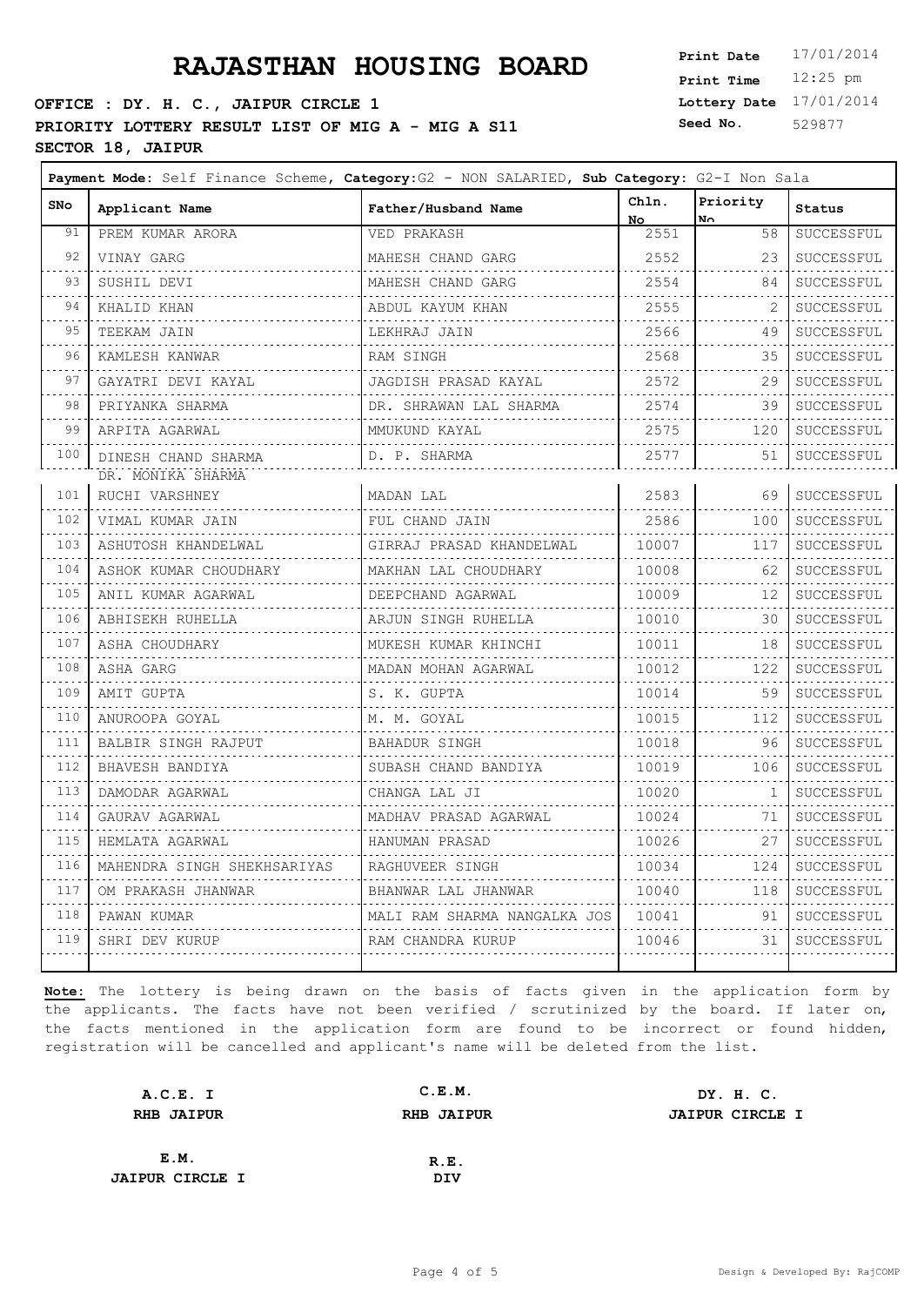### **OFFICE : DY. H. C., JAIPUR CIRCLE 1 PRIORITY LOTTERY RESULT LIST OF MIG A - MIG A S11** Seed No. **SECTOR 18, JAIPUR**

**Lottery Date** 17/01/2014 **Print Time** 12:25 pm **Seed No.** 529877

 $\overline{\phantom{0}}$ 

| <b>SNo</b>                         | Applicant Name              | Father/Husband Name          | Chln.<br>No.     | Priority<br>No. | <b>Status</b>      |
|------------------------------------|-----------------------------|------------------------------|------------------|-----------------|--------------------|
| 91                                 | PREM KUMAR ARORA            | VED PRAKASH                  | 2551             | 58              | SUCCESSFUL         |
| 92                                 | VINAY GARG                  | MAHESH CHAND GARG            | 2552             | 23              | SUCCESSFUL         |
| 93                                 | SUSHIL DEVI<br><u>.</u>     | MAHESH CHAND GARG            | .<br>2554        | 84              | SUCCESSFUL         |
| 94                                 | KHALID KHAN                 | ABDUL KAYUM KHAN             | . 4 .<br>2555    |                 | .<br>SUCCESSFUL    |
| 95                                 | TEEKAM JAIN<br>.            | LEKHRAJ JAIN                 | .<br>2566        | 49              | SUCCESSFUL         |
| .<br>96                            | KAMLESH KANWAR              | RAM SINGH                    | $2568$           | 35              | SUCCESSFUL         |
| 97                                 | GAYATRI DEVI KAYAL          | JAGDISH PRASAD KAYAL         | .<br>2572        | 29              | .<br>SUCCESSFUL    |
| .<br>98                            | PRIYANKA SHARMA             | DR. SHRAWAN LAL SHARMA       | .<br>2574        | 39              | SUCCESSFUL         |
| الدامات بدايد<br>99                | ARPITA AGARWAL              | MMUKUND KAYAL<br>.           | .<br>2575<br>.   | 120             | SUCCESSFUL         |
| 100                                | DINESH CHAND SHARMA         | D. P. SHARMA                 | 2577             | 51              | SUCCESSFUL         |
|                                    | DR. MONIKA SHARMA           |                              |                  |                 |                    |
| 101<br>$\sim$ $\sim$ $\sim$        | RUCHI VARSHNEY              | MADAN LAL<br>.               | $2583$  <br>. 4. |                 | 69 SUCCESSFUL<br>. |
| 102<br><u>.</u>                    | VIMAL KUMAR JAIN            | FUL CHAND JAIN               | $2586$           | 100             | SUCCESSFUL         |
| 103<br>.                           | ASHUTOSH KHANDELWAL         | GIRRAJ PRASAD KHANDELWAL     |                  |                 | SUCCESSFUL         |
| 104                                | ASHOK KUMAR CHOUDHARY       | MAKHAN LAL CHOUDHARY         | 10008  <br>.     | 62              | SUCCESSFUL<br>.    |
| 105<br>.                           | ANIL KUMAR AGARWAL          | DEEPCHAND AGARWAL            | 10009<br>.       | 12              | SUCCESSFUL<br>.    |
| 106<br>.                           | ABHISEKH RUHELLA<br>.       | ARJUN SINGH RUHELLA          | 10010<br>.       | 30              | SUCCESSFUL<br>.    |
| 107<br>.                           | ASHA CHOUDHARY<br>.         | MUKESH KUMAR KHINCHI         | 10011<br>.       | 18              | SUCCESSFUL         |
| 108<br>$- - - - -$                 | ASHA GARG<br>.              | MADAN MOHAN AGARWAL          | 10012<br>. 4.    | 122             | SUCCESSFUL<br>.    |
| 109<br>$\sim$ $\sim$ $\sim$ $\sim$ | AMIT GUPTA                  | S. K. GUPTA                  | 10014            | 59              | SUCCESSFUL         |
| 110<br>.                           | ANUROOPA GOYAL              | M. M. GOYAL                  | 10015<br>.       | 112             | SUCCESSFUL         |
| 111                                | BALBIR SINGH RAJPUT         | BAHADUR SINGH                | 10018<br>.       | 96              | SUCCESSFUL         |
| .<br>112<br>$\sim 100$             | BHAVESH BANDIYA             | SUBASH CHAND BANDIYA         | 10019            | 106             | SUCCESSFUL         |
| 113<br>.                           | DAMODAR AGARWAL             | CHANGA LAL JI                | 10020<br>.       | $\mathbf{1}$    | SUCCESSFUL         |
| 114                                | GAURAV AGARWAL              | MADHAV PRASAD AGARWAL        | 10024            | .<br>71         | SUCCESSFUL         |
| .<br>115                           | HEMLATA AGARWAL             | HANUMAN PRASAD               | .<br>10026       | 27              | SUCCESSFUL         |
| .<br>116                           | MAHENDRA SINGH SHEKHSARIYAS | RAGHUVEER SINGH              | 10034            | 124             | SUCCESSFUL         |
| .<br>117                           | OM PRAKASH JHANWAR          | BHANWAR LAL JHANWAR          | .<br>10040       | 118             | SUCCESSFUL         |
| .<br>118                           | PAWAN KUMAR                 | MALI RAM SHARMA NANGALKA JOS | .<br>10041       | 91              | .<br>SUCCESSFUL    |
| .<br>119                           | SHRI DEV KURUP              | RAM CHANDRA KURUP            | 10046 L          |                 | 31   SUCCESSFUL    |
|                                    |                             |                              |                  |                 | .                  |

| A.C.E. I               | C.E.M.            | DY. H. C.              |
|------------------------|-------------------|------------------------|
| <b>RHB JAIPUR</b>      | <b>RHB JAIPUR</b> | <b>JAIPUR CIRCLE I</b> |
|                        |                   |                        |
| E.M.                   | R.E.              |                        |
| <b>JAIPUR CIRCLE I</b> | DIV               |                        |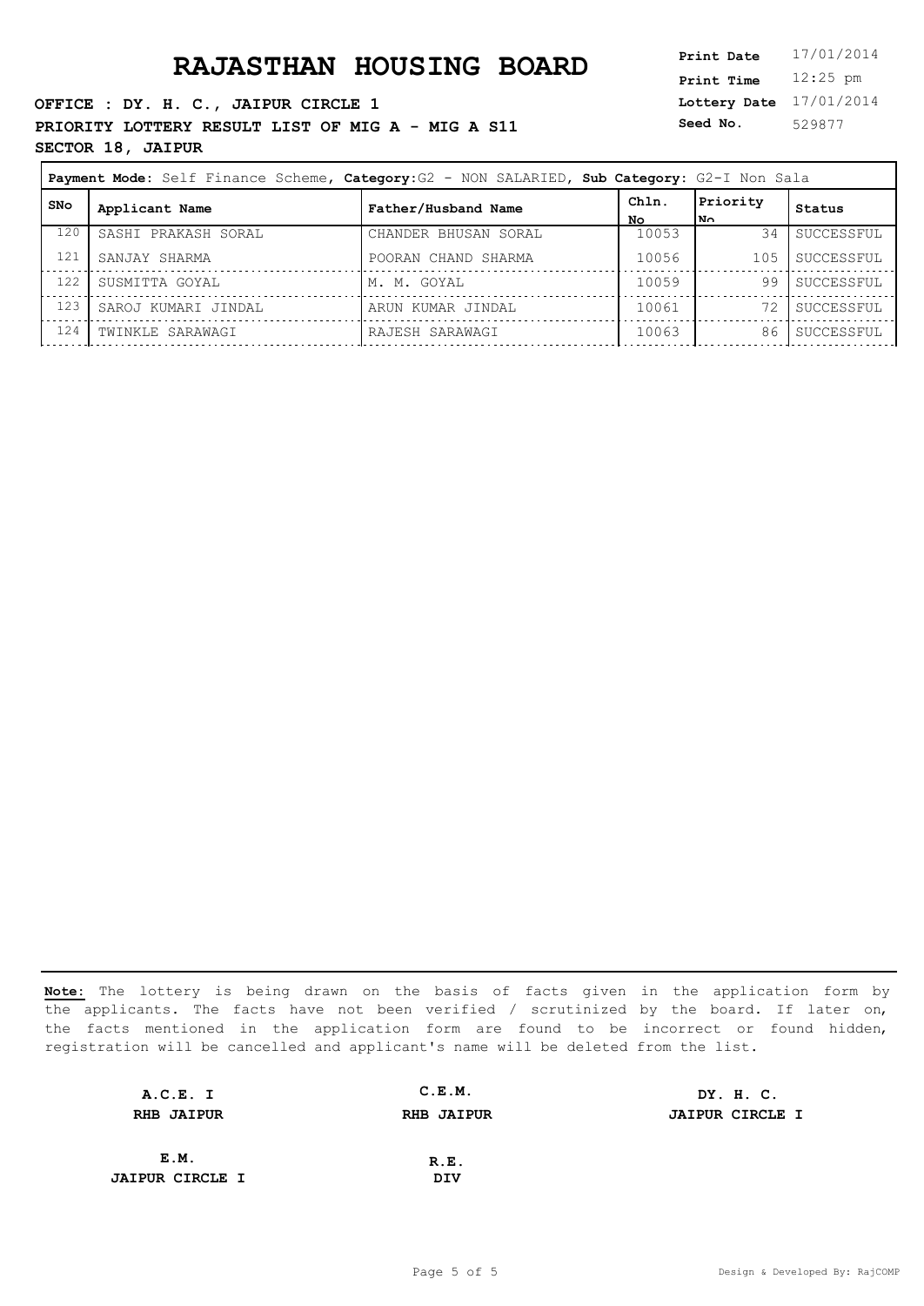**OFFICE : DY. H. C., JAIPUR CIRCLE 1 PRIORITY LOTTERY RESULT LIST OF MIG A - MIG A S11** Seed No. **SECTOR 18, JAIPUR**

**Lottery Date** 17/01/2014 **Print Time** 12:25 pm **Seed No.** 529877

| Payment Mode: Self Finance Scheme, Category: G2 - NON SALARIED, Sub Category: G2-I Non Sala |                     |                      |             |                   |            |
|---------------------------------------------------------------------------------------------|---------------------|----------------------|-------------|-------------------|------------|
| <b>SNo</b>                                                                                  | Applicant Name      | Father/Husband Name  | Chln.<br>No | Priority<br>ا ∧¤ا | Status     |
| 120                                                                                         | SASHI PRAKASH SORAL | CHANDER BHUSAN SORAL | 10053       | 34                | SUCCESSFUL |
| 121                                                                                         | SANJAY SHARMA       | POORAN CHAND SHARMA  | 10056       | 105               | SUCCESSFUL |
| 122                                                                                         | SUSMITTA GOYAL      | M. M. GOYAL          | 10059       | 99                | SUCCESSFUL |
| 123                                                                                         | SAROJ KUMARI JINDAL | ARUN KUMAR JINDAL    | 10061       |                   | SUCCESSFUL |
| 124                                                                                         | TWINKLE SARAWAGI    | RAJESH SARAWAGI      | 10063       | 86                | SUCCESSFUL |

| A.C.E. I               | C.E.M.            | DY. H. C.              |
|------------------------|-------------------|------------------------|
| <b>RHB JAIPUR</b>      | <b>RHB JAIPUR</b> | <b>JAIPUR CIRCLE I</b> |
|                        |                   |                        |
| E.M.                   | R.E.              |                        |
| <b>JAIPUR CIRCLE I</b> | DIV               |                        |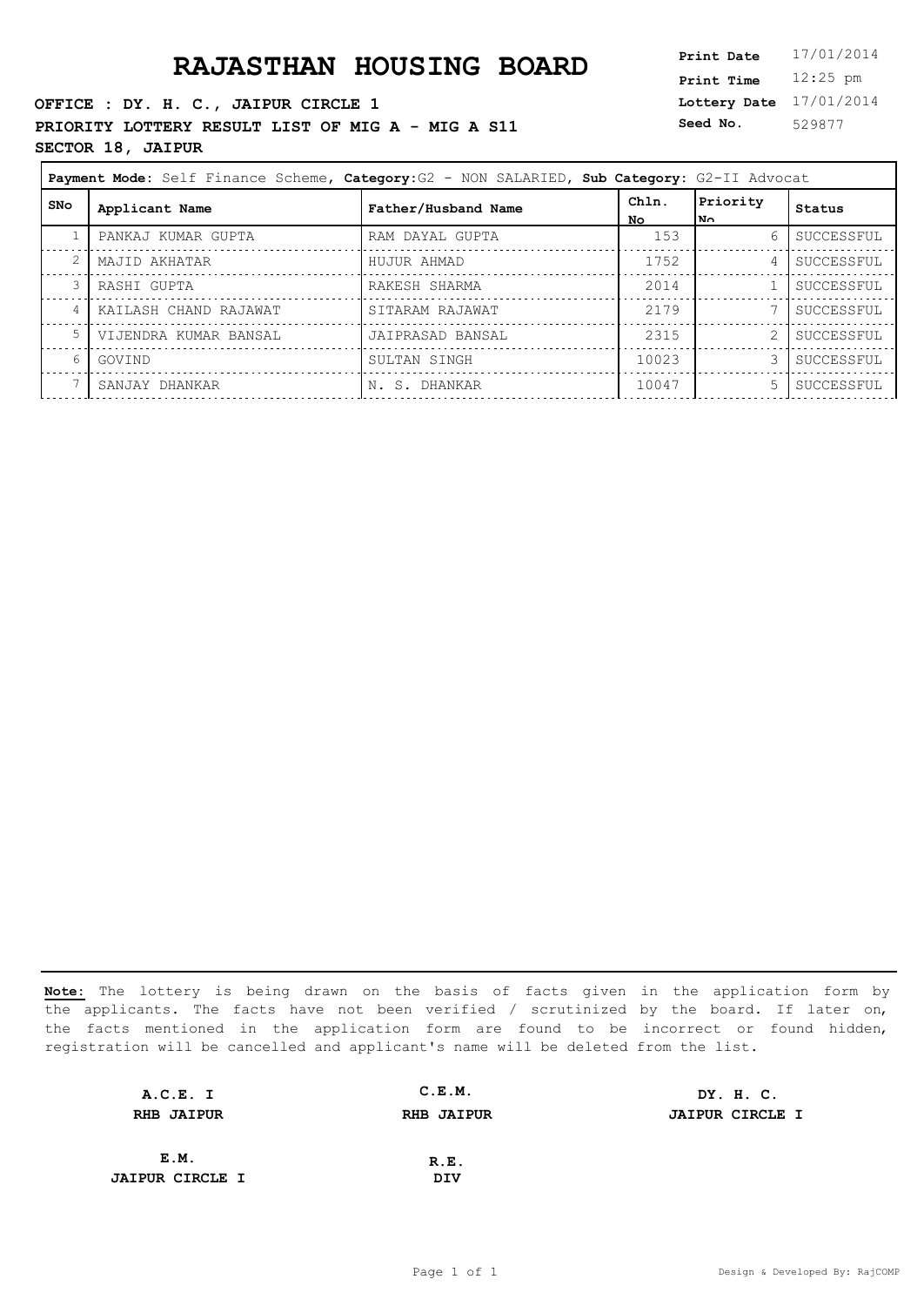**OFFICE : DY. H. C., JAIPUR CIRCLE 1 PRIORITY LOTTERY RESULT LIST OF MIG A - MIG A S11** Seed No. **SECTOR 18, JAIPUR**

**Lottery Date** 17/01/2014 **Print Time** 12:25 pm **Seed No.** 529877

|            | Payment Mode: Self Finance Scheme, Category: G2 - NON SALARIED, Sub Category: G2-II Advocat |                     |              |                  |            |
|------------|---------------------------------------------------------------------------------------------|---------------------|--------------|------------------|------------|
| <b>SNo</b> | Applicant Name                                                                              | Father/Husband Name | Chln.<br>No. | Priority<br>lN∩. | Status     |
|            | PANKAJ KUMAR GUPTA                                                                          | RAM DAYAL GUPTA     | 153          | 6                | SUCCESSFUL |
|            | MAJID AKHATAR                                                                               | HUJUR AHMAD         | 1752         | 4                | SUCCESSFUL |
|            | RASHI GUPTA                                                                                 | RAKESH SHARMA       | 2014         |                  | SUCCESSFUL |
| 4          | KAILASH CHAND RAJAWAT                                                                       | SITARAM RAJAWAT     | 2179         |                  | SUCCESSFUL |
| -5         | VIJENDRA KUMAR BANSAL                                                                       | JAIPRASAD BANSAL    | 2315         |                  | SUCCESSFUL |
| 6          | GOVIND                                                                                      | SULTAN SINGH        | 10023        |                  | SUCCESSFUL |
|            | SANJAY DHANKAR                                                                              | IN. S. DHANKAR      | 10047        | 5                | SUCCESSFUL |

| A.C.E. I               | C.E.M.            | DY. H. C.              |
|------------------------|-------------------|------------------------|
| <b>RHB JAIPUR</b>      | <b>RHB JAIPUR</b> | <b>JAIPUR CIRCLE I</b> |
|                        |                   |                        |
| E.M.                   | R.E.              |                        |
| <b>JAIPUR CIRCLE I</b> | DIV               |                        |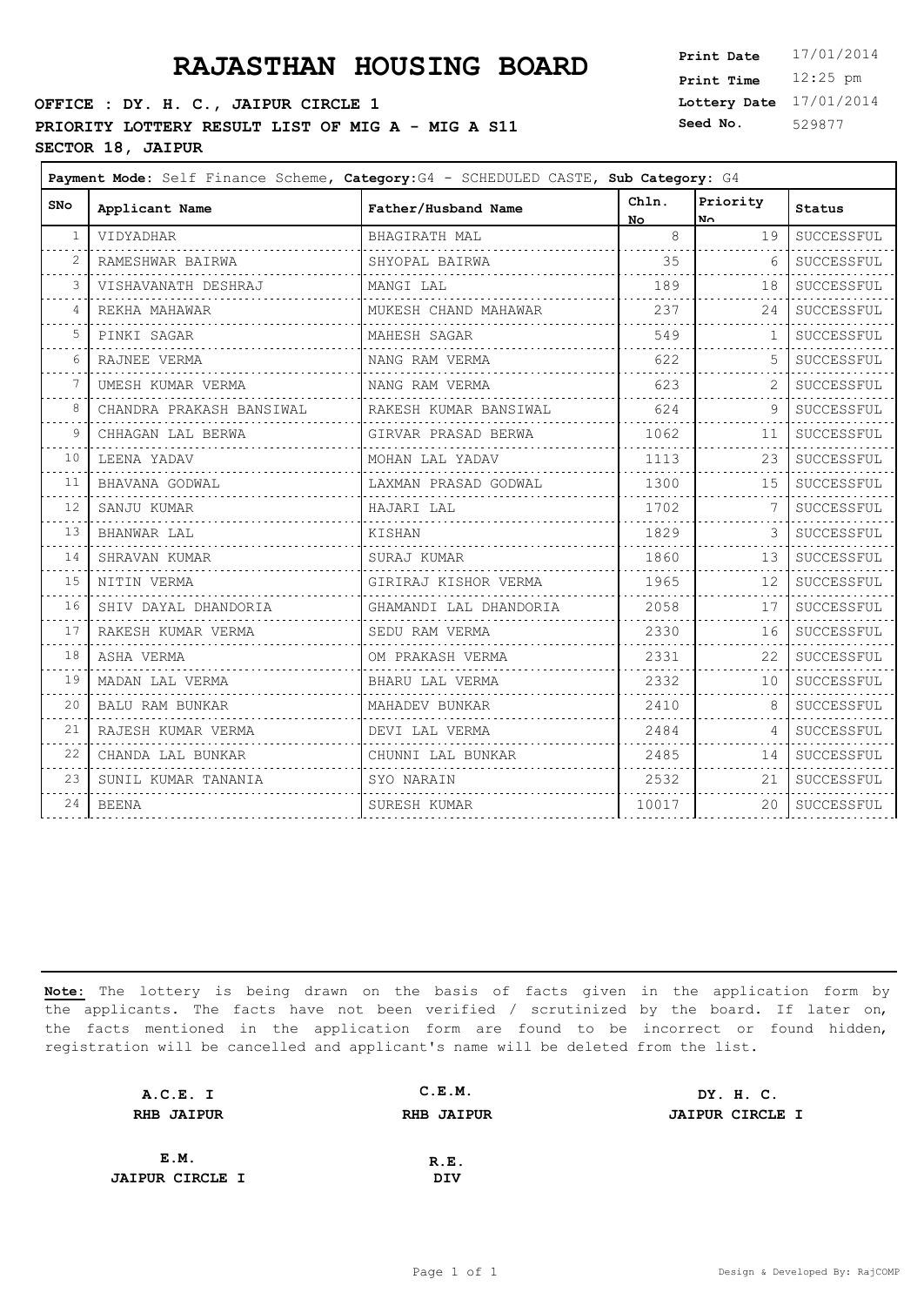## **PRAJASTHAN HOUSING BOARD**

### **OFFICE : DY. H. C., JAIPUR CIRCLE 1** PRIORITY LOTTERY RESULT LIST OF MIG A - MIG A S11 <sup>S</sup> **SECTOR 18, JAIPUR**

| Print Date        | 17/01/2014 |
|-------------------|------------|
| <b>Print Time</b> | $12:25$ pm |
| Lottery Date      | 17/01/2014 |
| Seed No.          | 529877     |

| <b>SNo</b>     | Applicant Name            | Father/Husband Name    | Chln.<br>No. | Priority<br>No. | Status     |
|----------------|---------------------------|------------------------|--------------|-----------------|------------|
| -1             | VIDYADHAR                 | BHAGIRATH MAL          | 8            | 19              | SUCCESSFUL |
|                | RAMESHWAR BAIRWA          | SHYOPAL BAIRWA         | 35           | -6              | SUCCESSFUL |
|                | VISHAVANATH DESHRAJ       | MANGI LAL              | 189          | 18              | SUCCESSFUL |
| $\overline{4}$ | REKHA MAHAWAR             | MUKESH CHAND MAHAWAR   | 237          | 24              | SUCCESSFUL |
| 5              | PINKI SAGAR               | MAHESH SAGAR           | 549          | 1               | SUCCESSFUL |
| 6              | RAJNEE VERMA              | NANG RAM VERMA         | 622          | -5              | SUCCESSFUL |
| 7              | UMESH KUMAR VERMA         | NANG RAM VERMA         | 623          |                 | SUCCESSFUL |
| 8              | CHANDRA PRAKASH BANSIWAL  | RAKESH KUMAR BANSIWAL  | 624          | 9               | SUCCESSFUL |
| 9              | CHHAGAN LAL BERWA         | GIRVAR PRASAD BERWA    | 1062         | 11              | SUCCESSFUL |
| 10             | LEENA YADAV               | MOHAN LAL YADAV        | 1113         | 23              | SUCCESSFUL |
| 11             | BHAVANA GODWAL            | LAXMAN PRASAD GODWAL   | 1300         | 15              | SUCCESSFUL |
| 12             | SANJU KUMAR               | HAJARI LAL             | 1702         |                 | SUCCESSFUL |
| 13             | BHANWAR LAL               | KISHAN                 | 1829         |                 | SUCCESSFUL |
| 14             | SHRAVAN KUMAR             | SURAJ KUMAR            | 1860         | 13              | SUCCESSFUL |
| 15             | NITIN VERMA               | GIRIRAJ KISHOR VERMA   | 1965         | 12              | SUCCESSFUL |
| 16<br>والمحامي | SHIV DAYAL DHANDORIA<br>. | GHAMANDI LAL DHANDORIA | 2058         | 17              | SUCCESSFUL |
| 17             | RAKESH KUMAR VERMA        | SEDU RAM VERMA         | 2330         | 16              | SUCCESSFUL |
| 18             | ASHA VERMA                | OM PRAKASH VERMA       | 2331         | 22              | SUCCESSFUL |
| 19             | MADAN LAL VERMA           | BHARU LAL VERMA        | 2332         | 10              | SUCCESSFUL |
| 20             | BALU RAM BUNKAR           | MAHADEV BUNKAR         | 2410         | -8              | SUCCESSFUL |
| 21             | RAJESH KUMAR VERMA        | DEVI LAL VERMA         | 2484         | $\overline{4}$  | SUCCESSFUL |
| 22             | CHANDA LAL BUNKAR         | CHUNNI LAL BUNKAR      | 2485         | 14              | SUCCESSFUL |
| 23             | SUNIL KUMAR TANANIA       | SYO NARAIN             | 2532         | 21              | SUCCESSFUL |
| 24             | <b>BEENA</b>              | SURESH KUMAR           | 10017        | 20              | SUCCESSFUL |
|                |                           |                        |              |                 |            |

| A.C.E. I               | C.E.M.            | DY. H. C.              |
|------------------------|-------------------|------------------------|
| <b>RHB JAIPUR</b>      | <b>RHB JAIPUR</b> | <b>JAIPUR CIRCLE I</b> |
|                        |                   |                        |
| E.M.                   | R.E.              |                        |
| <b>JAIPUR CIRCLE I</b> | DIV               |                        |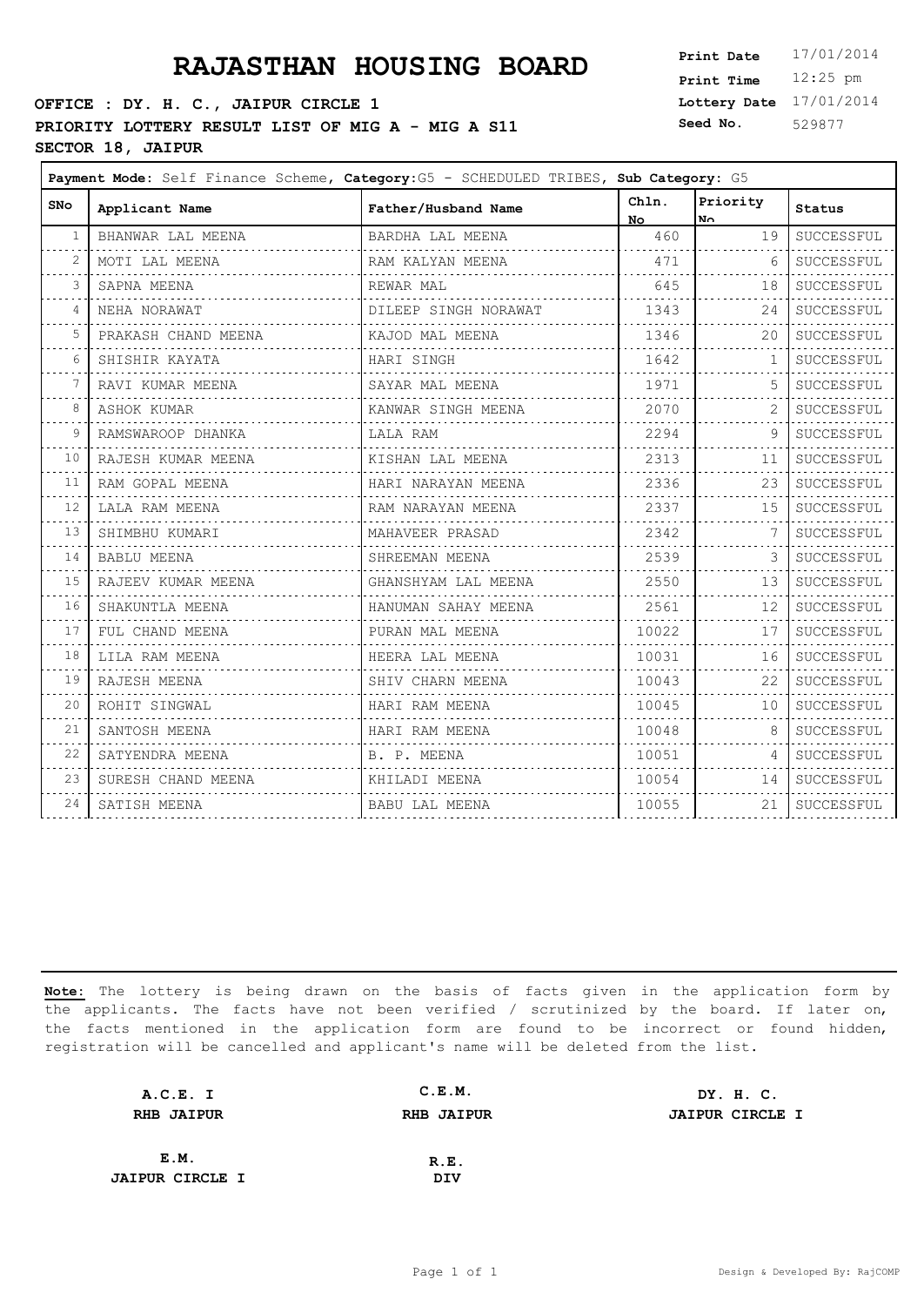## **PRAJASTHAN HOUSING BOARD**

### **OFFICE : DY. H. C., JAIPUR CIRCLE 1** PRIORITY LOTTERY RESULT LIST OF MIG A - MIG A S11 <sup>S</sup> **SECTOR 18, JAIPUR**

 $\mathbf{r}$ 

| Print Date        | 17/01/2014 |
|-------------------|------------|
| <b>Print Time</b> | $12:25$ pm |
| Lottery Date      | 17/01/2014 |
| Seed No.          | 529877     |

┑

| SNo             | Applicant Name                                       | Father/Husband Name  | Chln.<br>No l | Priority<br>No. | <b>Status</b> |
|-----------------|------------------------------------------------------|----------------------|---------------|-----------------|---------------|
| -1              | BHANWAR LAL MEENA                                    | BARDHA LAL MEENA     | 460           | 19              | SUCCESSFUL    |
|                 | MOTI LAL MEENA                                       | RAM KALYAN MEENA     | 471           | -6              | SUCCESSFUL    |
|                 | SAPNA MEENA                                          | REWAR MAL            | 645           | 18              | SUCCESSFUL    |
| 4               | NEHA NORAWAT                                         | DILEEP SINGH NORAWAT | 1343          | 24              | SUCCESSFUL    |
| 5               | PRAKASH CHAND MEENA                                  | KAJOD MAL MEENA      | 1346          | 20              | SUCCESSFUL    |
| 6               | SHISHIR KAYATA                                       | HARI SINGH           | 1642          | 1               | SUCCESSFUL    |
|                 | RAVI KUMAR MEENA                                     | SAYAR MAL MEENA      | 1971          |                 | SUCCESSFUL    |
| 8               | ASHOK KUMAR<br>.                                     | KANWAR SINGH MEENA   | 2070          |                 | SUCCESSFUL    |
| 9               | RAMSWAROOP DHANKA<br>.                               | LALA RAM             | 2294          | 9               | SUCCESSFUL    |
| 10              | RAJESH KUMAR MEENA<br>-----<br>--------------------- | KISHAN LAL MEENA     | 2313          | 11              | SUCCESSFUL    |
| 11              | RAM GOPAL MEENA                                      | HARI NARAYAN MEENA   | 2336          | 23              | SUCCESSFUL    |
| 12              | LALA RAM MEENA                                       | RAM NARAYAN MEENA    | 2337          | 15              | SUCCESSFUL    |
| 13              | SHIMBHU KUMARI                                       | MAHAVEER PRASAD      | 2342          | 7               | SUCCESSFUL    |
| 14              | <b>BABLU MEENA</b>                                   | SHREEMAN MEENA       | 2539          |                 | SUCCESSFUL    |
| 15<br>والمرابين | RAJEEV KUMAR MEENA                                   | GHANSHYAM LAL MEENA  | 2550          | 13              | SUCCESSFUL    |
| 16              | SHAKUNTLA MEENA                                      | HANUMAN SAHAY MEENA  | 2561          | 12              | SUCCESSFUL    |
| 17              | FUL CHAND MEENA                                      | PURAN MAL MEENA      | 10022         | 17              | SUCCESSFUL    |
| 18              | LILA RAM MEENA                                       | HEERA LAL MEENA      | 10031         | 16              | SUCCESSFUL    |
| 19              | RAJESH MEENA                                         | SHIV CHARN MEENA     | 10043         | 22              | SUCCESSFUL    |
| 20              | ROHIT SINGWAL                                        | HARI RAM MEENA       | 10045         | 10 <sup>°</sup> | SUCCESSFUL    |
| 21              | SANTOSH MEENA                                        | HARI RAM MEENA       | 10048         | 8               | SUCCESSFUL    |
| 22              | SATYENDRA MEENA                                      | B. P. MEENA          | 10051         | $\overline{4}$  | SUCCESSFUL    |
| 23              | SURESH CHAND MEENA                                   | KHILADI MEENA        | 10054         | 14              | SUCCESSFUL    |
| 24              | SATISH MEENA                                         | BABU LAL MEENA       | 10055         | 21              | SUCCESSFUL    |
|                 |                                                      |                      |               |                 |               |

| A.C.E. I               | C.E.M.            | DY. H. C.              |
|------------------------|-------------------|------------------------|
| <b>RHB JAIPUR</b>      | <b>RHB JAIPUR</b> | <b>JAIPUR CIRCLE I</b> |
|                        |                   |                        |
| E.M.                   | R.E.              |                        |
| <b>JAIPUR CIRCLE I</b> | DIV               |                        |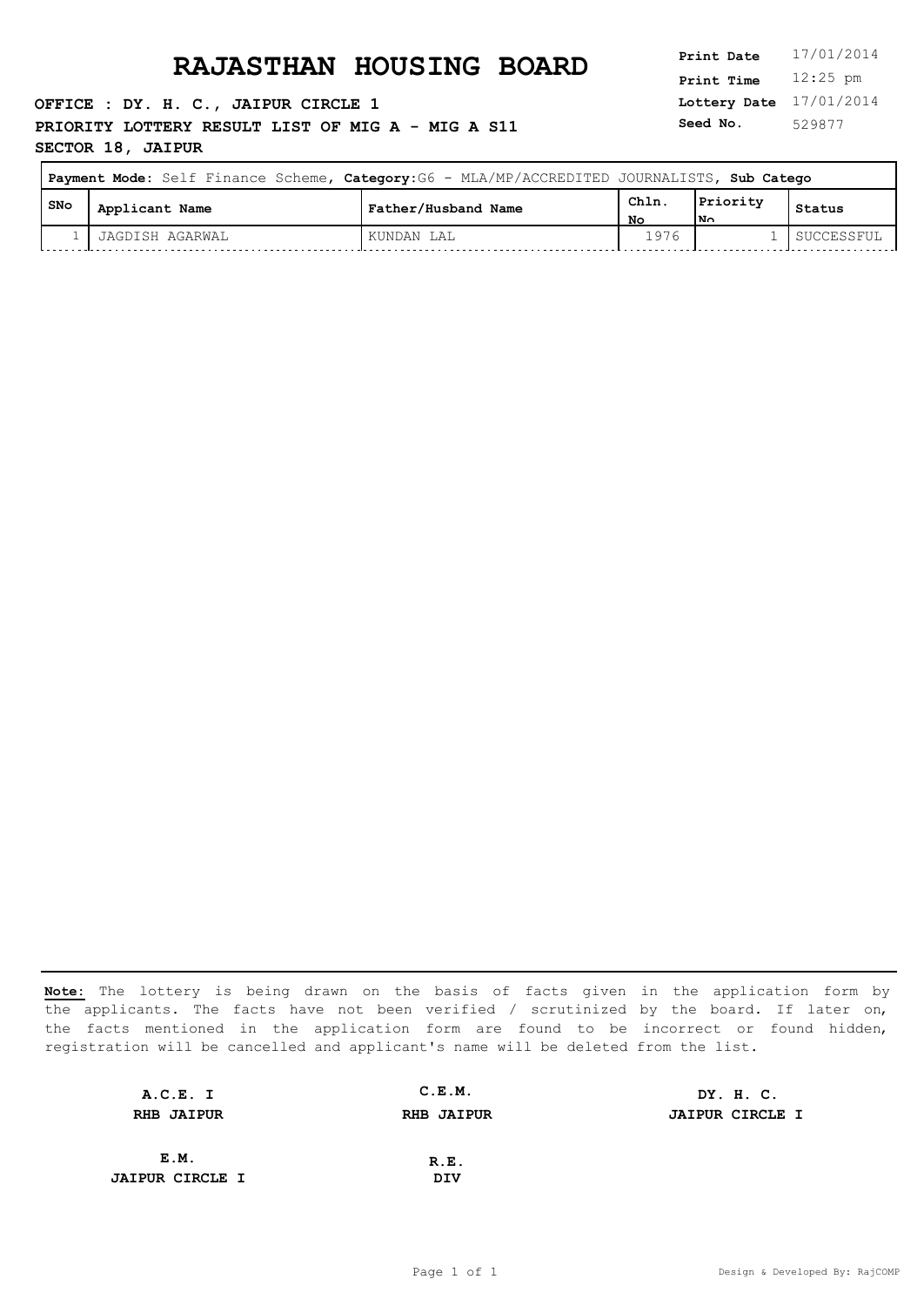**OFFICE : DY. H. C., JAIPUR CIRCLE 1 PRIORITY LOTTERY RESULT LIST OF MIG A - MIG A S11** Seed No. **SECTOR 18, JAIPUR**

**Lottery Date** 17/01/2014 **Print Time** 12:25 pm **Seed No.** 529877

 $\overline{\phantom{0}}$ 

|       | <b>Payment Mode:</b> Self Finance Scheme, Category: G6 - MLA/MP/ACCREDITED JOURNALISTS, Sub Catego |                     |            |                 |            |
|-------|----------------------------------------------------------------------------------------------------|---------------------|------------|-----------------|------------|
| l SNo | Applicant Name                                                                                     | Father/Husband Name | Chln<br>Nο | Priority<br>!N∩ | Status     |
|       | JAGDISH AGARWAL                                                                                    | KUNDAN LAL          | 1976       |                 | SUCCESSFUL |

| A.C.E. I               | C.E.M.            | DY. H. C.              |
|------------------------|-------------------|------------------------|
| <b>RHB JAIPUR</b>      | <b>RHB JAIPUR</b> | <b>JAIPUR CIRCLE I</b> |
|                        |                   |                        |
| E.M.                   | R.E.              |                        |
| <b>JAIPUR CIRCLE I</b> | DIV               |                        |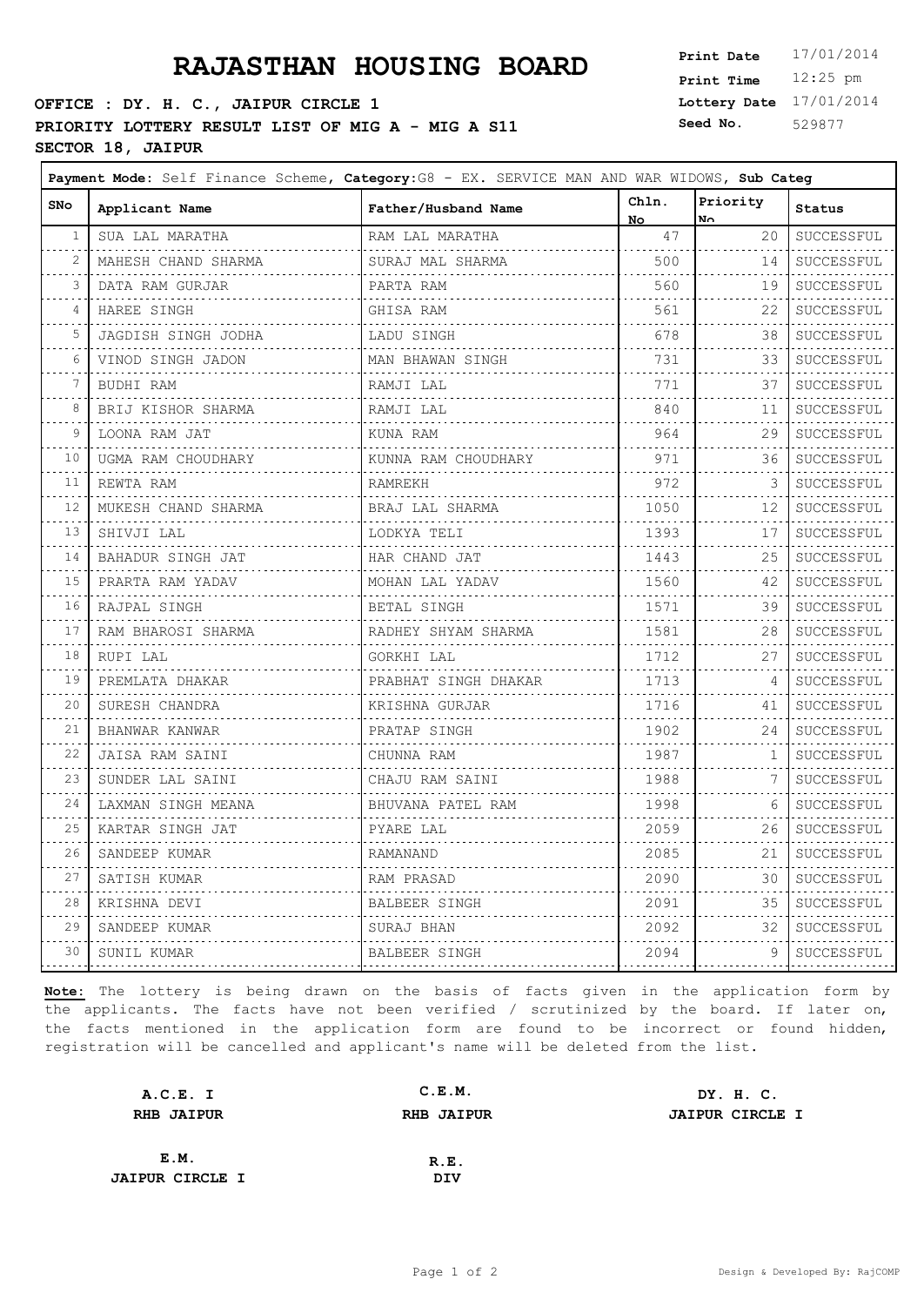## **PRAJASTHAN HOUSING BOARD**

### **OFFICE : DY. H. C., JAIPUR CIRCLE 1** PRIORITY LOTTERY RESULT LIST OF MIG A - MIG A S11 <sup>S</sup> **SECTOR 18, JAIPUR**

 $\Gamma$ 

| <b>Print Date</b> | 17/01/2014 |
|-------------------|------------|
| <b>Print Time</b> | $12:25$ pm |
| Lottery Date      | 17/01/2014 |
| Seed No.          | 529877     |

F

| <b>SNo</b>                 | Applicant Name           | Father/Husband Name  | Chln.<br>No      | Priority<br>$N_{\cap}$ | Status          |
|----------------------------|--------------------------|----------------------|------------------|------------------------|-----------------|
| 1<br>- - - -               | SUA LAL MARATHA          | RAM LAL MARATHA      | 47               | 20                     | SUCCESSFUL      |
| $\overline{2}$             | MAHESH CHAND SHARMA      | SURAJ MAL SHARMA     | 500              | 14                     | SUCCESSFUL      |
| 3                          | DATA RAM GURJAR          | PARTA RAM            | 560              | 19                     | .<br>SUCCESSFUL |
| 4                          | HAREE SINGH              | .<br>GHISA RAM       | 561              | 22                     | SUCCESSFUL      |
| 5                          | JAGDISH SINGH JODHA      | LADU SINGH           | 678              | 38                     | SUCCESSFUL      |
| 6                          | VINOD SINGH JADON        | MAN BHAWAN SINGH     | .<br>731         | 33                     | .<br>SUCCESSFUL |
| 7                          | BUDHI RAM                | RAMJI LAL            | .<br>771         | 37                     | .<br>SUCCESSFUL |
| 8                          | BRIJ KISHOR SHARMA       | RAMJI LAL            | 840              | 11                     | SUCCESSFUL      |
| 9                          | LOONA RAM JAT            | <u>.</u><br>KUNA RAM | 964              | 29                     | .<br>SUCCESSFUL |
| 10                         | UGMA RAM CHOUDHARY       | KUNNA RAM CHOUDHARY  | .<br>971         | .<br>36                | .<br>SUCCESSFUL |
| $\sim$ $\sim$ $\sim$<br>11 | REWTA RAM                | RAMREKH              | 972              | 3                      | .<br>SUCCESSFUL |
| .<br>12                    | MUKESH CHAND SHARMA      | .<br>BRAJ LAL SHARMA | 1050             | .<br>12                | .<br>SUCCESSFUL |
| $\sim$ $\sim$ $\sim$<br>13 | SHIVJI LAL               | LODKYA TELI          | 1393             | 17                     | .<br>SUCCESSFUL |
| .<br>14                    | BAHADUR SINGH JAT        | .<br>HAR CHAND JAT   | .<br>1443        | 25                     | .<br>SUCCESSFUL |
| .<br>15                    | .<br>PRARTA RAM YADAV    | .<br>MOHAN LAL YADAV | .<br>1560        | 42                     | .<br>SUCCESSFUL |
| $\sim$ $\sim$ $\sim$<br>16 | RAJPAL SINGH             | BETAL SINGH          | .<br>1571        | 39                     | SUCCESSFUL      |
| 17                         | RAM BHAROSI SHARMA       | RADHEY SHYAM SHARMA  | .<br>1581        | 28                     | .<br>SUCCESSFUL |
| 18                         | RUPI LAL                 | GORKHI LAL           | 1712             | 27                     | SUCCESSFUL      |
| $\sim$ $\sim$ $\sim$<br>19 | PREMLATA DHAKAR          | PRABHAT SINGH DHAKAR | .<br>1713        | 4                      | .<br>SUCCESSFUL |
| 20                         | SURESH CHANDRA           | KRISHNA GURJAR       | .<br>1716        | 41                     | .<br>SUCCESSFUL |
| 21<br>$\omega \sim 1$      | BHANWAR KANWAR           | PRATAP SINGH<br>.    | 1902<br>.        | 24                     | SUCCESSFUL<br>. |
| 22<br>والمحامر             | JAISA RAM SAINI          | CHUNNA RAM           | 1987<br>.        | $\mathbf{1}$           | SUCCESSFUL      |
| 23                         | SUNDER LAL SAINI         | CHAJU RAM SAINI      | 1988             | 7                      | .<br>SUCCESSFUL |
| 24                         | LAXMAN SINGH MEANA       | BHUVANA PATEL RAM    | 1998             | 6                      | SUCCESSFUL      |
| 25                         | KARTAR SINGH JAT         | PYARE LAL<br>.       | .<br>2059<br>.   | 26                     | .<br>SUCCESSFUL |
| $\sim$ $\sim$ $\sim$<br>26 | .<br>SANDEEP KUMAR       | RAMANAND             | 2085             | 21                     | .<br>SUCCESSFUL |
| والمرامي<br>27             | .<br>SATISH KUMAR        | .<br>RAM PRASAD      | <u>.</u><br>2090 | 30                     | .<br>SUCCESSFUL |
| 28                         | KRISHNA DEVI<br><u>.</u> | BALBEER SINGH        | 2091             | 35                     | SUCCESSFUL      |
| 29                         | SANDEEP KUMAR<br>.       | SURAJ BHAN           | 2092             | 32                     | SUCCESSFUL<br>. |
| 30                         | SUNIL KUMAR              | BALBEER SINGH        | 2094             | 9                      | SUCCESSFUL      |
|                            |                          |                      |                  |                        |                 |

| A.C.E. I               | C.E.M.            | DY. H. C.              |
|------------------------|-------------------|------------------------|
| <b>RHB JAIPUR</b>      | <b>RHB JAIPUR</b> | <b>JAIPUR CIRCLE I</b> |
|                        |                   |                        |
| E.M.                   | R.E.              |                        |
| <b>JAIPUR CIRCLE I</b> | DIV               |                        |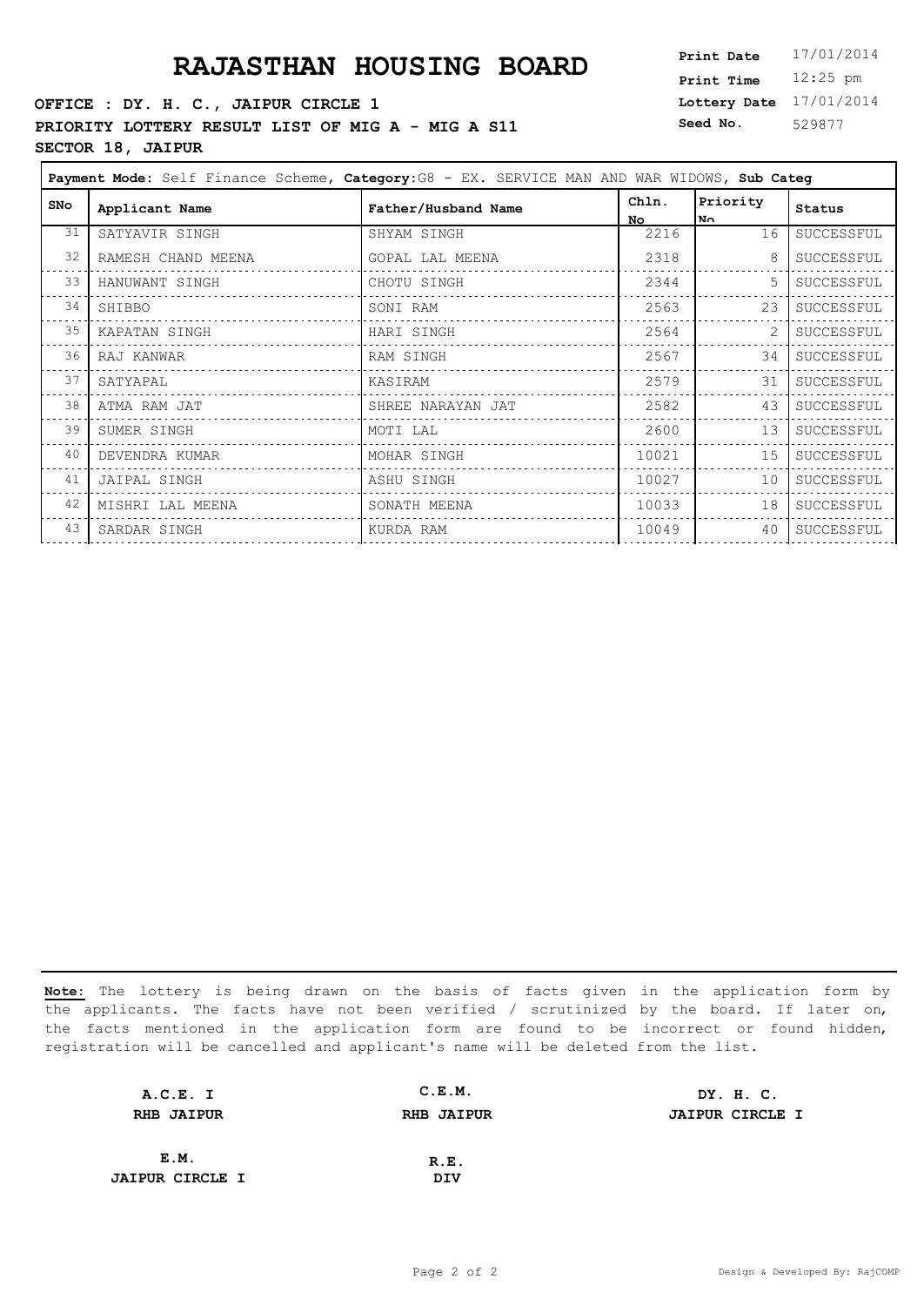### **RAJASTHAN HOUSING BOARD**

**OFFICE : DY. H. C., JAIPUR CIRCLE 1 PRIORITY LOTTERY RESULT LIST OF MIG A - MIG A S11 SECTOR 18, JAIPUR**

| <b>Print Date</b> | 17/01/2014 |
|-------------------|------------|
| <b>Print Time</b> | $12:25$ pm |
| Lottery Date      | 17/01/2014 |
| Seed No.          | 529877     |

| Payment Mode: Self Finance Scheme, Category: G8 - EX. SERVICE MAN AND WAR WIDOWS, Sub Categ |                    |                     |              |                 |            |
|---------------------------------------------------------------------------------------------|--------------------|---------------------|--------------|-----------------|------------|
| SNO                                                                                         | Applicant Name     | Father/Husband Name | Chln.<br>No. | Priority<br>No. | Status     |
| 31                                                                                          | SATYAVIR SINGH     | SHYAM SINGH         | 2216         | 16              | SUCCESSFUL |
| 32                                                                                          | RAMESH CHAND MEENA | GOPAL LAL MEENA     | 2318         | 8               | SUCCESSFUL |
| 33                                                                                          | HANUWANT SINGH     | CHOTU SINGH         | 2344         |                 | SUCCESSFUL |
| 34                                                                                          | SHIBBO             | SONI RAM            | 2563         | 23              | SUCCESSFUL |
| 35                                                                                          | KAPATAN SINGH      | HARI SINGH          | 2564         |                 | SUCCESSFUL |
| 36                                                                                          | RAJ KANWAR         | RAM SINGH           | 2567         | 34              | SUCCESSFUL |
| 37                                                                                          | SATYAPAL           | KASIRAM             | 2579         | 31              | SUCCESSFUL |
| 38                                                                                          | ATMA RAM JAT       | SHREE NARAYAN JAT   | 2582         | 43              | SUCCESSFUL |
| 39                                                                                          | SUMER SINGH        | MOTI LAL            | 2600         | 13              | SUCCESSFUL |
| 40                                                                                          | DEVENDRA KUMAR     | MOHAR SINGH         | 10021        | 15              | SUCCESSFUL |
| 41                                                                                          | JAIPAL SINGH       | ASHU SINGH          | 10027        | 10              | SUCCESSFUL |
| 42                                                                                          | MISHRI LAL MEENA   | SONATH MEENA        | 10033        | 18              | SUCCESSFUL |
| 43                                                                                          | SARDAR SINGH       | KURDA RAM           | 10049        | 40              | SUCCESSFUL |
|                                                                                             |                    |                     |              |                 |            |

| A.C.E. I               | C.E.M.            | DY. H. C.              |
|------------------------|-------------------|------------------------|
| <b>RHB JAIPUR</b>      | <b>RHB JAIPUR</b> | <b>JAIPUR CIRCLE I</b> |
|                        |                   |                        |
| E.M.                   | R.E.              |                        |
| <b>JAIPUR CIRCLE I</b> | DIV               |                        |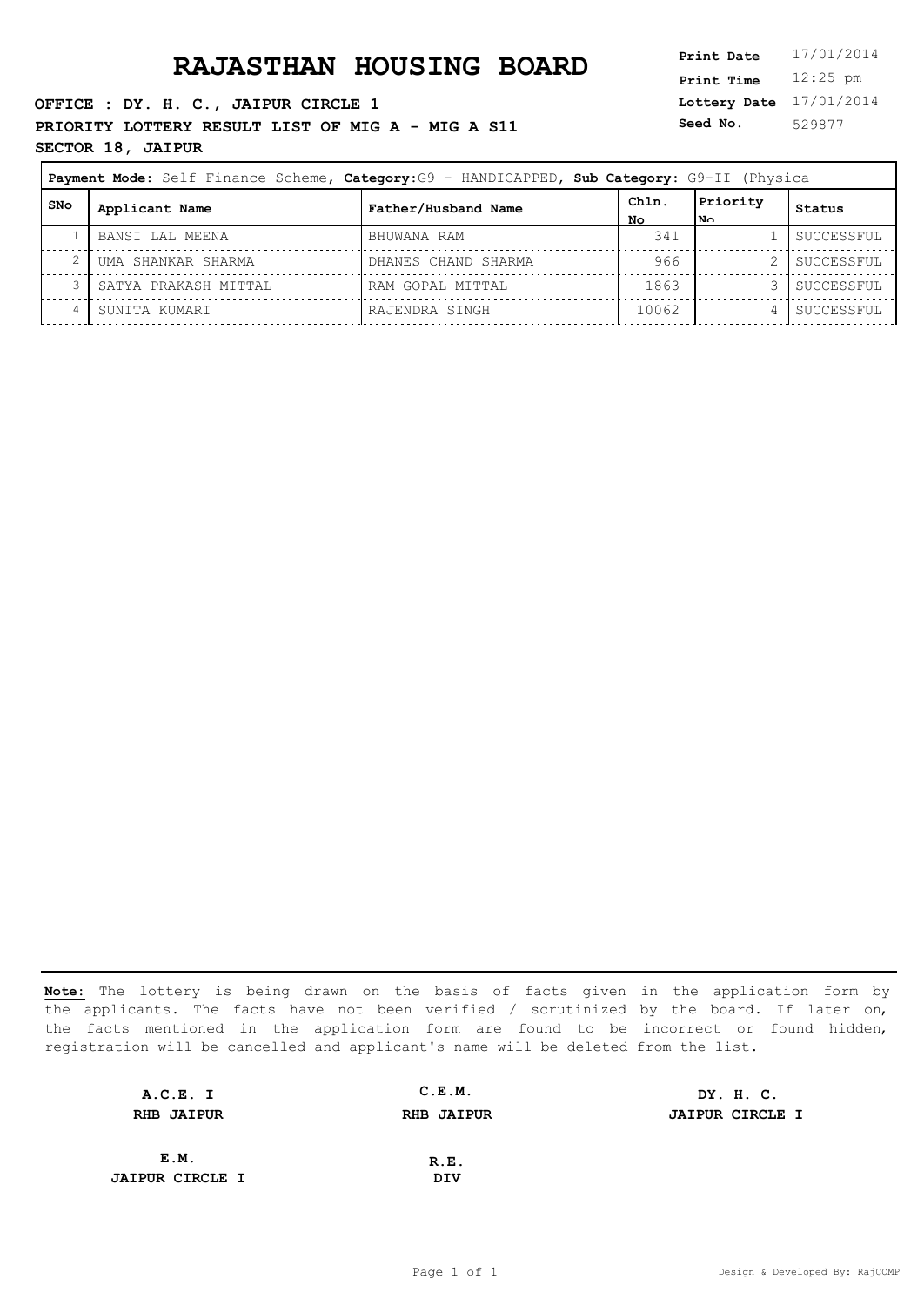**OFFICE : DY. H. C., JAIPUR CIRCLE 1 PRIORITY LOTTERY RESULT LIST OF MIG A - MIG A S11** Seed No. **SECTOR 18, JAIPUR**

**Lottery Date** 17/01/2014 **Print Time** 12:25 pm **Seed No.** 529877

| Payment Mode: Self Finance Scheme, Category:G9 - HANDICAPPED, Sub Category: G9-II (Physica |                      |                     |             |                  |            |
|--------------------------------------------------------------------------------------------|----------------------|---------------------|-------------|------------------|------------|
| l SNo                                                                                      | Applicant Name       | Father/Husband Name | ChIn.<br>NΟ | Priority<br>lN∩. | Status     |
|                                                                                            | BANSI LAL MEENA      | BHUWANA RAM         | 341         |                  | SUCCESSFUL |
|                                                                                            | UMA SHANKAR SHARMA   | DHANES CHAND SHARMA | 966         |                  | SUCCESSFUL |
|                                                                                            | SATYA PRAKASH MITTAL | RAM GOPAL MITTAL    | 1863        |                  | SUCCESSFUL |
|                                                                                            | SUNITA KUMARI        | RAJENDRA SINGH      | 10062       |                  | SUCCESSFUL |

| A.C.E. I               | C.E.M.            | DY. H. C.              |
|------------------------|-------------------|------------------------|
| <b>RHB JAIPUR</b>      | <b>RHB JAIPUR</b> | <b>JAIPUR CIRCLE I</b> |
|                        |                   |                        |
| E.M.                   | R.E.              |                        |
| <b>JAIPUR CIRCLE I</b> | DIV               |                        |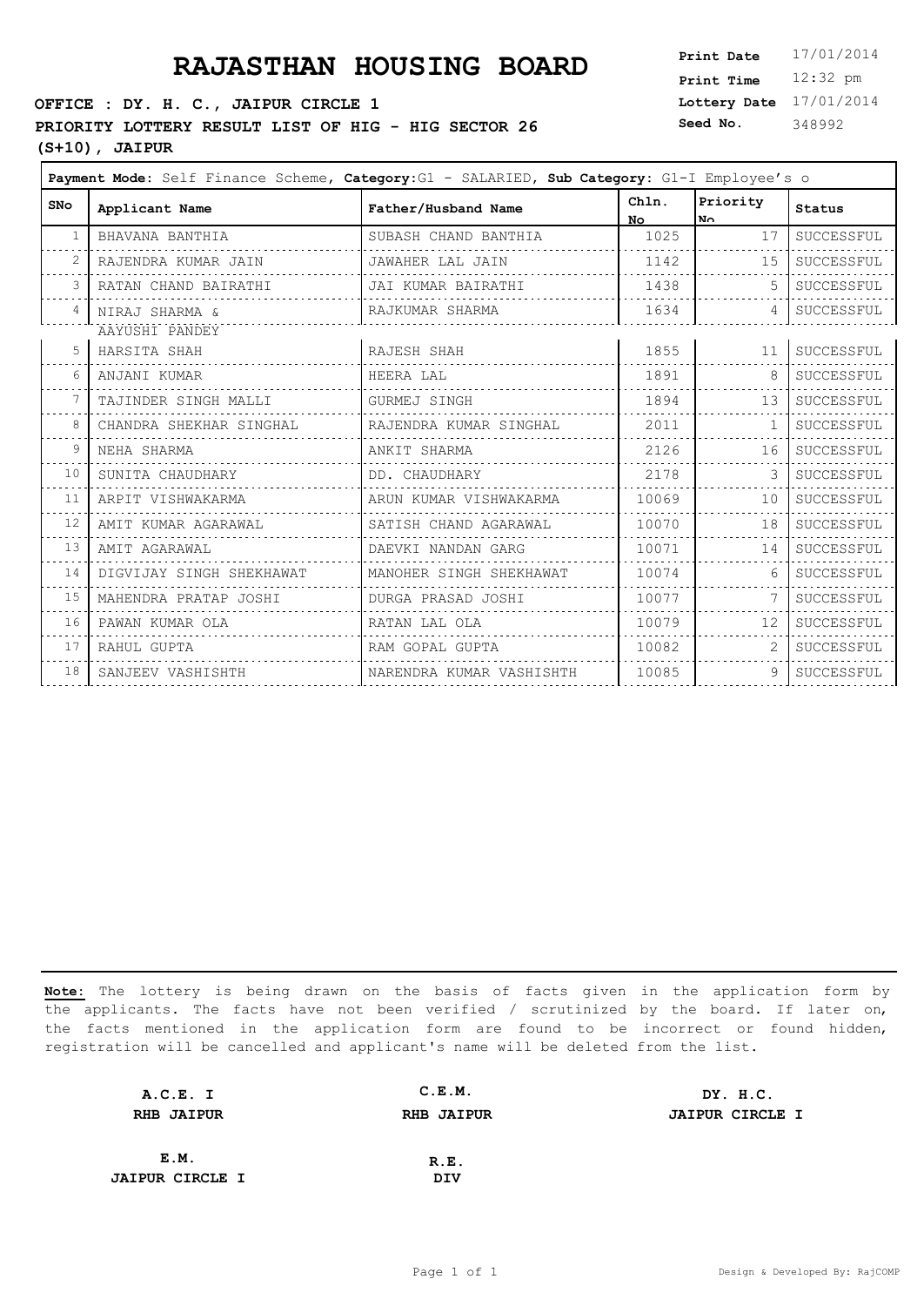# **PRAJASTHAN HOUSING BOARD**

#### **OFFICE : DY. H. C., JAIPUR CIRCLE 1**

### **PRIORITY LOTTERY RESULT LIST OF HIG - HIG SECTOR 26**

**(S+10), JAIPUR**

| <b>Print Date</b> | 17/01/2014 |
|-------------------|------------|
| <b>Print Time</b> | $12:32$ pm |
| Lottery Date      | 17/01/2014 |
| Seed No.          | 348992     |

| <b>SNo</b> | Applicant Name           | Father/Husband Name      | Chln.<br>No | Priority<br>No. | <b>Status</b> |
|------------|--------------------------|--------------------------|-------------|-----------------|---------------|
|            | BHAVANA BANTHIA          | SUBASH CHAND BANTHIA     | 1025        | 17              | SUCCESSFUL    |
|            | RAJENDRA KUMAR JAIN      | JAWAHER LAL JAIN         | 1142        | 15              | SUCCESSFUL    |
|            | RATAN CHAND BAIRATHI     | JAI KUMAR BAIRATHI       | 1438        | 5               | SUCCESSFUL    |
|            | NIRAJ SHARMA &           | RAJKUMAR SHARMA          | 1634        | 4               | SUCCESSFUL    |
|            | AAYUSHI PANDEY           |                          |             |                 |               |
|            | HARSITA SHAH             | RAJESH SHAH              | 1855        | 11              | SUCCESSFUL    |
|            | ANJANI KUMAR             | HEERA LAL                | 1891        | 8               | SUCCESSFUL    |
|            | TAJINDER SINGH MALLI     | GURMEJ SINGH             | 1894        | 13              | SUCCESSFUL    |
|            | CHANDRA SHEKHAR SINGHAL  | RAJENDRA KUMAR SINGHAL   | 2011        | $\mathbf{1}$    | SUCCESSFUL    |
| 9          | NEHA SHARMA              | ANKIT SHARMA             | 2126        | 16              | SUCCESSFUL    |
| 10         | SUNITA CHAUDHARY         | DD. CHAUDHARY            | 2178        | 3               | SUCCESSFUL    |
| 11         | ARPIT VISHWAKARMA        | ARUN KUMAR VISHWAKARMA   | 10069       | 10              | SUCCESSFUL    |
| 12         | AMIT KUMAR AGARAWAL      | SATISH CHAND AGARAWAL    | 10070       | 18              | SUCCESSFUL    |
| 13         | AMIT AGARAWAL            | DAEVKI NANDAN GARG       | 10071       | 14              | SUCCESSFUL    |
| 14         | DIGVIJAY SINGH SHEKHAWAT | MANOHER SINGH SHEKHAWAT  | 10074       | 6               | SUCCESSFUL    |
| 15         | MAHENDRA PRATAP JOSHI    | DURGA PRASAD JOSHI       | 10077       |                 | SUCCESSFUL    |
| 16         | PAWAN KUMAR OLA          | RATAN LAL OLA            | 10079       | 12 <sup>°</sup> | SUCCESSFUL    |
| 17         | RAHUL GUPTA              | RAM GOPAL GUPTA          | 10082       | 2               | SUCCESSFUL    |
| 18         | SANJEEV VASHISHTH        | NARENDRA KUMAR VASHISHTH | 10085       | 9               | SUCCESSFUL    |

| A.C.E. I               | C.E.M.            | DY. H.C.               |
|------------------------|-------------------|------------------------|
| <b>RHB JAIPUR</b>      | <b>RHB JAIPUR</b> | <b>JAIPUR CIRCLE I</b> |
|                        |                   |                        |
| E.M.                   | R.E.              |                        |
| <b>JAIPUR CIRCLE I</b> | DIV               |                        |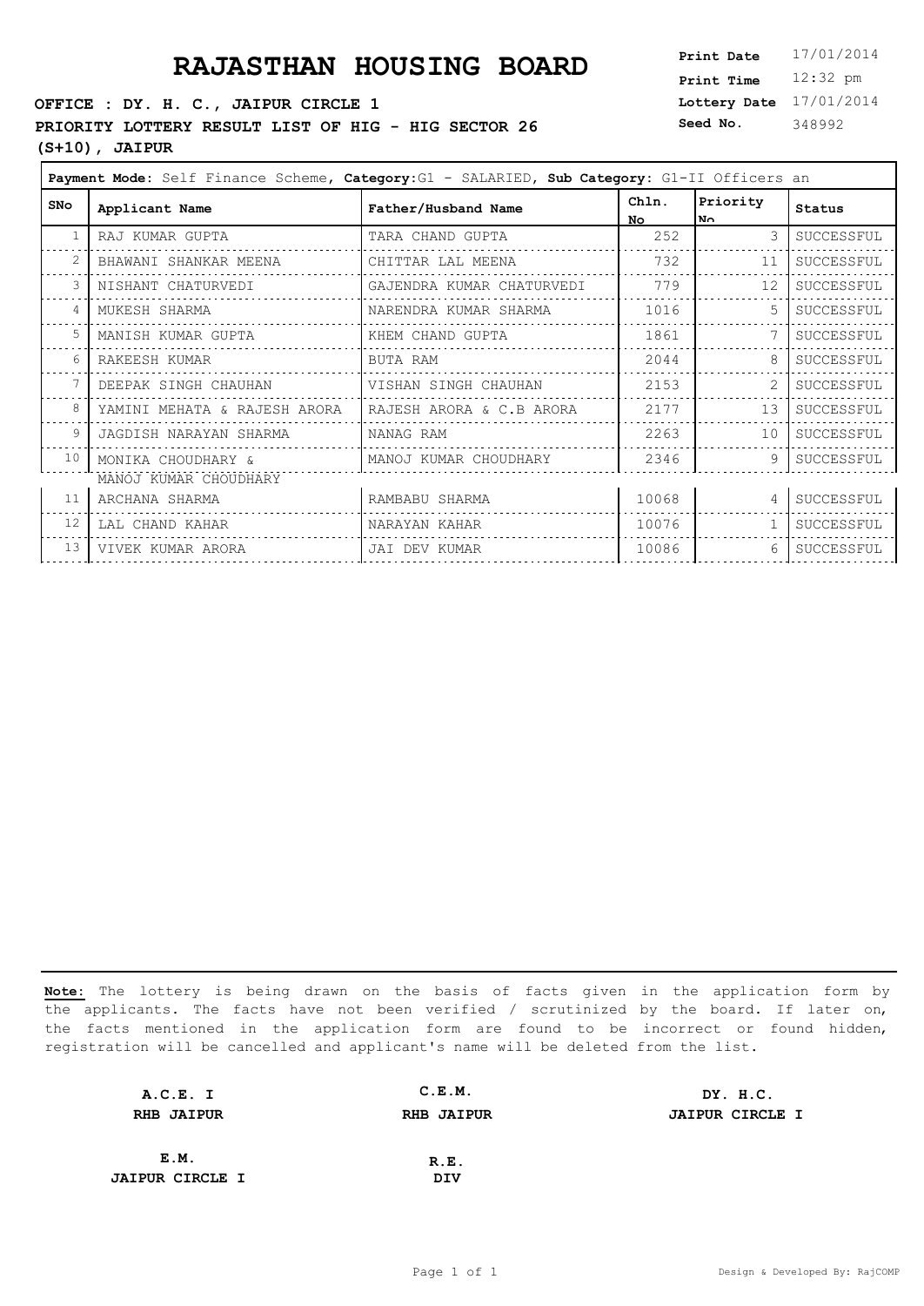# **PRAJASTHAN HOUSING BOARD**

#### **OFFICE : DY. H. C., JAIPUR CIRCLE 1**

### **PRIORITY LOTTERY RESULT LIST OF HIG - HIG SECTOR 26**

**(S+10), JAIPUR**

| <b>Print Date</b> | 17/01/2014 |
|-------------------|------------|
| <b>Print Time</b> | $12:32$ pm |
| Lottery Date      | 17/01/2014 |
| Seed No.          | 348992     |

| <b>SNo</b> | Applicant Name                              | Father/Husband Name       | Chln.<br>No | Priority<br>l No  | <b>Status</b> |
|------------|---------------------------------------------|---------------------------|-------------|-------------------|---------------|
|            | RAJ KUMAR GUPTA                             | TARA CHAND GUPTA          | 252         | $\mathcal{S}$     | SUCCESSFUL    |
|            | BHAWANI SHANKAR MEENA                       | CHITTAR LAL MEENA         | 732         | 11                | SUCCESSFUL    |
|            | NISHANT CHATURVEDI                          | GAJENDRA KUMAR CHATURVEDI | 779         | $12 \overline{ }$ | SUCCESSFUL    |
|            | MUKESH SHARMA                               | NARENDRA KUMAR SHARMA     | 1016        |                   | SUCCESSFUL    |
|            | MANISH KUMAR GUPTA                          | KHEM CHAND GUPTA          | 1861        |                   | SUCCESSFUL    |
|            | RAKEESH KUMAR                               | BUTA RAM                  | 2044        | 8                 | SUCCESSFUL    |
|            | DEEPAK SINGH CHAUHAN                        | VISHAN SINGH CHAUHAN      | 2153        |                   | SUCCESSFUL    |
|            | YAMINI MEHATA & RAJESH ARORA                | RAJESH ARORA & C.B ARORA  | 2177        | 13                | SUCCESSFUL    |
|            | JAGDISH NARAYAN SHARMA                      | NANAG RAM                 | 2263        | 10                | SUCCESSFUL    |
| 10         | MONIKA CHOUDHARY &<br>MANOJ KUMAR CHOUDHARY | MANOJ KUMAR CHOUDHARY     | 2346        | 9                 | SUCCESSFUL    |
| 11         | ARCHANA SHARMA                              | RAMBABU SHARMA            | 10068       | $\overline{4}$    | SUCCESSFUL    |
| 12         | LAL CHAND KAHAR                             | NARAYAN KAHAR             | 10076       |                   | SUCCESSFUL    |
| 13         | VIVEK KUMAR ARORA                           | JAI DEV KUMAR             | 10086       | 6                 | SUCCESSFUL    |
|            |                                             |                           |             |                   |               |

| A.C.E. I               | C.E.M.            | DY. H.C.               |
|------------------------|-------------------|------------------------|
| <b>RHB JAIPUR</b>      | <b>RHB JAIPUR</b> | <b>JAIPUR CIRCLE I</b> |
|                        |                   |                        |
| E.M.                   | R.E.              |                        |
| <b>JAIPUR CIRCLE I</b> | DIV               |                        |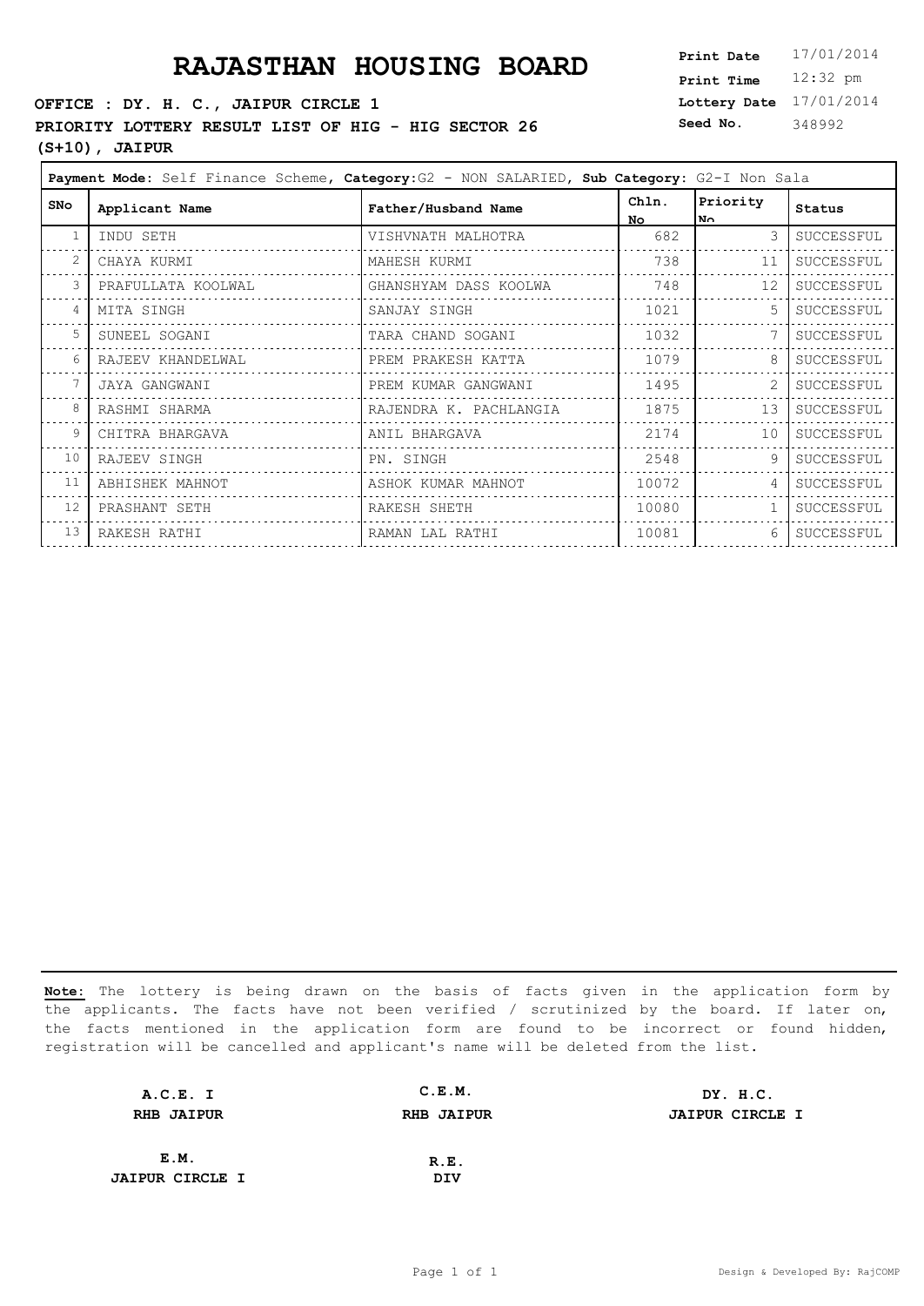#### **OFFICE : DY. H. C., JAIPUR CIRCLE 1**

### **PRIORITY LOTTERY RESULT LIST OF HIG - HIG SECTOR 26** Seed No.

### **(S+10), JAIPUR**

**Lottery Date** 17/01/2014 **Print Time** 12:32 pm **Seed No.** 348992

|            |                    | Payment Mode: Self Finance Scheme, Category: G2 - NON SALARIED, Sub Category: G2-I Non Sala |              |                  |            |
|------------|--------------------|---------------------------------------------------------------------------------------------|--------------|------------------|------------|
| <b>SNo</b> | Applicant Name     | Father/Husband Name                                                                         | Chln.<br>No. | Priority<br>l N∩ | Status     |
| -1         | INDU SETH          | VISHVNATH MALHOTRA                                                                          | 682          | 3                | SUCCESSFUL |
|            | CHAYA KURMI        | MAHESH KURMI                                                                                | 738          | 11               | SUCCESSFUL |
| 3          | PRAFULLATA KOOLWAL | GHANSHYAM DASS KOOLWA                                                                       | 748          | 12               | SUCCESSFUL |
| 4          | MITA SINGH         | SANJAY SINGH                                                                                | 1021         |                  | SUCCESSFUL |
| .5         | SUNEEL SOGANI      | TARA CHAND SOGANI                                                                           | 1032         |                  | SUCCESSFUL |
| 6          | RAJEEV KHANDELWAL  | PREM PRAKESH KATTA                                                                          | 1079         | 8                | SUCCESSFUL |
|            | JAYA GANGWANI      | PREM KUMAR GANGWANI                                                                         | 1495         | $\overline{2}$   | SUCCESSFUL |
| 8          | RASHMI SHARMA      | RAJENDRA K. PACHLANGIA                                                                      | 1875         | 13               | SUCCESSFUL |
| 9          | CHITRA BHARGAVA    | ANIL BHARGAVA                                                                               | 2174         | 10               | SUCCESSFUL |
| 10         | RAJEEV SINGH       | PN. SINGH                                                                                   | 2548         | 9                | SUCCESSFUL |
| 11         | ABHISHEK MAHNOT    | ASHOK KUMAR MAHNOT                                                                          | 10072        | $\overline{4}$   | SUCCESSFUL |
| 12         | PRASHANT SETH      | RAKESH SHETH                                                                                | 10080        |                  | SUCCESSFUL |
| 13         | RAKESH RATHI       | RAMAN LAL RATHI                                                                             | 10081        | 6                | SUCCESSFUL |

| A.C.E. I               | C.E.M.            | DY. H.C.               |
|------------------------|-------------------|------------------------|
| <b>RHB JAIPUR</b>      | <b>RHB JAIPUR</b> | <b>JAIPUR CIRCLE I</b> |
|                        |                   |                        |
| E.M.                   | R.E.              |                        |
| <b>JAIPUR CIRCLE I</b> | DIV               |                        |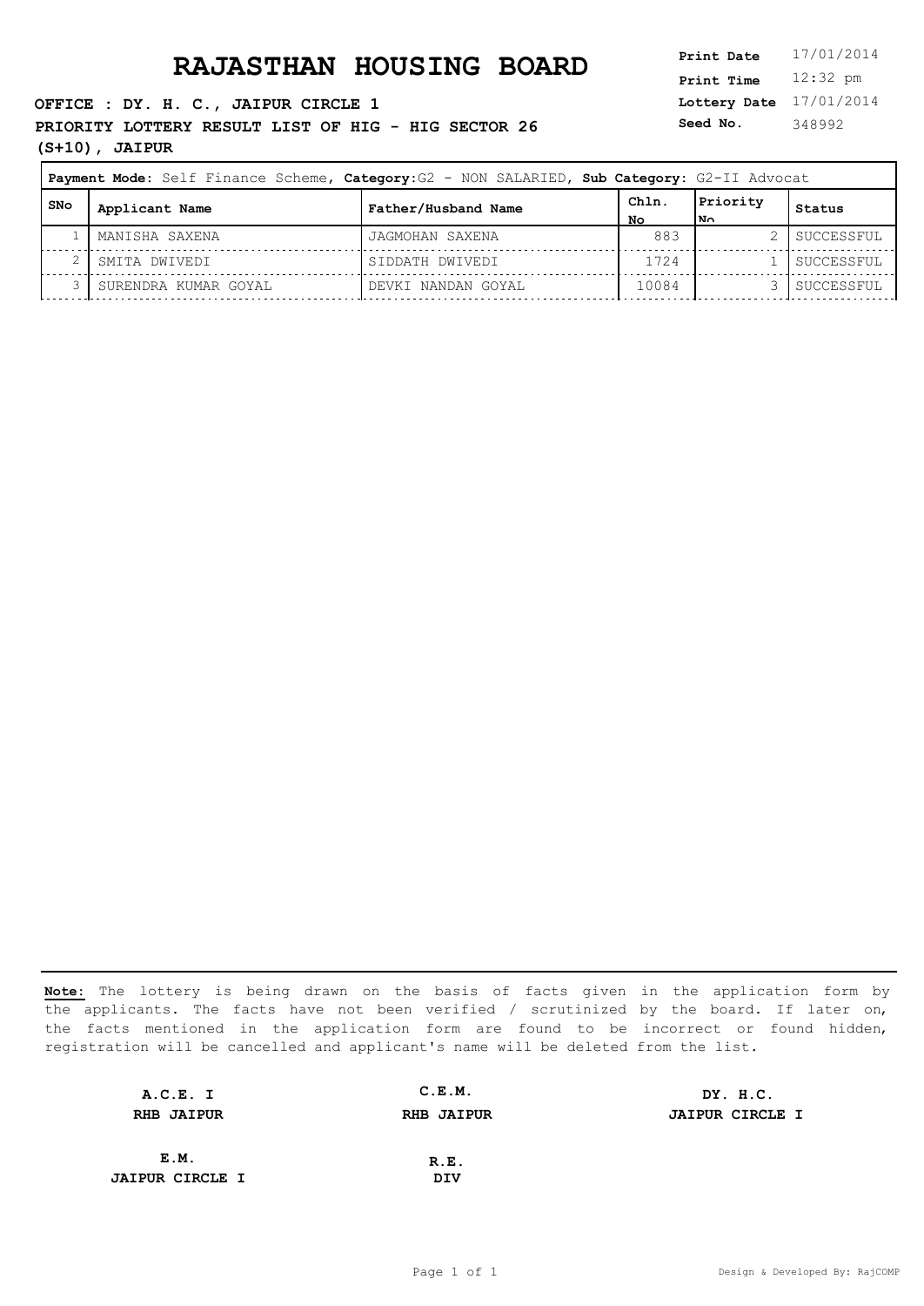#### **OFFICE : DY. H. C., JAIPUR CIRCLE 1**

PRIORITY LOTTERY RESULT LIST OF HIG - HIG SECTOR 26 **Seed No. (S+10), JAIPUR**

### **Lottery Date** 17/01/2014 **Print Time** 12:32 pm **Seed No.** 348992

|     | Payment Mode: Self Finance Scheme, Category: G2 - NON SALARIED, Sub Category: G2-II Advocat |                     |            |                 |            |
|-----|---------------------------------------------------------------------------------------------|---------------------|------------|-----------------|------------|
| SNo | Applicant Name                                                                              | Father/Husband Name | ChIn<br>NΟ | Priority<br>lм∩ | Status     |
|     | MANISHA SAXENA                                                                              | JAGMOHAN SAXENA     | 883        |                 | SUCCESSFUL |
|     | SMITA DWIVEDI                                                                               | SIDDATH DWIVEDI     | 1724       |                 | SUCCESSFUL |
|     | SURENDRA KUMAR GOYAL                                                                        | DEVKI NANDAN GOYAL  | 10084      |                 | SUCCESSFUL |

| A.C.E. I               | C.E.M.            | DY. H.C.               |
|------------------------|-------------------|------------------------|
| <b>RHB JAIPUR</b>      | <b>RHB JAIPUR</b> | <b>JAIPUR CIRCLE I</b> |
|                        |                   |                        |
| E.M.                   | R.E.              |                        |
| <b>JAIPUR CIRCLE I</b> | DIV               |                        |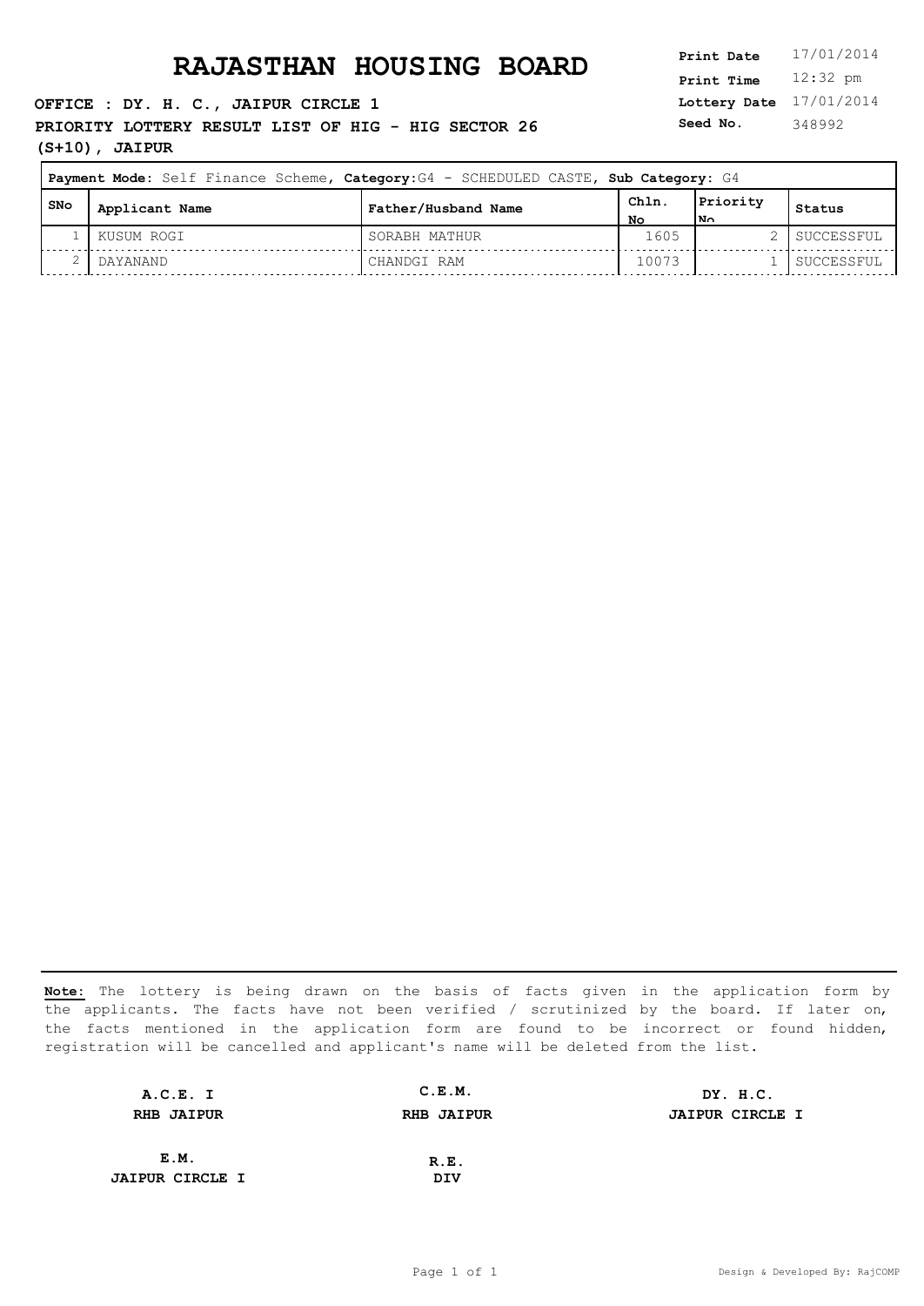#### **OFFICE : DY. H. C., JAIPUR CIRCLE 1**

**PRIORITY LOTTERY RESULT LIST OF HIG - HIG SECTOR 26** Seed No.

**(S+10), JAIPUR**

**Lottery Date** 17/01/2014 **Print Time** 12:32 pm **Seed No.** 348992

|       | Payment Mode: Self Finance Scheme, Category: G4 - SCHEDULED CASTE, Sub Category: G4 |                     |            |                             |            |
|-------|-------------------------------------------------------------------------------------|---------------------|------------|-----------------------------|------------|
| l SNo | Applicant Name                                                                      | Father/Husband Name | ChIn<br>No | Priority<br>1N <sub>0</sub> | Status     |
|       | KUSUM ROGI                                                                          | SORABH MATHUR       | 1605       |                             | SUCCESSFUL |
|       | DAYANAND                                                                            | CHANDGI RAM         | 10073      |                             | SUCCESSFUL |

| A.C.E. I               | C.E.M.            | DY. H.C.               |
|------------------------|-------------------|------------------------|
| <b>RHB JAIPUR</b>      | <b>RHB JAIPUR</b> | <b>JAIPUR CIRCLE I</b> |
|                        |                   |                        |
| E.M.                   | R.E.              |                        |
| <b>JAIPUR CIRCLE I</b> | DIV               |                        |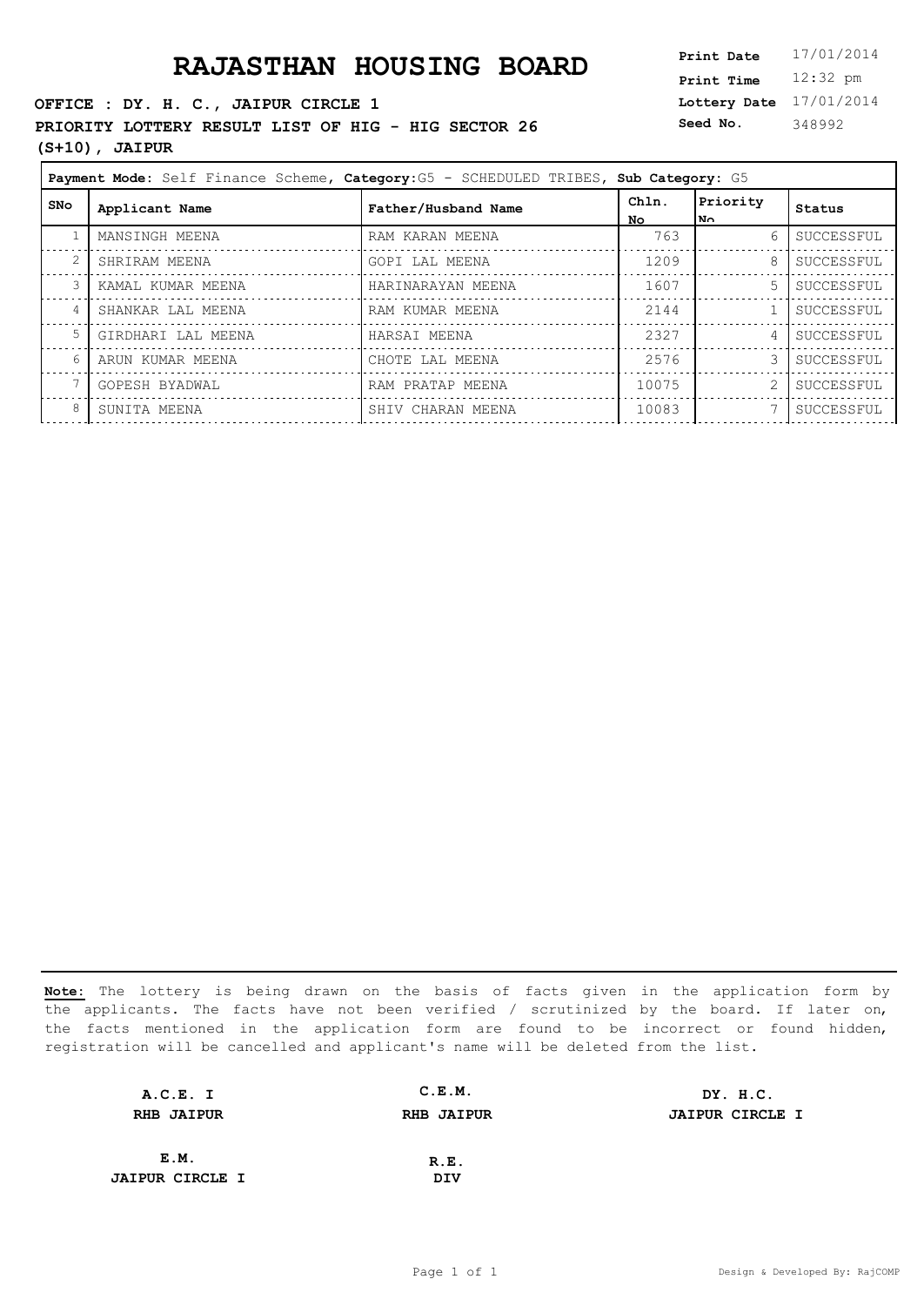### **RAJASTHAN HOUSING BOARD**

#### **OFFICE : DY. H. C., JAIPUR CIRCLE 1**

PRIORITY LOTTERY RESULT LIST OF HIG - HIG SECTOR 26

### **(S+10), JAIPUR**

| <b>Print Date</b> | 17/01/2014 |
|-------------------|------------|
| <b>Print Time</b> | $12:32$ pm |
| Lottery Date      | 17/01/2014 |
| Seed No.          | 348992     |

|            | Payment Mode: Self Finance Scheme, Category: G5 - SCHEDULED TRIBES, Sub Category: G5 |                     |              |                  |            |  |
|------------|--------------------------------------------------------------------------------------|---------------------|--------------|------------------|------------|--|
| <b>SNo</b> | Applicant Name                                                                       | Father/Husband Name | Chln.<br>No. | Priority<br>l N∩ | Status     |  |
|            | MANSINGH MEENA                                                                       | RAM KARAN MEENA     | 763          | 6                | SUCCESSFUL |  |
|            | SHRIRAM MEENA                                                                        | GOPI LAL MEENA      | 1209         | 8                | SUCCESSFUL |  |
|            | KAMAL KUMAR MEENA                                                                    | HARINARAYAN MEENA   | 1607         | 5.               | SUCCESSFUL |  |
| 4          | SHANKAR LAL MEENA                                                                    | RAM KUMAR MEENA     | 2144         |                  | SUCCESSFUL |  |
|            | GIRDHARI LAL MEENA                                                                   | HARSAI MEENA        | 2327         | 4                | SUCCESSFUL |  |
| 6          | ARUN KUMAR MEENA                                                                     | CHOTE LAL MEENA     | 2576         | 3                | SUCCESSFUL |  |
|            | GOPESH BYADWAL                                                                       | RAM PRATAP MEENA    | 10075        |                  | SUCCESSFUL |  |
| 8          | SUNITA MEENA                                                                         | SHIV CHARAN MEENA   | 10083        |                  | SUCCESSFUL |  |
|            |                                                                                      |                     |              |                  |            |  |

| A.C.E. I               | C.E.M.            | DY. H.C.               |
|------------------------|-------------------|------------------------|
| <b>RHB JAIPUR</b>      | <b>RHB JAIPUR</b> | <b>JAIPUR CIRCLE I</b> |
|                        |                   |                        |
| E.M.                   | R.E.              |                        |
| <b>JAIPUR CIRCLE I</b> | DIV               |                        |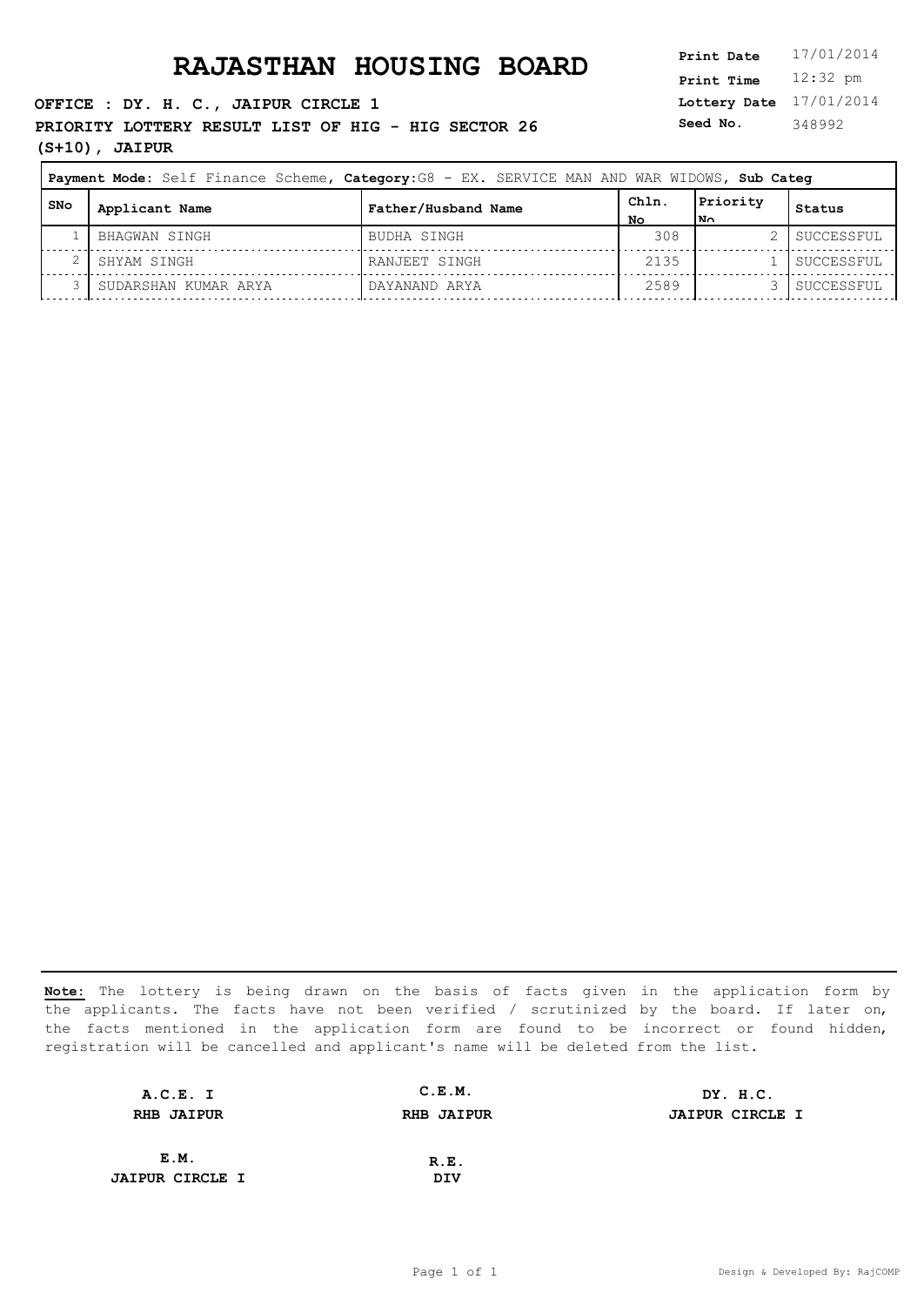**OFFICE : DY. H. C., JAIPUR CIRCLE 1**

**PRIORITY LOTTERY RESULT LIST OF HIG - HIG SECTOR 26** Seed No. **(S+10), JAIPUR**

**Lottery Date** 17/01/2014 **Print Time** 12:32 pm **Seed No.** 348992

|     | Payment Mode: Self Finance Scheme, Category: G8 - EX. SERVICE MAN AND WAR WIDOWS, Sub Categ |                     |            |                  |            |  |
|-----|---------------------------------------------------------------------------------------------|---------------------|------------|------------------|------------|--|
| SNo | Applicant Name                                                                              | Father/Husband Name | ChIn<br>NΟ | Priority<br>l No | Status     |  |
|     | BHAGWAN SINGH                                                                               | BUDHA SINGH         | 308        |                  | SUCCESSFUL |  |
|     | SHYAM SINGH                                                                                 | RANJEET SINGH       | 2135       |                  | SUCCESSFUL |  |
|     | SUDARSHAN KUMAR ARYA                                                                        | DAYANAND ARYA       | 2589       |                  | SUCCESSFUL |  |

| A.C.E. I               | C.E.M.            | DY. H.C.               |
|------------------------|-------------------|------------------------|
| <b>RHB JAIPUR</b>      | <b>RHB JAIPUR</b> | <b>JAIPUR CIRCLE I</b> |
|                        |                   |                        |
| E.M.                   | R.E.              |                        |
| <b>JAIPUR CIRCLE I</b> | DIV               |                        |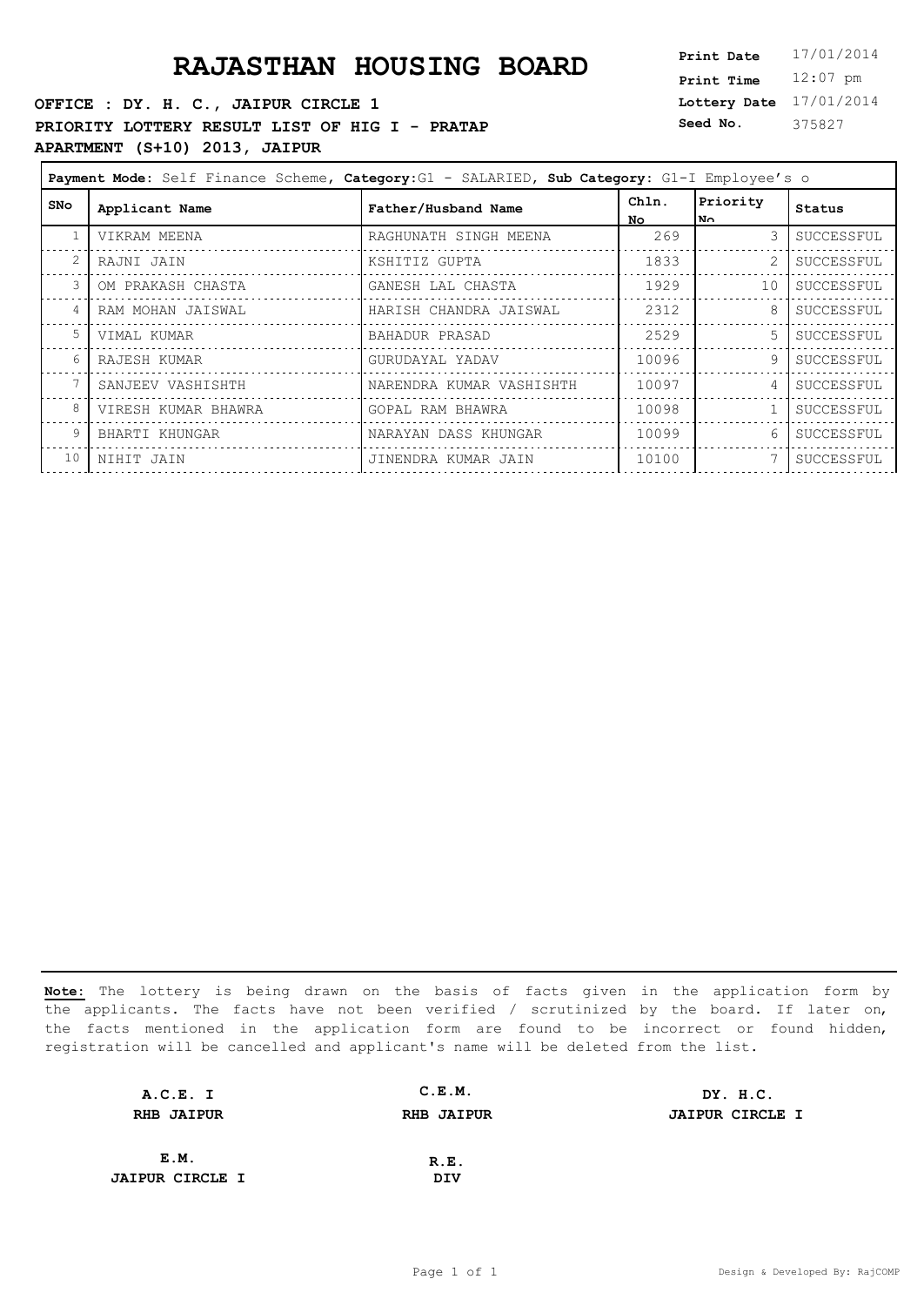### **RAJASTHAN HOUSING BOARD**

### **OFFICE : DY. H. C., JAIPUR CIRCLE 1 PRIORITY LOTTERY RESULT LIST OF HIG I - PRATAP APARTMENT (S+10) 2013, JAIPUR**

| Print Date        | 17/01/2014 |
|-------------------|------------|
| <b>Print Time</b> | $12:07$ pm |
| Lottery Date      | 17/01/2014 |
| Seed No.          | 375827     |

| Payment Mode: Self Finance Scheme, Category: G1 - SALARIED, Sub Category: G1-I Employee's o |                     |                          |             |                  |            |  |
|---------------------------------------------------------------------------------------------|---------------------|--------------------------|-------------|------------------|------------|--|
| <b>SNo</b>                                                                                  | Applicant Name      | Father/Husband Name      | Chln.<br>NΩ | Priority<br>l No | Status     |  |
|                                                                                             | VIKRAM MEENA        | RAGHUNATH SINGH MEENA    | 269         | 3                | SUCCESSFUL |  |
|                                                                                             | RAJNI JAIN          | KSHITIZ GUPTA            | 1833        |                  | SUCCESSFUL |  |
| $\mathcal{E}$                                                                               | OM PRAKASH CHASTA   | GANESH LAL CHASTA        | 1929        | 10               | SUCCESSFUL |  |
| $\overline{4}$                                                                              | RAM MOHAN JAISWAL   | HARISH CHANDRA JAISWAL   | 2312        | 8                | SUCCESSFUL |  |
| 5                                                                                           | VIMAL KUMAR         | BAHADUR PRASAD           | 2529        | 5                | SUCCESSFUL |  |
| 6                                                                                           | RAJESH KUMAR        | GURUDAYAL YADAV          | 10096       | 9                | SUCCESSFUL |  |
|                                                                                             | SANJEEV VASHISHTH   | NARENDRA KUMAR VASHISHTH | 10097       | 4                | SUCCESSFUL |  |
| 8                                                                                           | VIRESH KUMAR BHAWRA | GOPAL RAM BHAWRA         | 10098       |                  | SUCCESSFUL |  |
| 9                                                                                           | BHARTI KHUNGAR      | NARAYAN DASS KHUNGAR     | 10099       | 6                | SUCCESSFUL |  |
| 10                                                                                          | NIHIT JAIN          | JINENDRA KUMAR JAIN      | 10100       |                  | SUCCESSFUL |  |

| A.C.E. I               | C.E.M.            | DY. H.C.               |
|------------------------|-------------------|------------------------|
| <b>RHB JAIPUR</b>      | <b>RHB JAIPUR</b> | <b>JAIPUR CIRCLE I</b> |
|                        |                   |                        |
| E.M.                   | R.E.              |                        |
| <b>JAIPUR CIRCLE I</b> | DIV               |                        |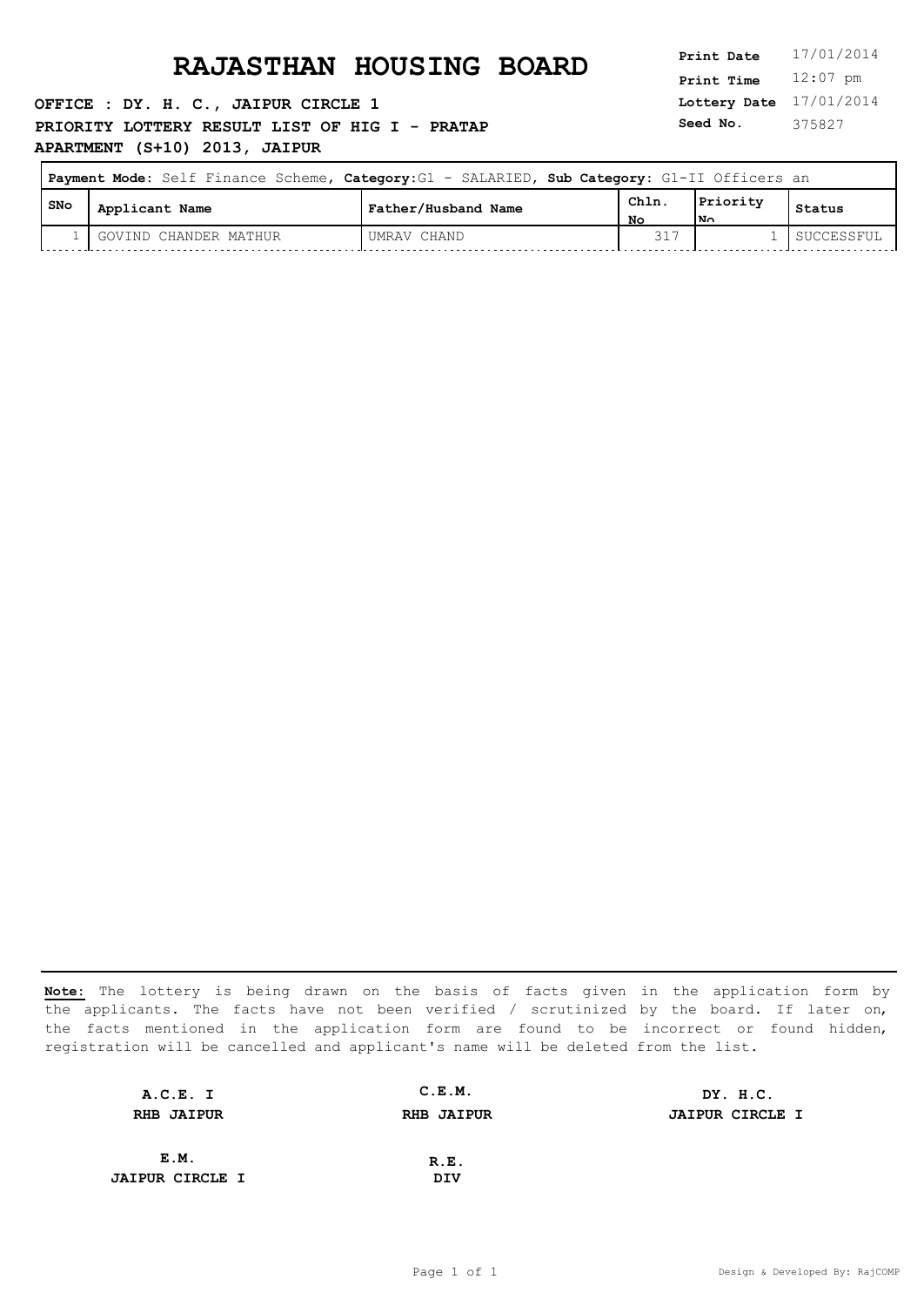**OFFICE : DY. H. C., JAIPUR CIRCLE 1 PRIORITY LOTTERY RESULT LIST OF HIG I - PRATAP APARTMENT (S+10) 2013, JAIPUR**

**Lottery Date** 17/01/2014 **Print Time** 12:07 pm **Seed No.** 375827

| Payment Mode: Self Finance Scheme, Category: G1 - SALARIED, Sub Category: G1-II Officers an |                       |                     |            |                 |            |
|---------------------------------------------------------------------------------------------|-----------------------|---------------------|------------|-----------------|------------|
| i SNo                                                                                       | Applicant Name        | Father/Husband Name | Chln<br>NΩ | Priority<br>lN∩ | Status     |
|                                                                                             | GOVIND CHANDER MATHUR | UMRAV CHAND         |            |                 | SUCCESSFUL |

| A.C.E. I               | C.E.M.            | DY. H.C.               |
|------------------------|-------------------|------------------------|
| <b>RHB JAIPUR</b>      | <b>RHB JAIPUR</b> | <b>JAIPUR CIRCLE I</b> |
|                        |                   |                        |
| E.M.                   | R.E.              |                        |
| <b>JAIPUR CIRCLE I</b> | DIV               |                        |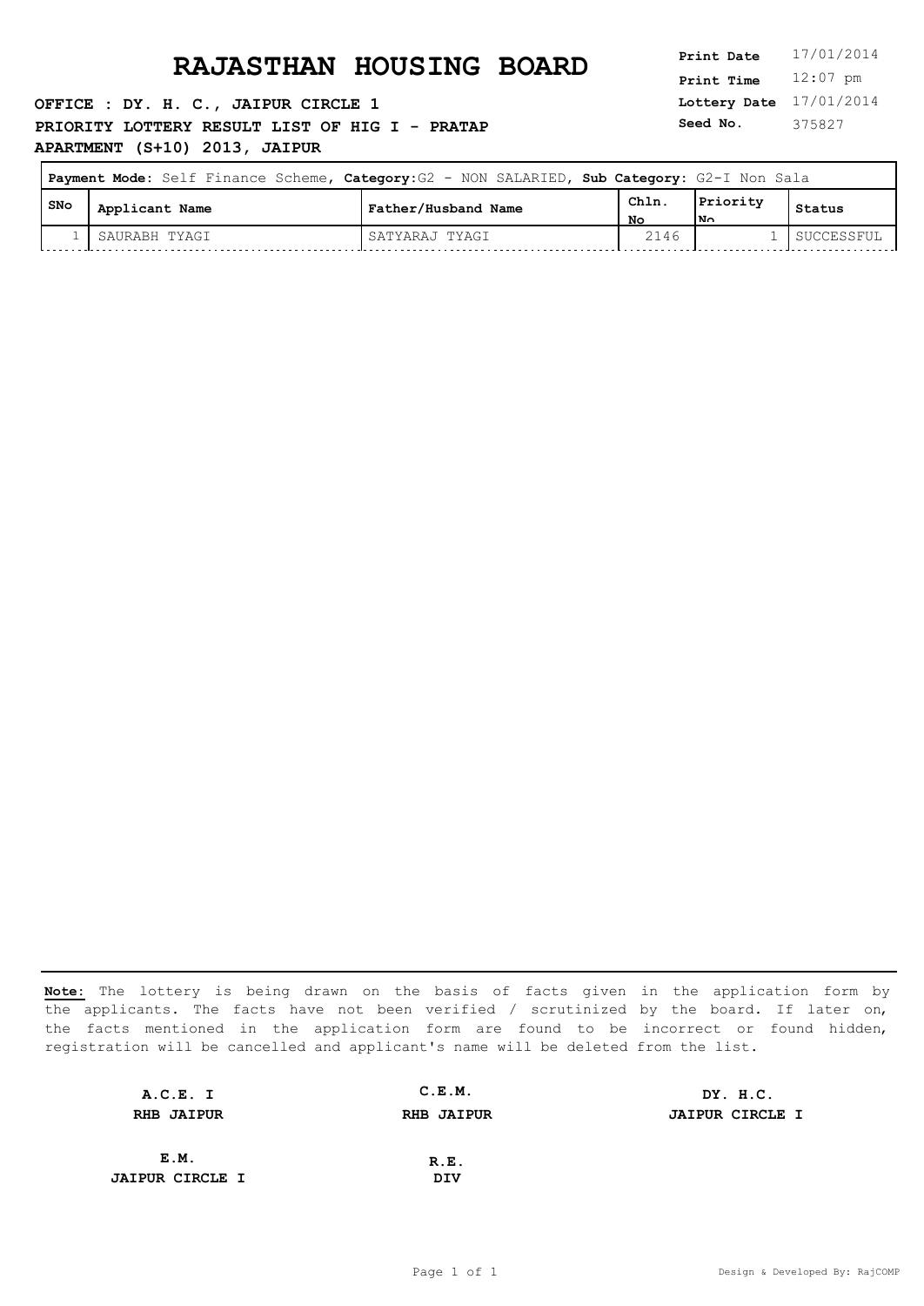**OFFICE : DY. H. C., JAIPUR CIRCLE 1 PRIORITY LOTTERY RESULT LIST OF HIG I - PRATAP APARTMENT (S+10) 2013, JAIPUR**

**Lottery Date** 17/01/2014 **Print Time** 12:07 pm **Seed No.** 375827

| Payment Mode: Self Finance Scheme, Category: G2 - NON SALARIED, Sub Category: G2-I Non Sala |                |                     |            |                          |            |
|---------------------------------------------------------------------------------------------|----------------|---------------------|------------|--------------------------|------------|
| SNo                                                                                         | Applicant Name | Father/Husband Name | Chln<br>No | Priority<br>$\mathbf{N}$ | Status     |
|                                                                                             | SAURABH TYAGI  | SATYARAJ TYAGI      | 2146       |                          | SUCCESSFUL |

| A.C.E. I               | C.E.M.            | DY. H.C.               |
|------------------------|-------------------|------------------------|
| <b>RHB JAIPUR</b>      | <b>RHB JAIPUR</b> | <b>JAIPUR CIRCLE I</b> |
|                        |                   |                        |
| E.M.                   | R.E.              |                        |
| <b>JAIPUR CIRCLE I</b> | DIV               |                        |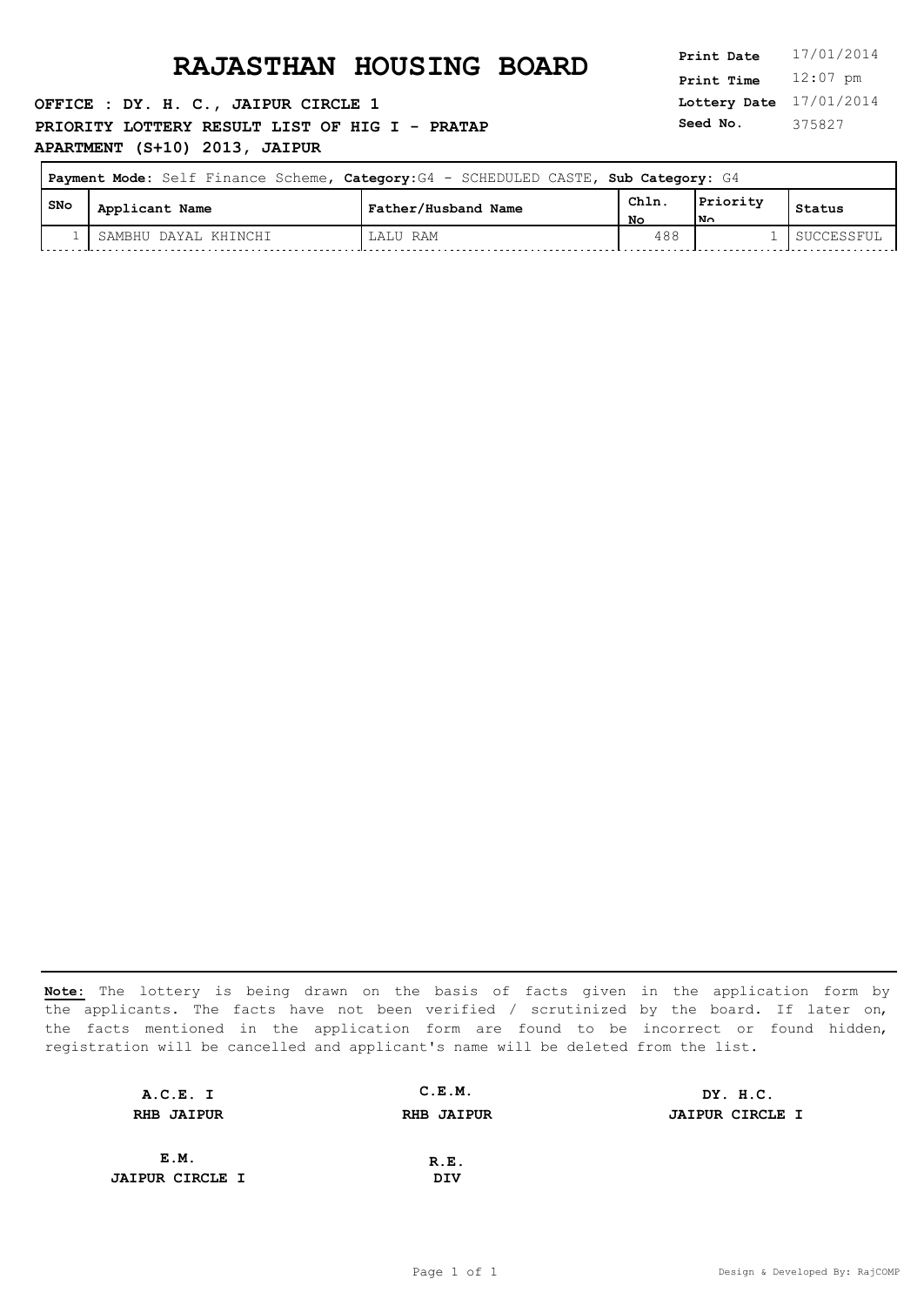**OFFICE : DY. H. C., JAIPUR CIRCLE 1 PRIORITY LOTTERY RESULT LIST OF HIG I - PRATAP APARTMENT (S+10) 2013, JAIPUR**

**Lottery Date** 17/01/2014 **Print Time** 12:07 pm **Seed No.** 375827

 $\overline{\phantom{0}}$ 

| Payment Mode: Self Finance Scheme, Category: G4 - SCHEDULED CASTE, Sub Category: G4 |                      |                     |            |                |            |
|-------------------------------------------------------------------------------------|----------------------|---------------------|------------|----------------|------------|
| I SNO                                                                               | Applicant Name       | Father/Husband Name | Chln<br>Nο | Priority<br>Ν٨ | Status     |
|                                                                                     | SAMBHU DAYAL KHINCHI | LALU RAM            | 488        |                | SUCCESSFUL |

| A.C.E. I               | C.E.M.            | DY. H.C.               |
|------------------------|-------------------|------------------------|
| <b>RHB JAIPUR</b>      | <b>RHB JAIPUR</b> | <b>JAIPUR CIRCLE I</b> |
|                        |                   |                        |
| E.M.                   | R.E.              |                        |
| <b>JAIPUR CIRCLE I</b> | DIV               |                        |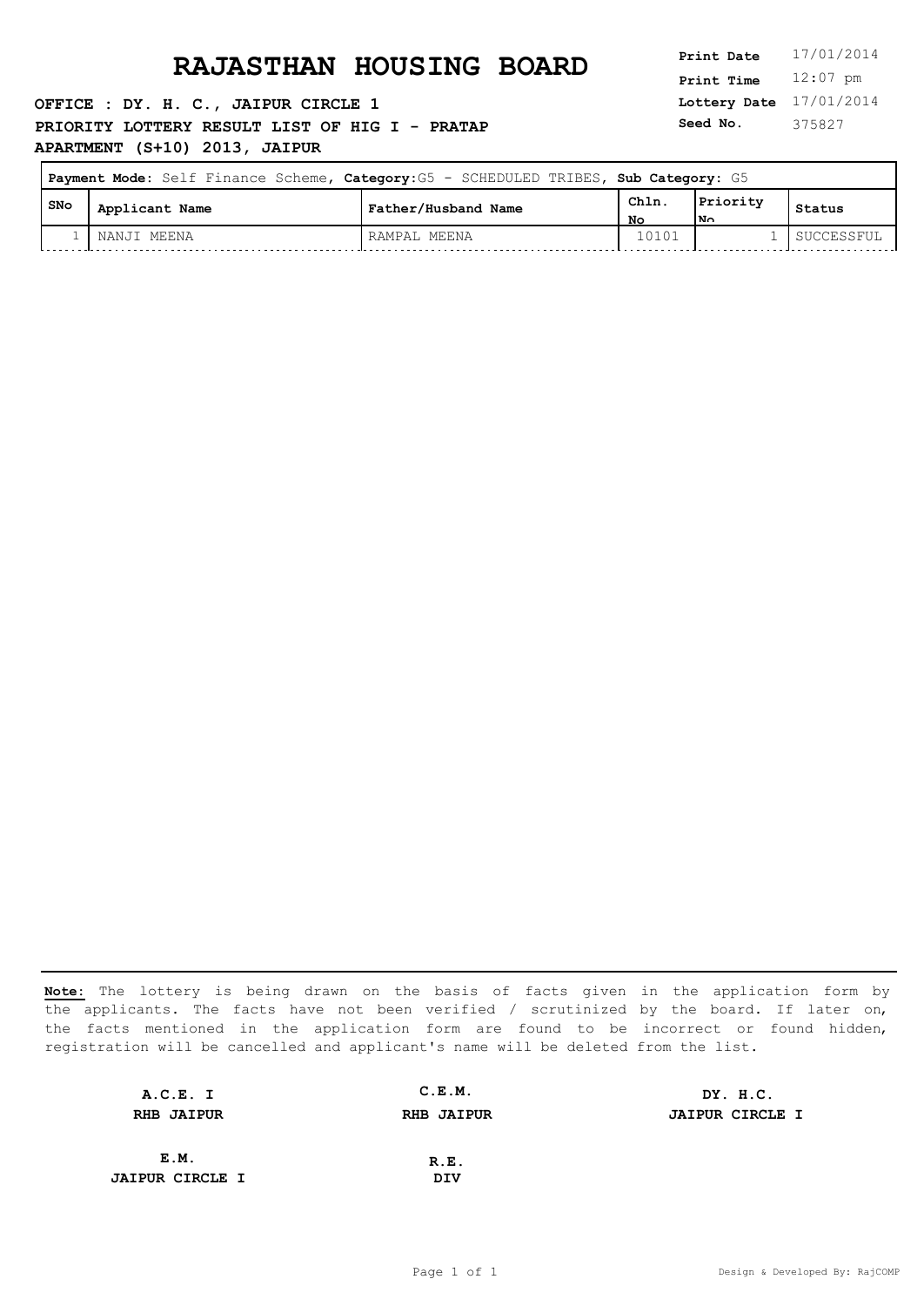**OFFICE : DY. H. C., JAIPUR CIRCLE 1 PRIORITY LOTTERY RESULT LIST OF HIG I - PRATAP APARTMENT (S+10) 2013, JAIPUR**

**Lottery Date** 17/01/2014 **Print Time** 12:07 pm **Seed No.** 375827

| Payment Mode: Self Finance Scheme, Category: G5 - SCHEDULED TRIBES, Sub Category: G5 |                |                     |            |                         |            |
|--------------------------------------------------------------------------------------|----------------|---------------------|------------|-------------------------|------------|
| , SNo                                                                                | Applicant Name | Father/Husband Name | Chln<br>NΟ | Priority<br>$N_{\odot}$ | Status     |
|                                                                                      | NANJI MEENA    | RAMPAL MEENA        | 10101      |                         | SUCCESSFUL |

| A.C.E. I               | C.E.M.            | DY. H.C.               |
|------------------------|-------------------|------------------------|
| <b>RHB JAIPUR</b>      | <b>RHB JAIPUR</b> | <b>JAIPUR CIRCLE I</b> |
|                        |                   |                        |
| E.M.                   | R.E.              |                        |
| <b>JAIPUR CIRCLE I</b> | DIV               |                        |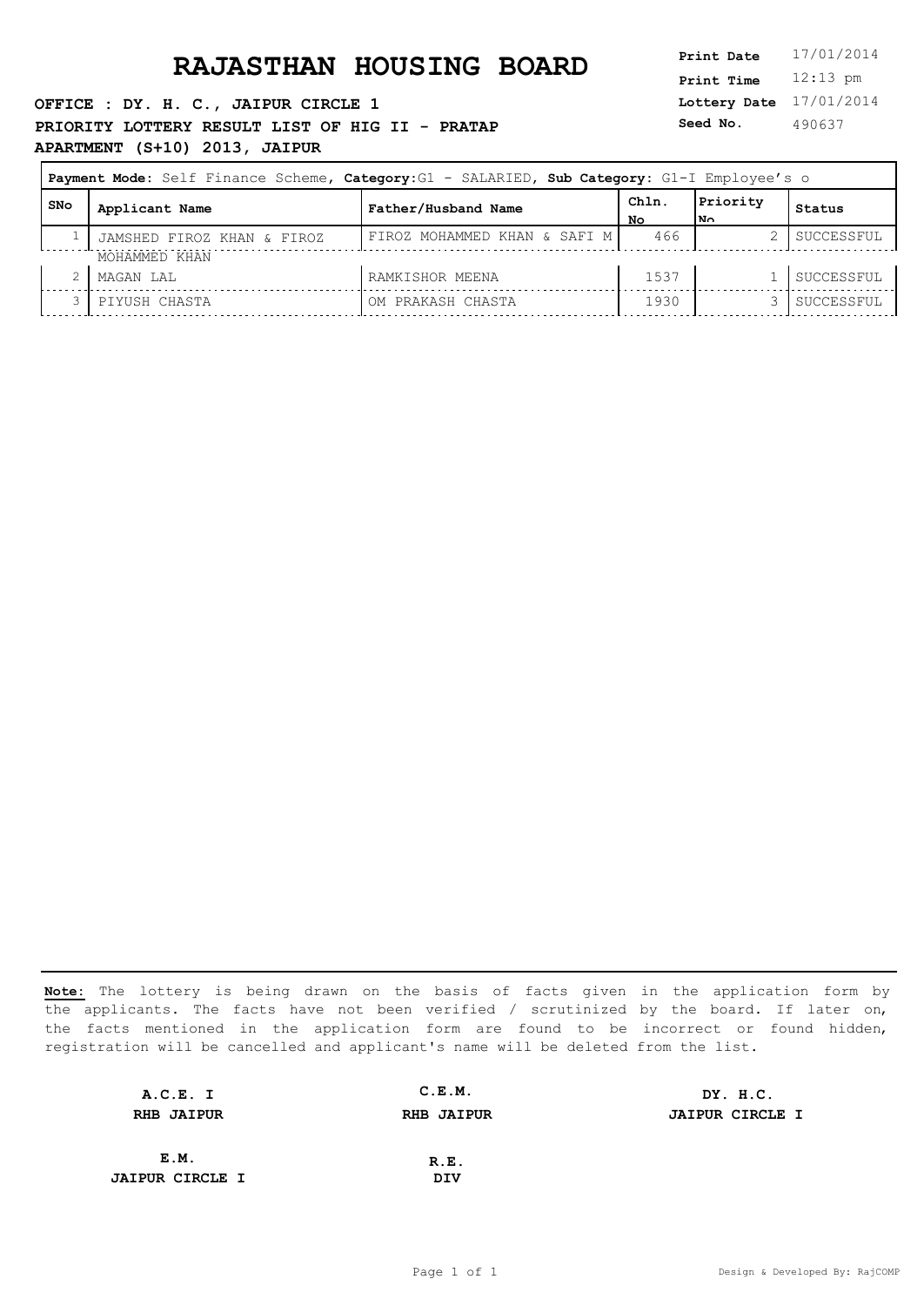**OFFICE : DY. H. C., JAIPUR CIRCLE 1 PRIORITY LOTTERY RESULT LIST OF HIG II - PRATAP APARTMENT (S+10) 2013, JAIPUR**

**Lottery Date** 17/01/2014 **Print Time** 12:13 pm **Seed No.** 490637

| Payment Mode: Self Finance Scheme, Category:G1 - SALARIED, Sub Category: G1-I Employee's o |                            |                              |             |                  |            |  |
|--------------------------------------------------------------------------------------------|----------------------------|------------------------------|-------------|------------------|------------|--|
| SNo                                                                                        | Applicant Name             | Father/Husband Name          | Chln.<br>No | Priority<br>l No | Status     |  |
|                                                                                            | JAMSHED FIROZ KHAN & FIROZ | FIROZ MOHAMMED KHAN & SAFI M | 466         |                  | SUCCESSFUL |  |
|                                                                                            | MOHAMMED KHAN              |                              |             |                  |            |  |
|                                                                                            | MAGAN LAL                  | RAMKISHOR MEENA              | 1537        |                  | SUCCESSFUL |  |
|                                                                                            | PIYUSH CHASTA              | OM PRAKASH CHASTA            | 1930        |                  | SUCCESSFUL |  |

| A.C.E. I               | C.E.M.            | DY. H.C.               |
|------------------------|-------------------|------------------------|
| <b>RHB JAIPUR</b>      | <b>RHB JAIPUR</b> | <b>JAIPUR CIRCLE I</b> |
|                        |                   |                        |
| E.M.                   | R.E.              |                        |
| <b>JAIPUR CIRCLE I</b> | DIV               |                        |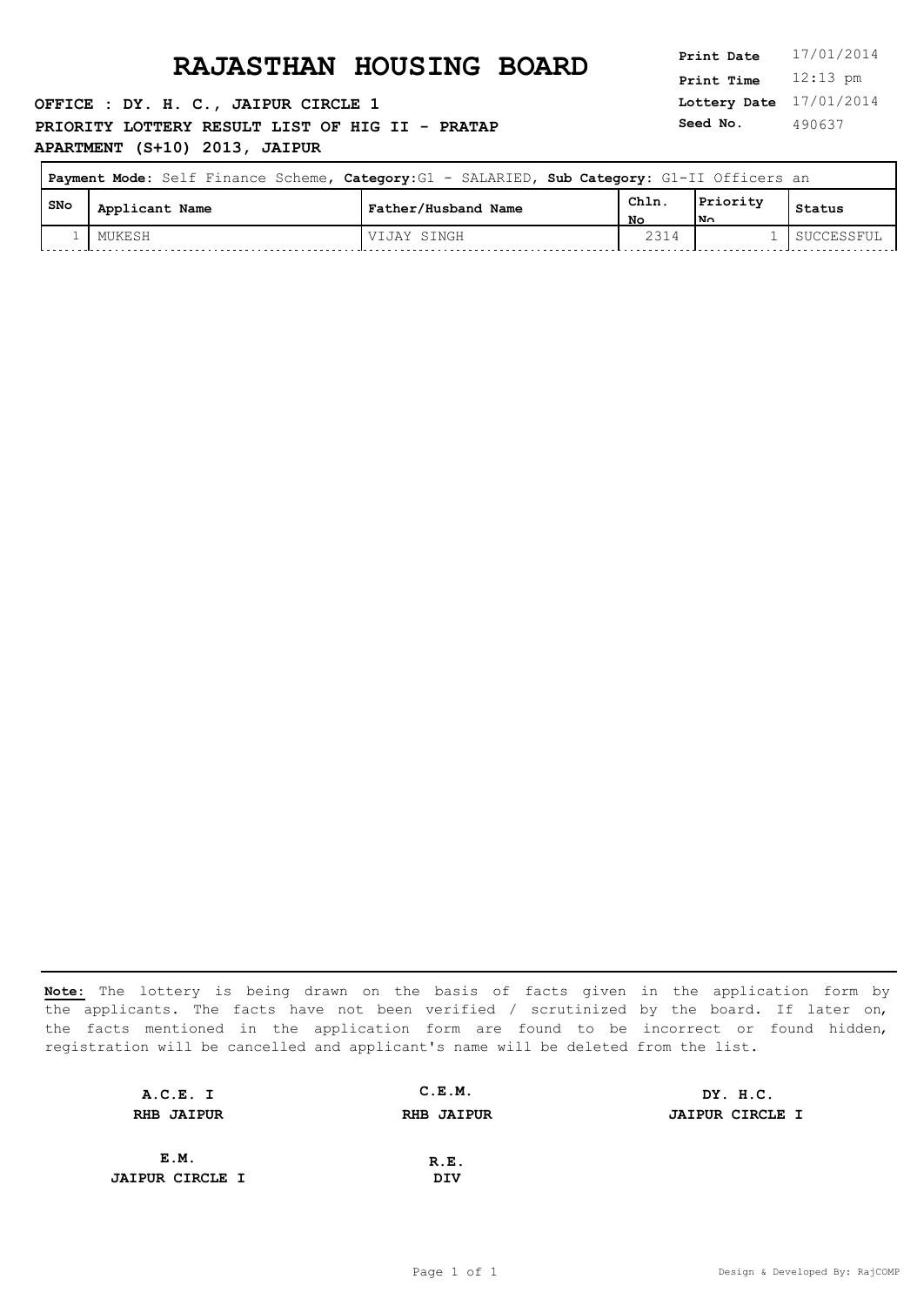**OFFICE : DY. H. C., JAIPUR CIRCLE 1 PRIORITY LOTTERY RESULT LIST OF HIG II - PRATAP APARTMENT (S+10) 2013, JAIPUR**

**Lottery Date** 17/01/2014 **Print Time** 12:13 pm **Seed No.** 490637

|     | Payment Mode: Self Finance Scheme, Category: G1 - SALARIED, Sub Category: G1-II Officers an |                     |            |                |            |
|-----|---------------------------------------------------------------------------------------------|---------------------|------------|----------------|------------|
| SNo | Applicant Name                                                                              | Father/Husband Name | Chln<br>Nο | Priority<br>Ν٨ | Status     |
|     | MUKESH                                                                                      | VIJAY SINGH         | 2314       |                | SUCCESSFUL |

| A.C.E. I               | C.E.M.            | DY. H.C.               |
|------------------------|-------------------|------------------------|
| <b>RHB JAIPUR</b>      | <b>RHB JAIPUR</b> | <b>JAIPUR CIRCLE I</b> |
|                        |                   |                        |
| E.M.                   | R.E.              |                        |
| <b>JAIPUR CIRCLE I</b> | DIV               |                        |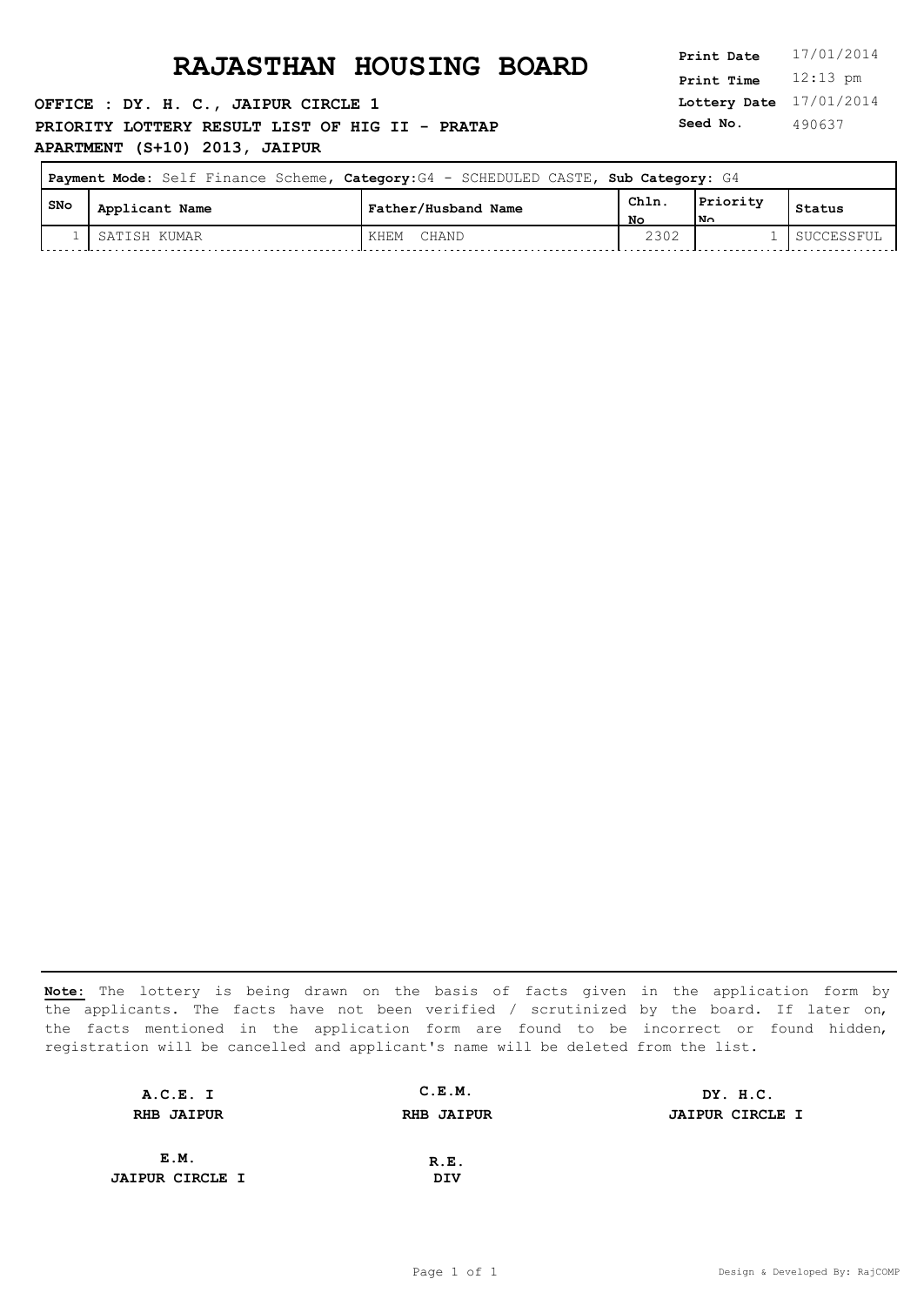**OFFICE : DY. H. C., JAIPUR CIRCLE 1 PRIORITY LOTTERY RESULT LIST OF HIG II - PRATAP APARTMENT (S+10) 2013, JAIPUR**

**Lottery Date** 17/01/2014 **Print Time** 12:13 pm **Seed No.** 490637

 $\overline{\phantom{0}}$ 

| Payment Mode: Self Finance Scheme, Category: G4 - SCHEDULED CASTE, Sub Category: G4 |                |                     |            |                 |            |
|-------------------------------------------------------------------------------------|----------------|---------------------|------------|-----------------|------------|
| SNo                                                                                 | Applicant Name | Father/Husband Name | Chln<br>Nο | Priority<br>l۷n | Status     |
|                                                                                     | I SATISH KUMAR | CHAND<br>KHEM       | 2302       |                 | SUCCESSFUL |

| A.C.E. I               | C.E.M.            | DY. H.C.               |
|------------------------|-------------------|------------------------|
| <b>RHB JAIPUR</b>      | <b>RHB JAIPUR</b> | <b>JAIPUR CIRCLE I</b> |
|                        |                   |                        |
| E.M.                   | R.E.              |                        |
| <b>JAIPUR CIRCLE I</b> | DIV               |                        |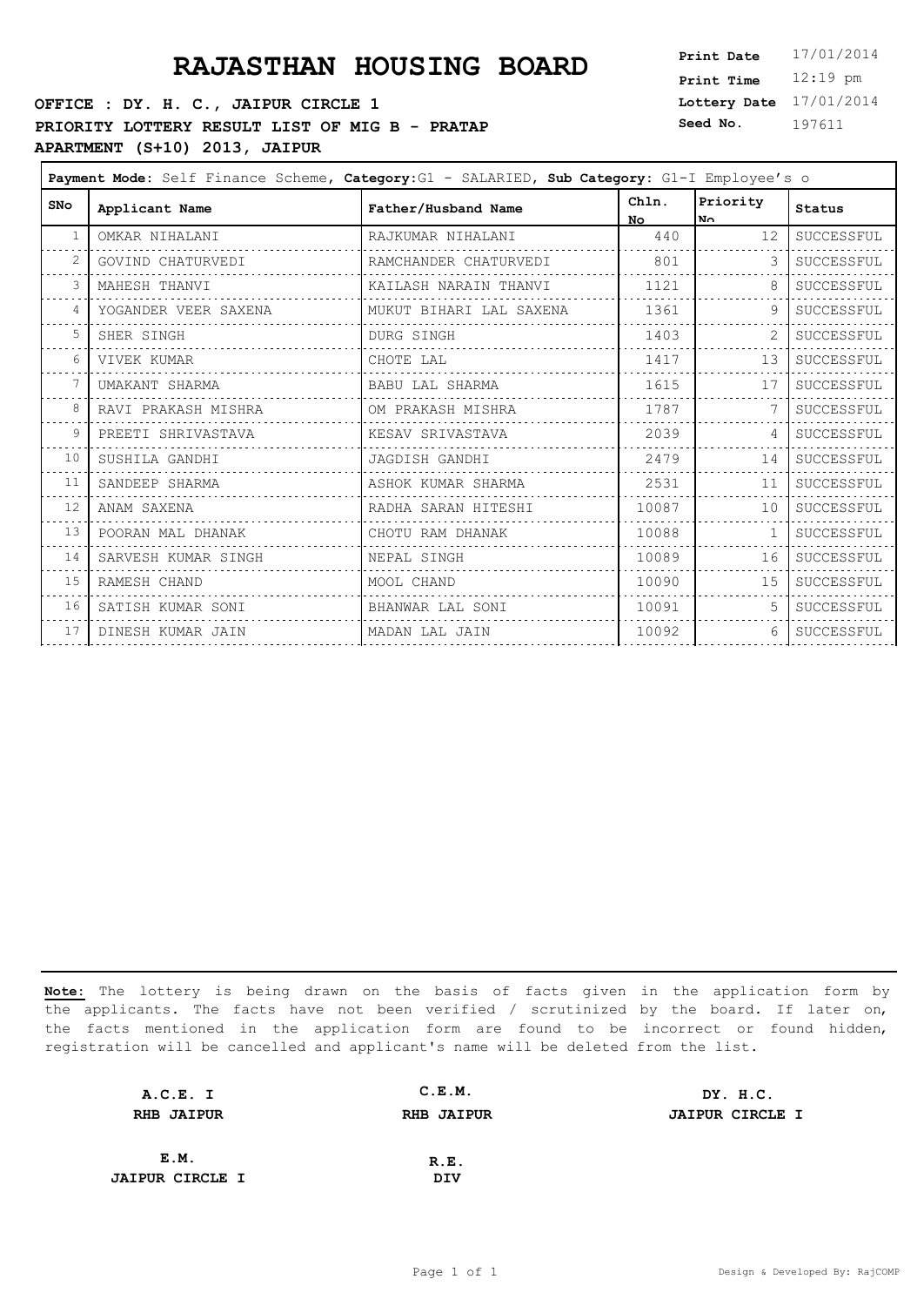# **PRAJASTHAN HOUSING BOARD**

### **OFFICE : DY. H. C., JAIPUR CIRCLE 1 PRIORITY LOTTERY RESULT LIST OF MIG B - PRATAP APARTMENT (S+10) 2013, JAIPUR**

| Print Date        | 17/01/2014 |
|-------------------|------------|
| <b>Print Time</b> | $12:19$ pm |
| Lottery Date      | 17/01/2014 |
| Seed No.          | 197611     |

| Payment Mode: Self Finance Scheme, Category: G1 - SALARIED, Sub Category: G1-I Employee's o |                      |                         |              |                 |            |
|---------------------------------------------------------------------------------------------|----------------------|-------------------------|--------------|-----------------|------------|
| <b>SNo</b>                                                                                  | Applicant Name       | Father/Husband Name     | Chln.<br>No. | Priority<br>No. | Status     |
| 1                                                                                           | OMKAR NIHALANI       | RAJKUMAR NIHALANI       | 440          | 12              | SUCCESSFUL |
|                                                                                             | GOVIND CHATURVEDI    | RAMCHANDER CHATURVEDI   | 801          | 3               | SUCCESSFUL |
| 3                                                                                           | MAHESH THANVI        | KAILASH NARAIN THANVI   | 1121         | 8               | SUCCESSFUL |
| $\overline{4}$                                                                              | YOGANDER VEER SAXENA | MUKUT BIHARI LAL SAXENA | 1361         |                 | SUCCESSFUL |
| .5                                                                                          | SHER SINGH           | <b>DURG SINGH</b>       | 1403         |                 | SUCCESSFUL |
| 6                                                                                           | VIVEK KUMAR          | CHOTE LAL               | 1417         | 13              | SUCCESSFUL |
|                                                                                             | UMAKANT SHARMA       | BABU LAL SHARMA         | 1615         | 17              | SUCCESSFUL |
| 8                                                                                           | RAVI PRAKASH MISHRA  | OM PRAKASH MISHRA       | 1787         |                 | SUCCESSFUL |
| 9                                                                                           | PREETI SHRIVASTAVA   | KESAV SRIVASTAVA        | 2039         | $\overline{4}$  | SUCCESSFUL |
| 10                                                                                          | SUSHILA GANDHI       | JAGDISH GANDHI          | 2479         | 14              | SUCCESSFUL |
| 11                                                                                          | SANDEEP SHARMA       | ASHOK KUMAR SHARMA      | 2531         | 11              | SUCCESSFUL |
| 12                                                                                          | ANAM SAXENA          | RADHA SARAN HITESHI     | 10087        | 10              | SUCCESSFUL |
| 13                                                                                          | POORAN MAL DHANAK    | CHOTU RAM DHANAK        | 10088        | -1              | SUCCESSFUL |
| 14                                                                                          | SARVESH KUMAR SINGH  | NEPAL SINGH             | 10089        | 16              | SUCCESSFUL |
| 15                                                                                          | RAMESH CHAND         | MOOL CHAND              | 10090        | 15              | SUCCESSFUL |
| 16                                                                                          | SATISH KUMAR SONI    | BHANWAR LAL SONI        | 10091        |                 | SUCCESSFUL |
| 17                                                                                          | DINESH KUMAR JAIN    | MADAN LAL JAIN          | 10092        | 6               | SUCCESSFUL |

| A.C.E. I               | C.E.M.            | DY. H.C.               |
|------------------------|-------------------|------------------------|
| <b>RHB JAIPUR</b>      | <b>RHB JAIPUR</b> | <b>JAIPUR CIRCLE I</b> |
|                        |                   |                        |
| E.M.                   | R.E.              |                        |
| <b>JAIPUR CIRCLE I</b> | DIV               |                        |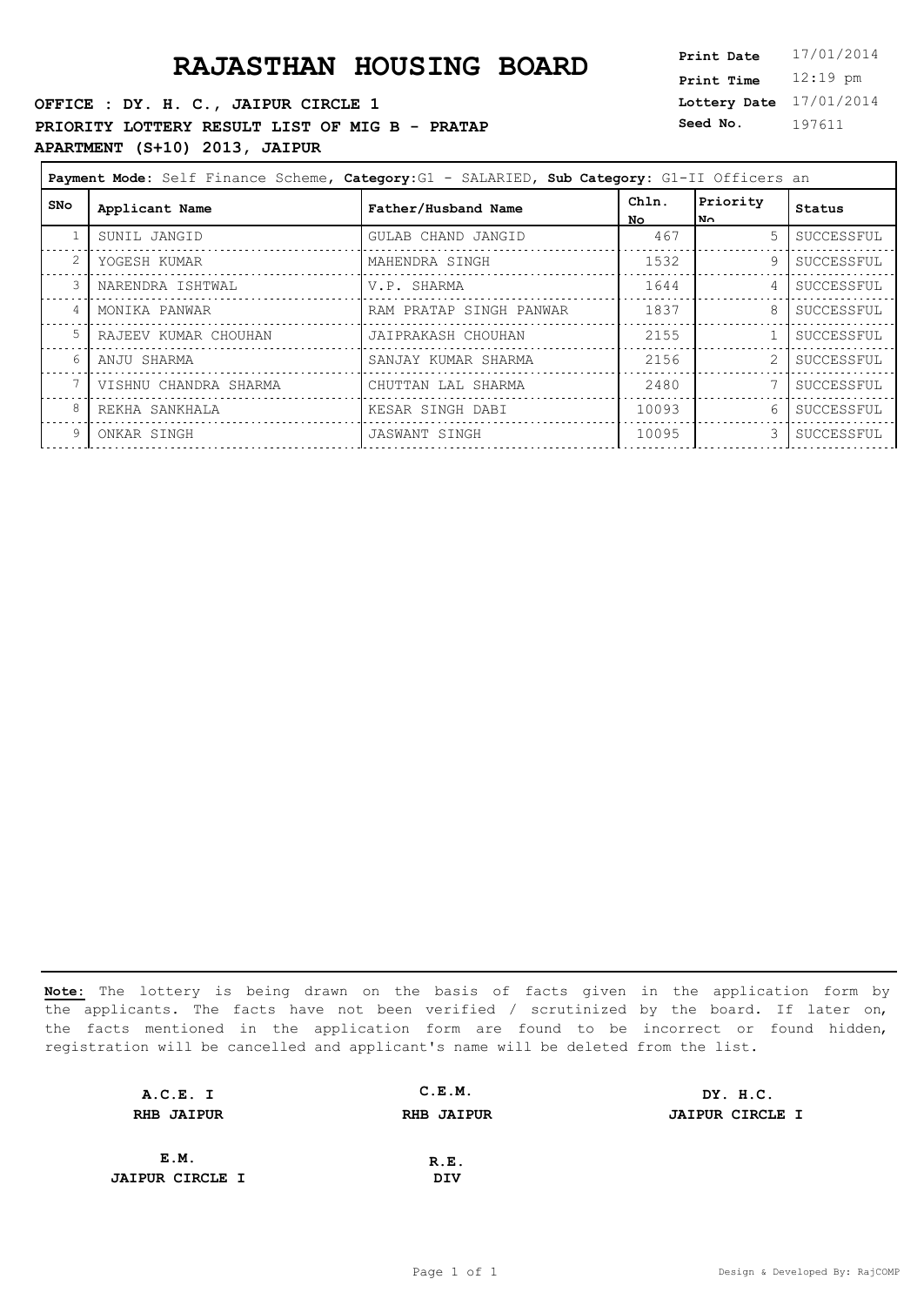**OFFICE : DY. H. C., JAIPUR CIRCLE 1 PRIORITY LOTTERY RESULT LIST OF MIG B - PRATAP APARTMENT (S+10) 2013, JAIPUR**

**Lottery Date** 17/01/2014 **Print Time** 12:19 pm **Seed No.** 197611

|                | Payment Mode: Self Finance Scheme, Category: G1 - SALARIED, Sub Category: G1-II Officers an |                         |              |                         |            |
|----------------|---------------------------------------------------------------------------------------------|-------------------------|--------------|-------------------------|------------|
| <b>SNo</b>     | Applicant Name                                                                              | Father/Husband Name     | Chln.<br>No. | Priority<br>$N_{\odot}$ | Status     |
|                | SUNIL JANGID                                                                                | GULAB CHAND JANGID      | 467          | $5 -$                   | SUCCESSFUL |
| $\overline{2}$ | YOGESH KUMAR                                                                                | MAHENDRA SINGH          | 1532         | 9                       | SUCCESSFUL |
|                | NARENDRA ISHTWAL                                                                            | V.P. SHARMA             | 1644         | 4                       | SUCCESSFUL |
| 4              | MONIKA PANWAR                                                                               | RAM PRATAP SINGH PANWAR | 1837         | 8                       | SUCCESSFUL |
| 5              | RAJEEV KUMAR CHOUHAN                                                                        | JAIPRAKASH CHOUHAN      | 2155         |                         | SUCCESSFUL |
| 6              | ANJU SHARMA                                                                                 | SANJAY KUMAR SHARMA     | 2156         |                         | SUCCESSFUL |
|                | VISHNU CHANDRA SHARMA                                                                       | CHUTTAN LAL SHARMA      | 2480         |                         | SUCCESSFUL |
| 8              | REKHA SANKHALA                                                                              | KESAR SINGH DABI        | 10093        | 6.                      | SUCCESSFUL |
| 9              | ONKAR SINGH                                                                                 | JASWANT SINGH           | 10095        | 3.                      | SUCCESSFUL |
|                |                                                                                             |                         |              |                         |            |

| A.C.E. I               | C.E.M.            | DY. H.C.               |
|------------------------|-------------------|------------------------|
| <b>RHB JAIPUR</b>      | <b>RHB JAIPUR</b> | <b>JAIPUR CIRCLE I</b> |
|                        |                   |                        |
| E.M.                   | R.E.              |                        |
| <b>JAIPUR CIRCLE I</b> | DIV               |                        |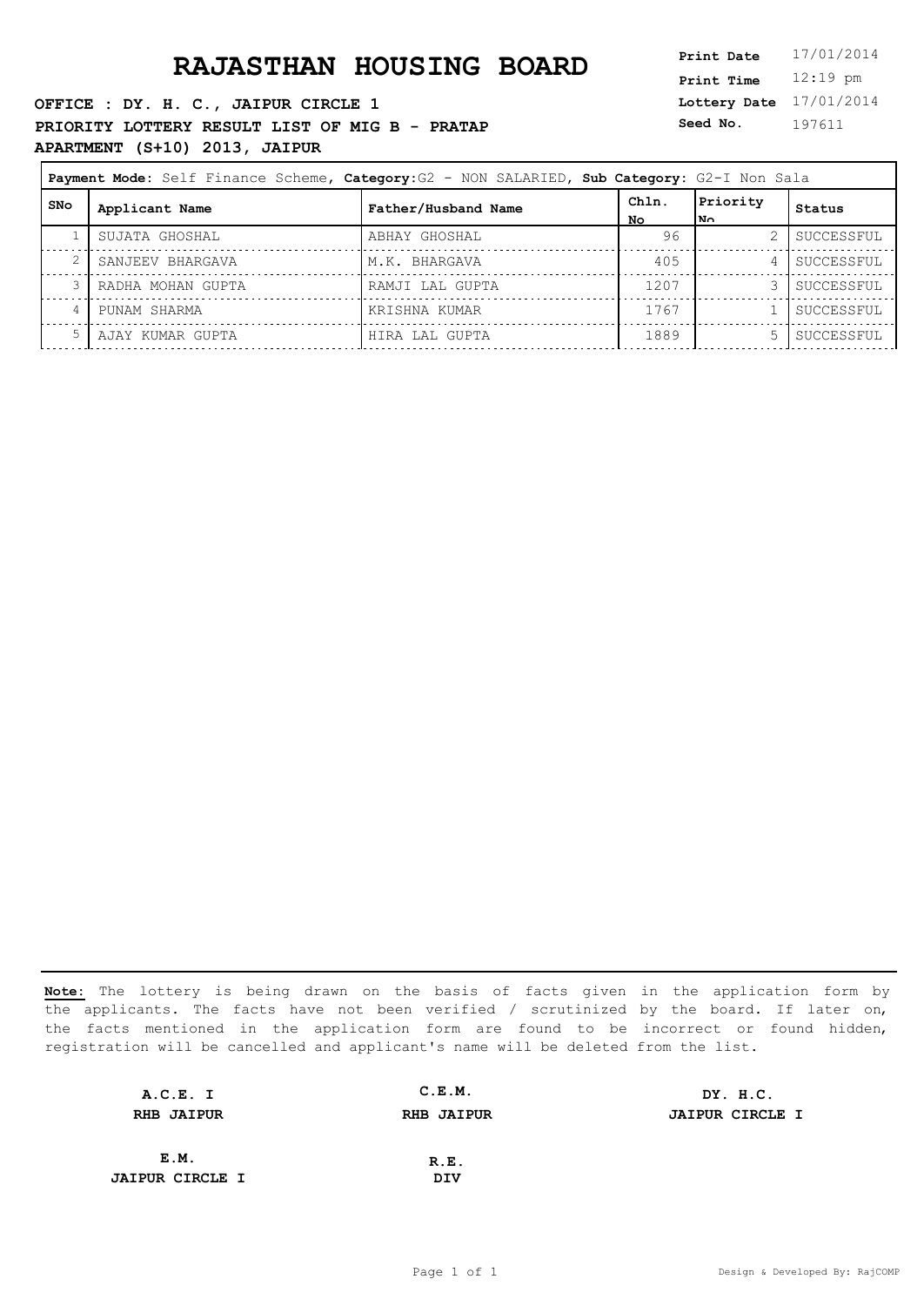**OFFICE : DY. H. C., JAIPUR CIRCLE 1 PRIORITY LOTTERY RESULT LIST OF MIG B - PRATAP APARTMENT (S+10) 2013, JAIPUR**

**Lottery Date** 17/01/2014 **Print Time** 12:19 pm **Seed No.** 197611

|     | Payment Mode: Self Finance Scheme, Category: G2 - NON SALARIED, Sub Category: G2-I Non Sala |                     |             |                  |            |
|-----|---------------------------------------------------------------------------------------------|---------------------|-------------|------------------|------------|
| SNo | Applicant Name                                                                              | Father/Husband Name | Chln.<br>Nο | Priority<br>l No | Status     |
|     | SUJATA GHOSHAL                                                                              | ABHAY GHOSHAL       | 96          |                  | SUCCESSFUL |
|     | SANJEEV BHARGAVA                                                                            | M.K. BHARGAVA       | 405         | 4                | SUCCESSFUL |
|     | RADHA MOHAN GUPTA                                                                           | RAMJI LAL GUPTA     | 1207        |                  | SUCCESSFUL |
|     | PUNAM SHARMA                                                                                | KRISHNA KUMAR       | 1767        |                  | SUCCESSFUL |
|     | AJAY KUMAR GUPTA                                                                            | HIRA LAL GUPTA      | 1889        |                  | SUCCESSFUL |

| A.C.E. I               | C.E.M.            | DY. H.C.               |
|------------------------|-------------------|------------------------|
| <b>RHB JAIPUR</b>      | <b>RHB JAIPUR</b> | <b>JAIPUR CIRCLE I</b> |
|                        |                   |                        |
| E.M.                   | R.E.              |                        |
| <b>JAIPUR CIRCLE I</b> | DIV               |                        |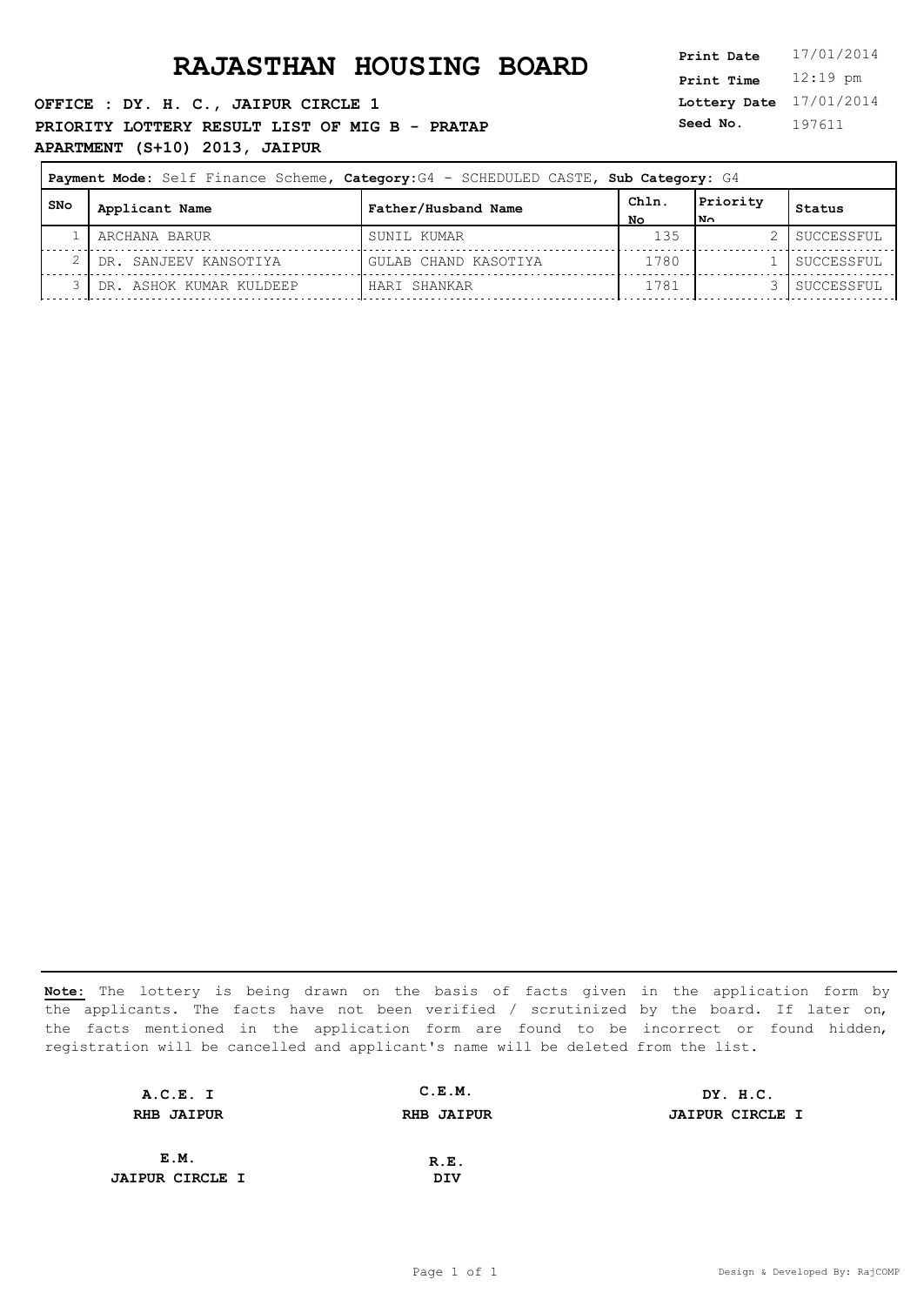**OFFICE : DY. H. C., JAIPUR CIRCLE 1 PRIORITY LOTTERY RESULT LIST OF MIG B - PRATAP APARTMENT (S+10) 2013, JAIPUR**

**Lottery Date** 17/01/2014 **Print Time** 12:19 pm **Seed No.** 197611

|       | Payment Mode: Self Finance Scheme, Category: G4 - SCHEDULED CASTE, Sub Category: G4 |                      |             |                  |            |
|-------|-------------------------------------------------------------------------------------|----------------------|-------------|------------------|------------|
| l SNo | Applicant Name                                                                      | Father/Husband Name  | ChIn.<br>NΟ | Priority<br>l No | Status     |
|       | ARCHANA BARUR                                                                       | SUNIL KUMAR          | 135         |                  | SUCCESSFUL |
|       | DR. SANJEEV KANSOTIYA                                                               | GULAB CHAND KASOTIYA | 1780        |                  | SUCCESSFUL |
|       | DR. ASHOK KUMAR KULDEEP                                                             | HARI SHANKAR         | 1781        |                  | SUCCESSFUL |

| A.C.E. I               | C.E.M.            | DY. H.C.               |
|------------------------|-------------------|------------------------|
| <b>RHB JAIPUR</b>      | <b>RHB JAIPUR</b> | <b>JAIPUR CIRCLE I</b> |
|                        |                   |                        |
| E.M.                   | R.E.              |                        |
| <b>JAIPUR CIRCLE I</b> | DIV               |                        |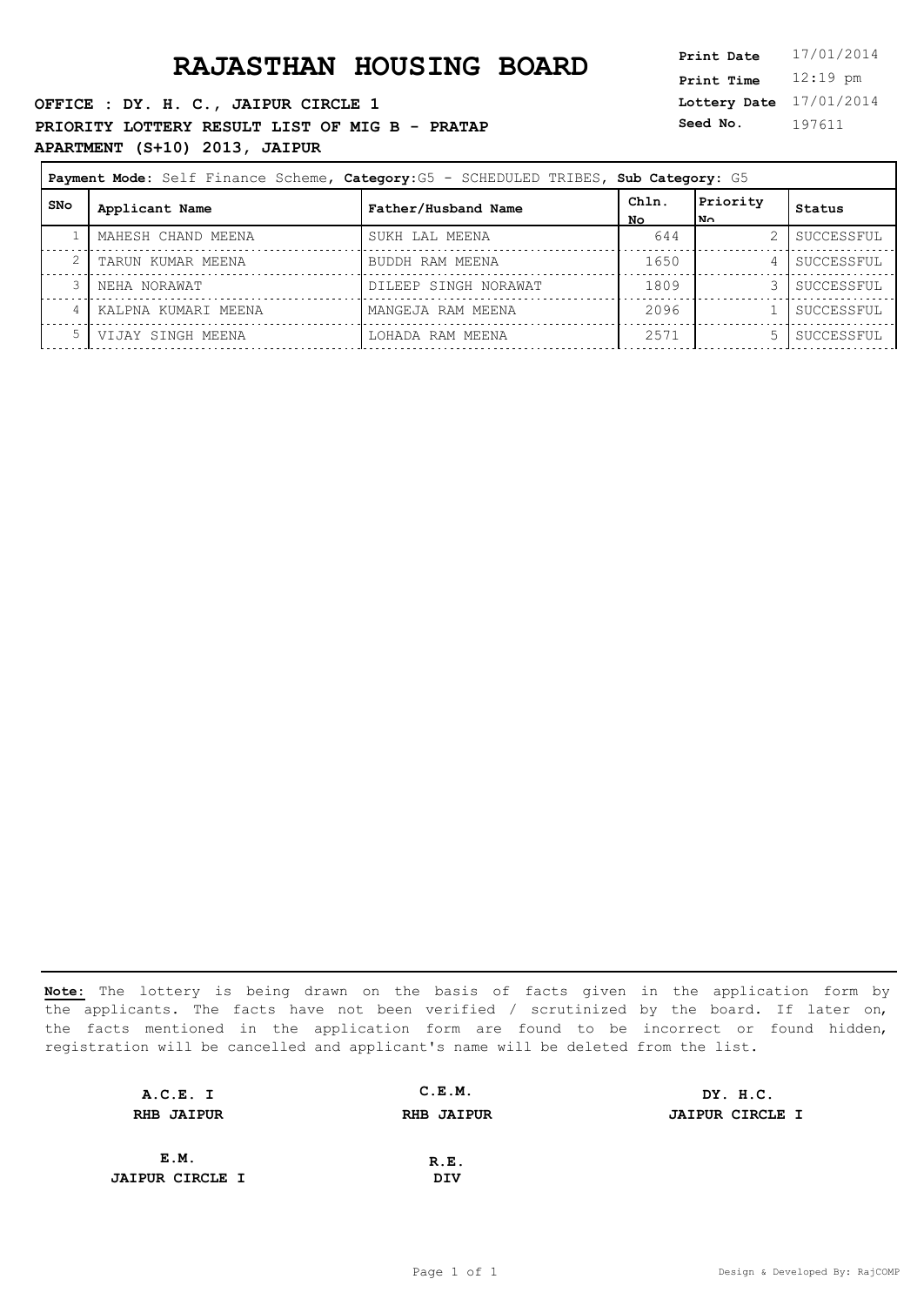**OFFICE : DY. H. C., JAIPUR CIRCLE 1 PRIORITY LOTTERY RESULT LIST OF MIG B - PRATAP APARTMENT (S+10) 2013, JAIPUR**

**Lottery Date** 17/01/2014 **Print Time** 12:19 pm **Seed No.** 197611

| Payment Mode: Self Finance Scheme, Category: G5 - SCHEDULED TRIBES, Sub Category: G5 |                     |                      |              |                  |            |
|--------------------------------------------------------------------------------------|---------------------|----------------------|--------------|------------------|------------|
| SNo                                                                                  | Applicant Name      | Father/Husband Name  | Chln.<br>No. | Priority<br>l No | Status     |
|                                                                                      | MAHESH CHAND MEENA  | SUKH LAL MEENA       | 644          |                  | SUCCESSFUL |
|                                                                                      | TARUN KUMAR MEENA   | BUDDH RAM MEENA      | 1650         | 4                | SUCCESSFUL |
|                                                                                      | NEHA NORAWAT        | DILEEP SINGH NORAWAT | 1809         |                  | SUCCESSFUL |
| 4                                                                                    | KALPNA KUMARI MEENA | MANGEJA RAM MEENA    | 2096         |                  | SUCCESSFUL |
|                                                                                      | VIJAY SINGH MEENA   | LOHADA RAM MEENA     | 2571         |                  | SUCCESSFUL |

| A.C.E. I               | C.E.M.            | DY. H.C.               |
|------------------------|-------------------|------------------------|
| <b>RHB JAIPUR</b>      | <b>RHB JAIPUR</b> | <b>JAIPUR CIRCLE I</b> |
|                        |                   |                        |
| E.M.                   | R.E.              |                        |
| <b>JAIPUR CIRCLE I</b> | DIV               |                        |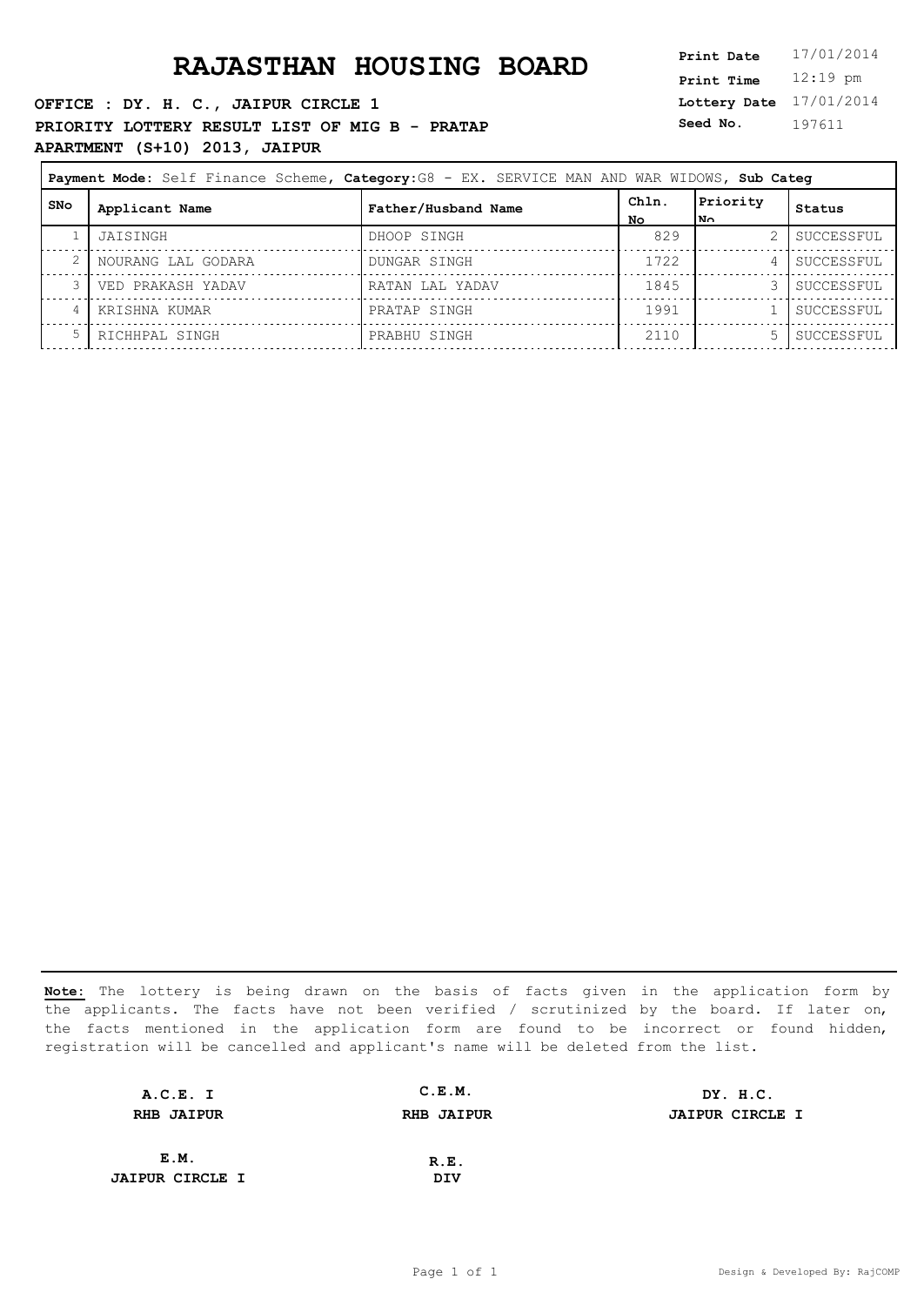**OFFICE : DY. H. C., JAIPUR CIRCLE 1 PRIORITY LOTTERY RESULT LIST OF MIG B - PRATAP APARTMENT (S+10) 2013, JAIPUR**

**Lottery Date** 17/01/2014 **Print Time** 12:19 pm **Seed No.** 197611

|       | Payment Mode: Self Finance Scheme, Category: G8 - EX. SERVICE MAN AND WAR WIDOWS, Sub Categ |                     |             |                  |            |
|-------|---------------------------------------------------------------------------------------------|---------------------|-------------|------------------|------------|
| l SNo | Applicant Name                                                                              | Father/Husband Name | Chln.<br>No | Priority<br>l No | Status     |
|       | JAISINGH                                                                                    | DHOOP SINGH         | 829         |                  | SUCCESSFUL |
|       | NOURANG LAL GODARA                                                                          | DUNGAR SINGH        | 1722        | 4                | SUCCESSFUL |
|       | VED PRAKASH YADAV                                                                           | RATAN LAL YADAV     | 1845        |                  | SUCCESSFUL |
| 4     | KRISHNA KUMAR                                                                               | PRATAP SINGH        | 1991        |                  | SUCCESSFUL |
|       | RICHHPAL SINGH                                                                              | PRABHU SINGH        | 2110        | 5.               | SUCCESSFUL |

| A.C.E. I               | C.E.M.            | DY. H.C.               |
|------------------------|-------------------|------------------------|
| <b>RHB JAIPUR</b>      | <b>RHB JAIPUR</b> | <b>JAIPUR CIRCLE I</b> |
|                        |                   |                        |
| E.M.                   | R.E.              |                        |
| <b>JAIPUR CIRCLE I</b> | DIV               |                        |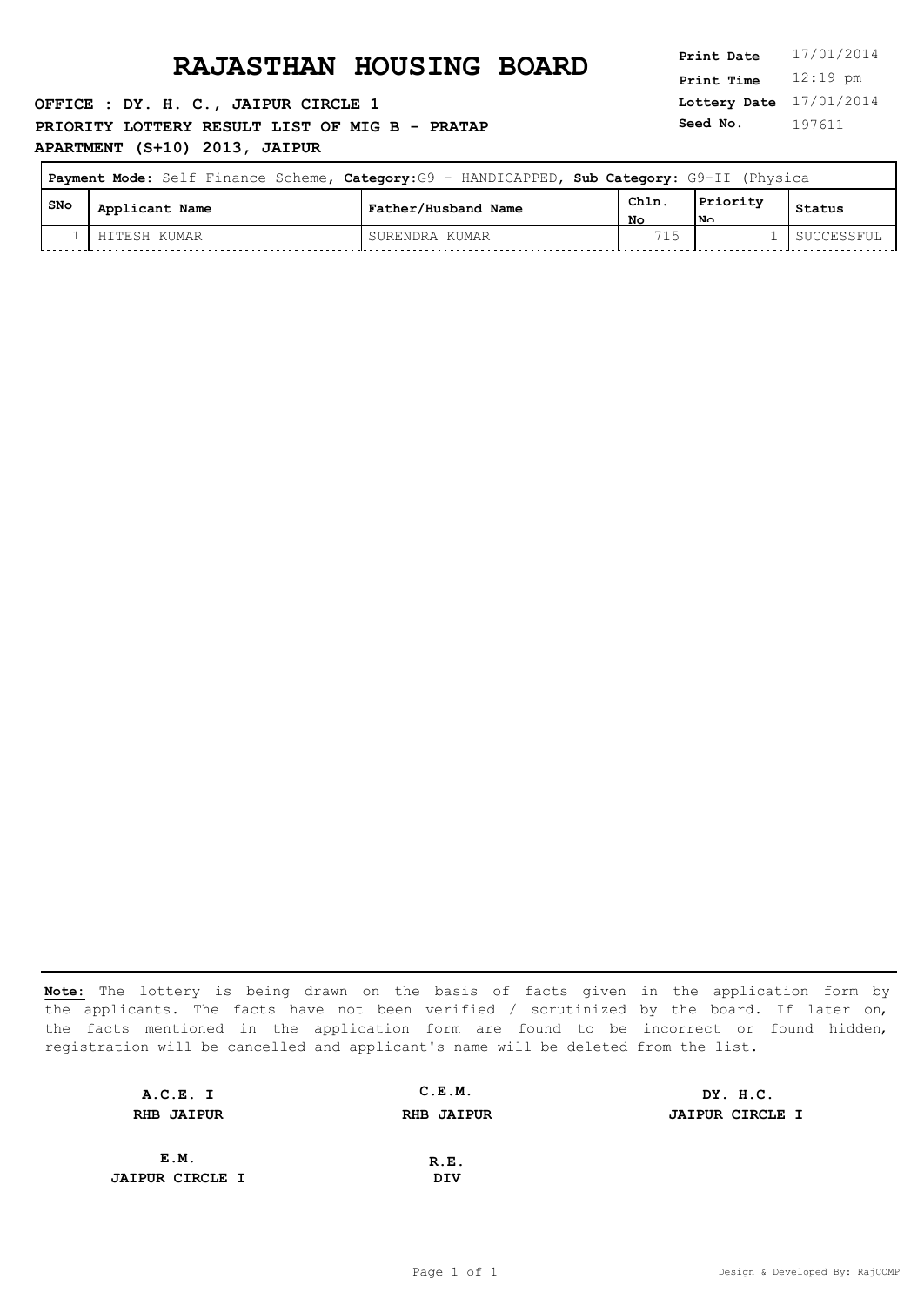**OFFICE : DY. H. C., JAIPUR CIRCLE 1 PRIORITY LOTTERY RESULT LIST OF MIG B - PRATAP APARTMENT (S+10) 2013, JAIPUR**

**Lottery Date** 17/01/2014 **Print Time** 12:19 pm **Seed No.** 197611

| Payment Mode: Self Finance Scheme, Category: G9 - HANDICAPPED, Sub Category: G9-II (Physica |                |                     |            |                          |            |
|---------------------------------------------------------------------------------------------|----------------|---------------------|------------|--------------------------|------------|
| , SNo                                                                                       | Applicant Name | Father/Husband Name | Chln<br>NΟ | Priority<br>$\mathbf{N}$ | Status     |
|                                                                                             | HITESH KUMAR   | SURENDRA KUMAR      | 715        |                          | SUCCESSFUL |

| A.C.E. I               | C.E.M.            | DY. H.C.               |
|------------------------|-------------------|------------------------|
| <b>RHB JAIPUR</b>      | <b>RHB JAIPUR</b> | <b>JAIPUR CIRCLE I</b> |
|                        |                   |                        |
| E.M.                   | R.E.              |                        |
| <b>JAIPUR CIRCLE I</b> | DIV               |                        |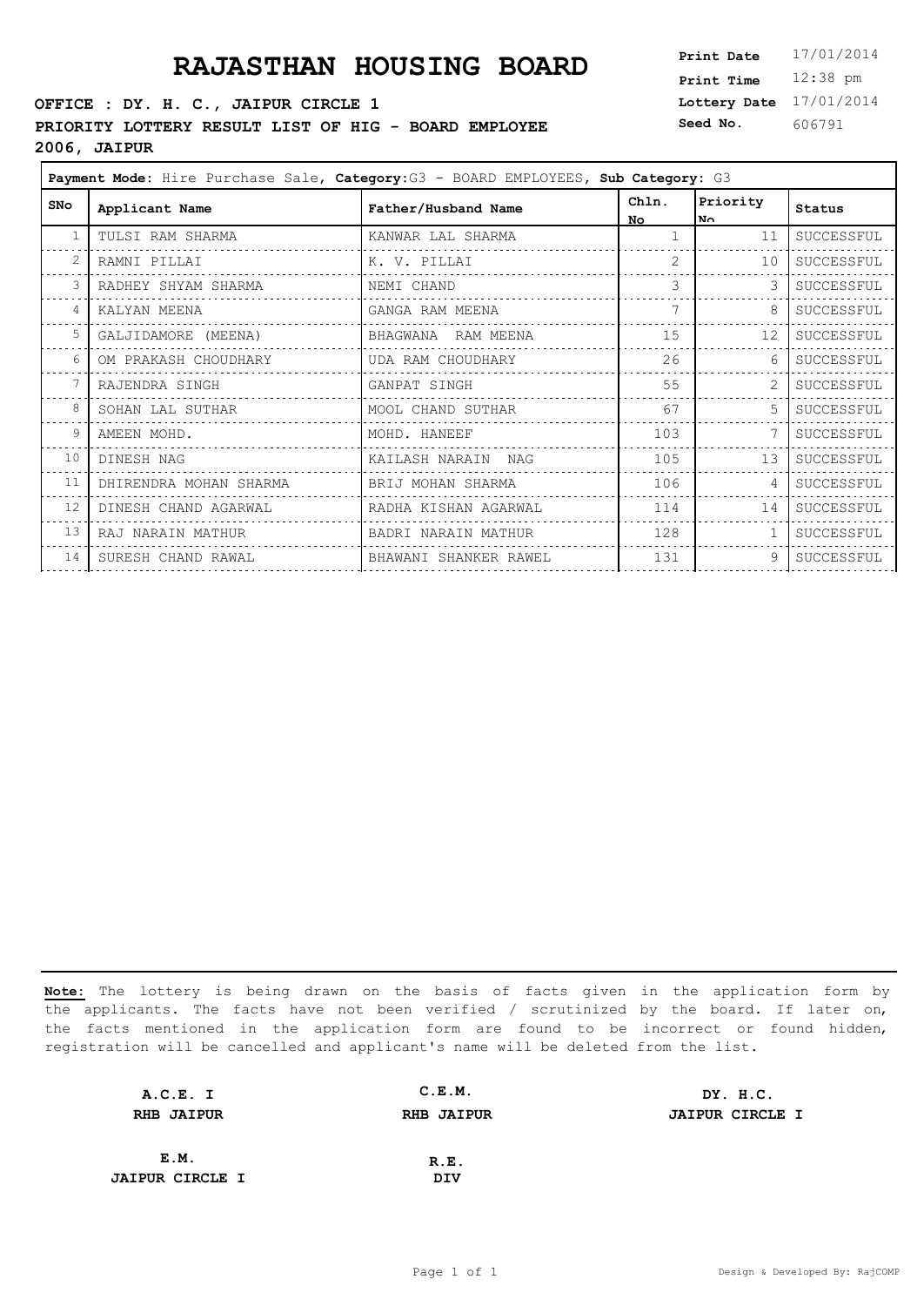#### **OFFICE : DY. H. C., JAIPUR CIRCLE 1**

**PRIORITY LOTTERY RESULT LIST OF HIG - BOARD EMPLOYEE** 

**2006, JAIPUR**

**Lottery Date** 17/01/2014 **Print Time** 12:38 pm **Seed No.** 606791

|            | Payment Mode: Hire Purchase Sale, Category: G3 - BOARD EMPLOYEES, Sub Category: G3 |                       |                    |                       |            |  |
|------------|------------------------------------------------------------------------------------|-----------------------|--------------------|-----------------------|------------|--|
| <b>SNo</b> | Applicant Name                                                                     | Father/Husband Name   | Chln.<br><b>No</b> | Priority<br><b>No</b> | Status     |  |
|            | TULSI RAM SHARMA                                                                   | KANWAR LAL SHARMA     |                    | 11                    | SUCCESSFUL |  |
| 2          | RAMNI PILLAI                                                                       | K. V. PILLAI          | $\mathcal{L}$      | 10                    | SUCCESSFUL |  |
| 3          | RADHEY SHYAM SHARMA                                                                | NEMI CHAND            | 3                  |                       | SUCCESSFUL |  |
| 4          | KALYAN MEENA                                                                       | GANGA RAM MEENA       | 7                  | 8                     | SUCCESSFUL |  |
| 5          | GALJIDAMORE (MEENA)                                                                | BHAGWANA RAM MEENA    | 15                 | 12                    | SUCCESSFUL |  |
| 6          | OM PRAKASH CHOUDHARY                                                               | UDA RAM CHOUDHARY     | 26                 | 6                     | SUCCESSFUL |  |
|            | RAJENDRA SINGH                                                                     | GANPAT SINGH          | 55                 |                       | SUCCESSFUL |  |
| 8          | SOHAN LAL SUTHAR                                                                   | MOOL CHAND SUTHAR     | 67                 | 5                     | SUCCESSFUL |  |
| 9          | AMEEN MOHD.                                                                        | MOHD. HANEEF          | 103                |                       | SUCCESSFUL |  |
| 10         | DINESH NAG                                                                         | KAILASH NARAIN NAG    | 105                | 13                    | SUCCESSFUL |  |
| 11         | DHIRENDRA MOHAN SHARMA                                                             | BRIJ MOHAN SHARMA     | 106                | 4                     | SUCCESSFUL |  |
| 12         | DINESH CHAND AGARWAL                                                               | RADHA KISHAN AGARWAL  | 114                | 14                    | SUCCESSFUL |  |
| 13         | RAJ NARAIN MATHUR                                                                  | BADRI NARAIN MATHUR   | 128                |                       | SUCCESSFUL |  |
| 14         | SURESH CHAND RAWAL                                                                 | BHAWANI SHANKER RAWEL | 131                | 9                     | SUCCESSFUL |  |
|            |                                                                                    |                       |                    |                       |            |  |

| A.C.E. I               | C.E.M.            | DY. H.C.               |
|------------------------|-------------------|------------------------|
| <b>RHB JAIPUR</b>      | <b>RHB JAIPUR</b> | <b>JAIPUR CIRCLE I</b> |
|                        |                   |                        |
| E.M.                   | R.E.              |                        |
| <b>JAIPUR CIRCLE I</b> | DIV               |                        |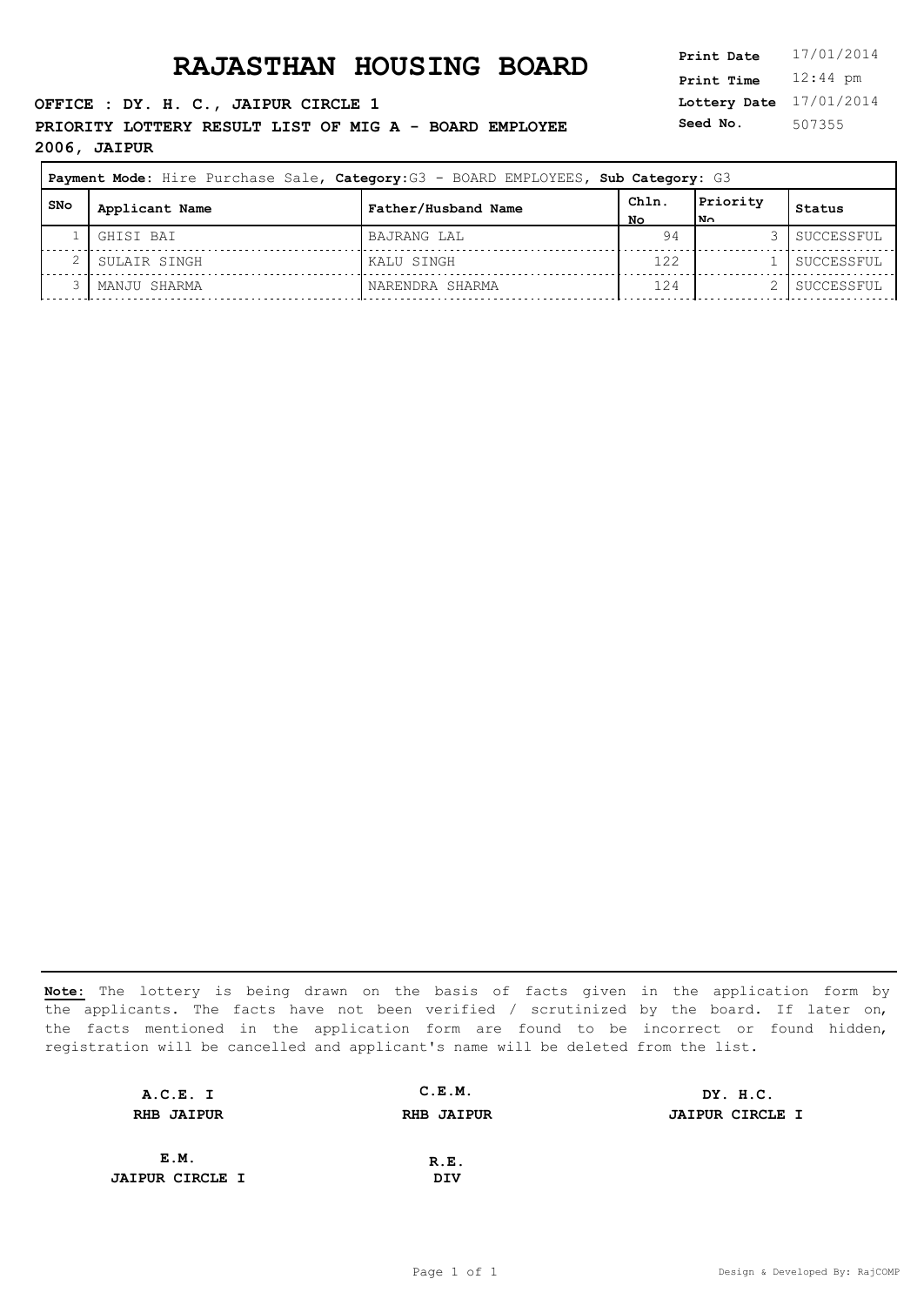**OFFICE : DY. H. C., JAIPUR CIRCLE 1 PRIORITY LOTTERY RESULT LIST OF MIG A - BOARD EMPLOYEE 2006, JAIPUR**

**Lottery Date** 17/01/2014 **Print Time** 12:44 pm **Seed No.** 507355

| Payment Mode: Hire Purchase Sale, Category: G3 - BOARD EMPLOYEES, Sub Category: G3 |                |                     |              |                 |            |
|------------------------------------------------------------------------------------|----------------|---------------------|--------------|-----------------|------------|
| SNo                                                                                | Applicant Name | Father/Husband Name | ChIn.<br>No. | Priority<br> N∩ | Status     |
|                                                                                    | GHISI BAI      | BAJRANG LAL         | 94           |                 | SUCCESSFUL |
| ∠                                                                                  | SULAIR SINGH   | KALU SINGH          | 122          |                 | SUCCESSFUL |
|                                                                                    | MANJU SHARMA   | NARENDRA SHARMA     | 124          |                 | SUCCESSFUL |

| A.C.E. I               | C.E.M.            | DY. H.C.               |
|------------------------|-------------------|------------------------|
| <b>RHB JAIPUR</b>      | <b>RHB JAIPUR</b> | <b>JAIPUR CIRCLE I</b> |
|                        |                   |                        |
| E.M.                   | R.E.              |                        |
| <b>JAIPUR CIRCLE I</b> | DIV               |                        |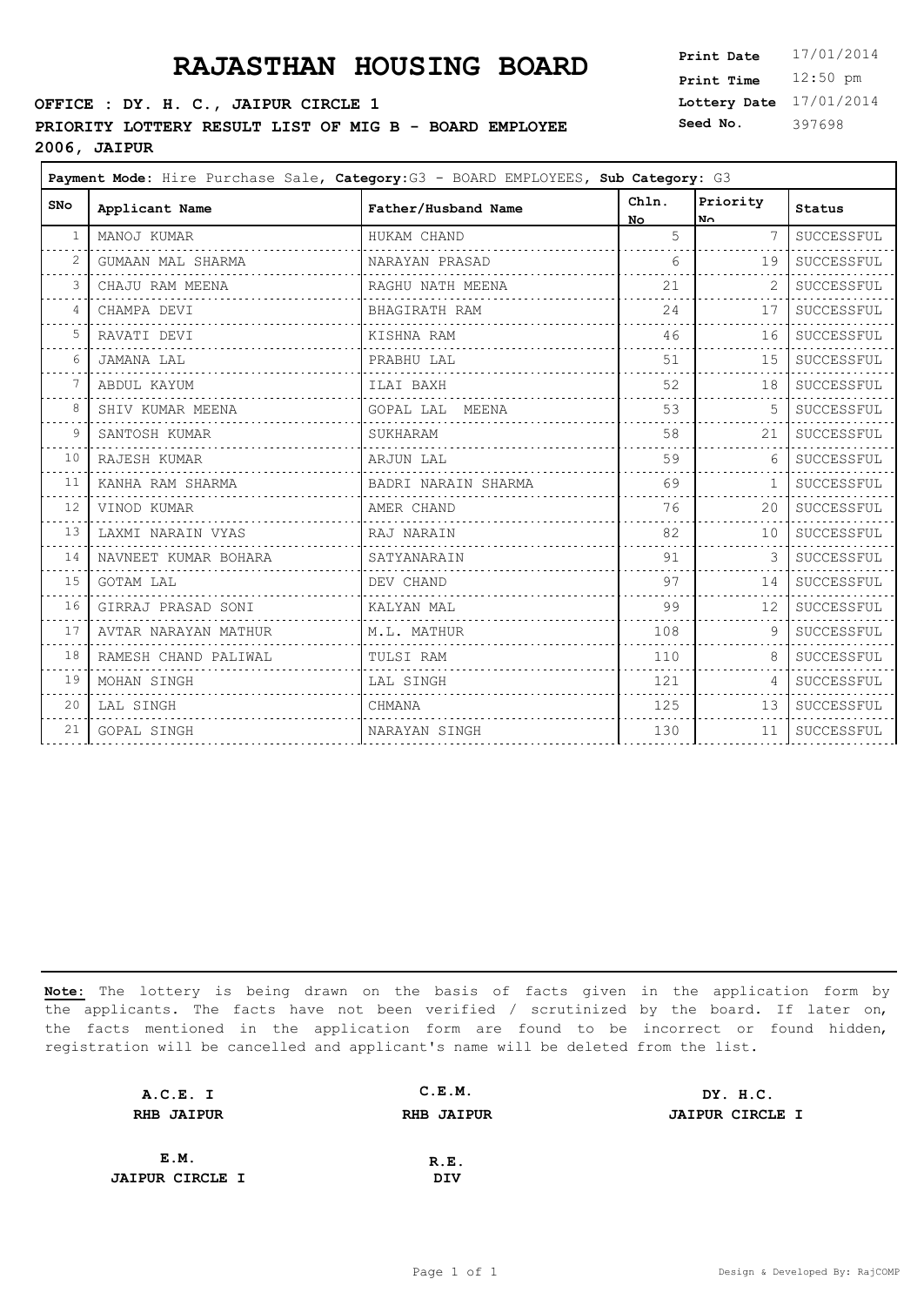### **OFFICE : DY. H. C., JAIPUR CIRCLE 1 PRIORITY LOTTERY RESULT LIST OF MIG B - BOARD EMPLOYEE**

**2006, JAIPUR**

**Lottery Date** 17/01/2014 **Print Time** 12:50 pm **Seed No.** 397698

 $\overline{\phantom{0}}$ 

| <b>SNo</b>     | Applicant Name       | Father/Husband Name | Chln.<br>No. | Priority<br>No. | <b>Status</b>    |
|----------------|----------------------|---------------------|--------------|-----------------|------------------|
| -1             | MANOJ KUMAR          | HUKAM CHAND         | 5            | 7               | SUCCESSFUL       |
| 2              | GUMAAN MAL SHARMA    | NARAYAN PRASAD      | $6^{\circ}$  | 19              | SUCCESSFUL       |
| 3              | CHAJU RAM MEENA      | RAGHU NATH MEENA    | 21           | 2               | SUCCESSFUL       |
| $\overline{4}$ | CHAMPA DEVI          | BHAGIRATH RAM       | 24           | 17              | SUCCESSFUL       |
| 5              | RAVATI DEVI          | KISHNA RAM          | 46           | 16              | $\tt SUCCESSFUL$ |
| 6              | JAMANA LAL           | PRABHU LAL          | 51           | 15              | SUCCESSFUL       |
|                | ABDUL KAYUM          | ILAI BAXH           | 52           | 18              | SUCCESSFUL       |
| 8              | SHIV KUMAR MEENA     | GOPAL LAL MEENA     | 53           | .5              | SUCCESSFUL       |
| 9              | SANTOSH KUMAR        | SUKHARAM            | 58           | 21              | SUCCESSFUL       |
| 10             | RAJESH KUMAR         | ARJUN LAL           | 59           | 6               | SUCCESSFUL       |
| 11             | KANHA RAM SHARMA     | BADRI NARAIN SHARMA | 69           | 1               | SUCCESSFUL       |
| 12             | VINOD KUMAR          | AMER CHAND          | 76           | 20              | SUCCESSFUL       |
| 13             | LAXMI NARAIN VYAS    | RAJ NARAIN          | 82           | 10              | SUCCESSFUL       |
| 14             | NAVNEET KUMAR BOHARA | SATYANARAIN         | 91           | 3               | SUCCESSFUL       |
| 15             | GOTAM LAL            | DEV CHAND           | 97           | 14              | SUCCESSFUL       |
| 16             | GIRRAJ PRASAD SONI   | KALYAN MAL          | 99           | 12              | SUCCESSFUL       |
| 17             | AVTAR NARAYAN MATHUR | M.L. MATHUR         | 108          | 9               | SUCCESSFUL       |
| 18             | RAMESH CHAND PALIWAL | TULSI RAM           | 110          | 8               | SUCCESSFUL       |
| 19             | MOHAN SINGH          | LAL SINGH           | 121          | 4               | SUCCESSFUL       |
| 20             | LAL SINGH            | CHMANA              | 125          | 13              | SUCCESSFUL       |
| 21             | GOPAL SINGH          | NARAYAN SINGH       | 130          | 11              | SUCCESSFUL       |
|                |                      |                     |              |                 |                  |

| A.C.E. I               | C.E.M.            | DY. H.C.               |
|------------------------|-------------------|------------------------|
| <b>RHB JAIPUR</b>      | <b>RHB JAIPUR</b> | <b>JAIPUR CIRCLE I</b> |
|                        |                   |                        |
| E.M.                   | R.E.              |                        |
| <b>JAIPUR CIRCLE I</b> | DIV               |                        |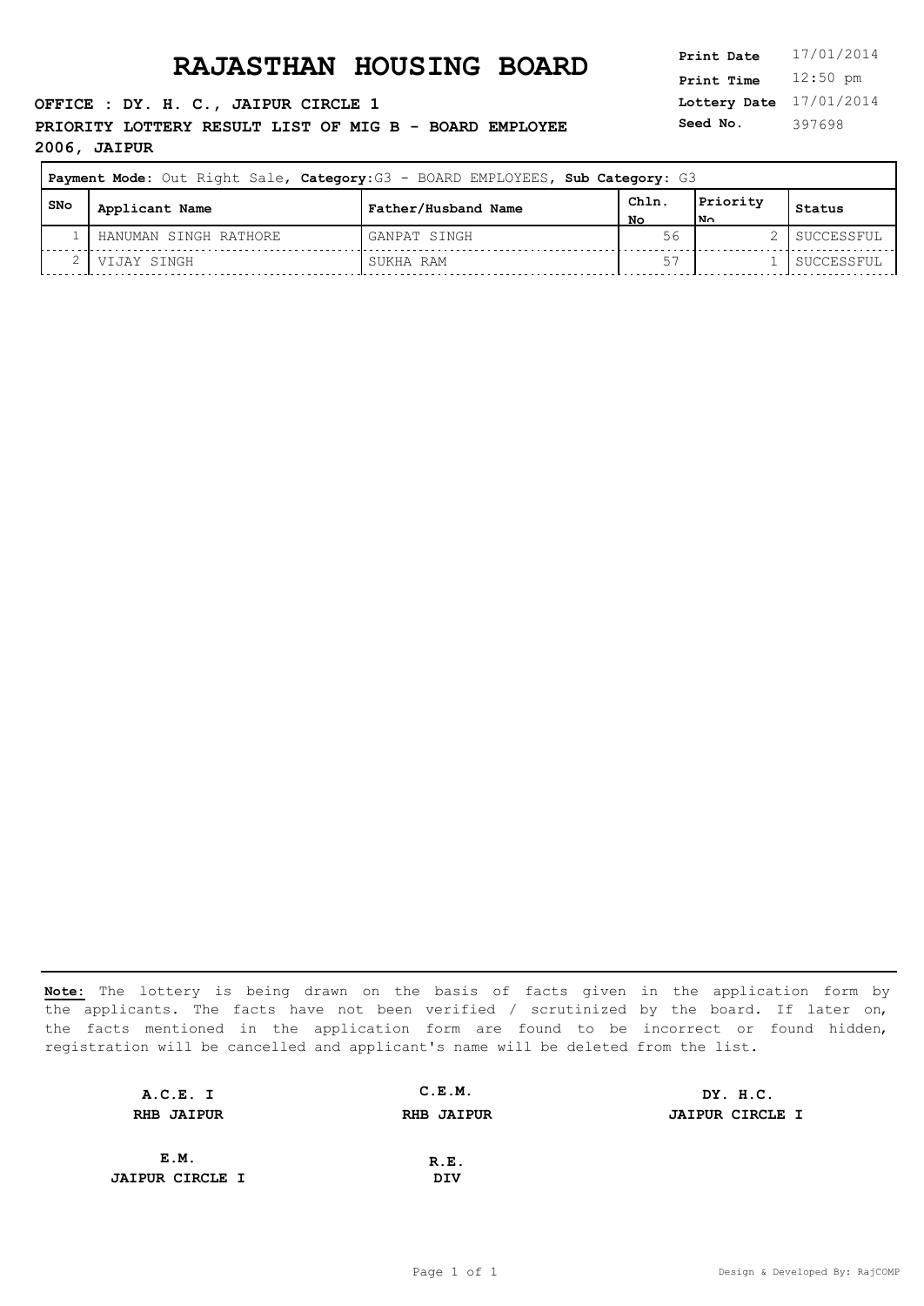**OFFICE : DY. H. C., JAIPUR CIRCLE 1 PRIORITY LOTTERY RESULT LIST OF MIG B - BOARD EMPLOYEE 2006, JAIPUR**

**Lottery Date** 17/01/2014 **Print Time** 12:50 pm **Seed No.** 397698

| <b>Payment Mode:</b> Out Right Sale, Category: G3 - BOARD EMPLOYEES, Sub Category: G3 |                       |                     |            |                             |            |
|---------------------------------------------------------------------------------------|-----------------------|---------------------|------------|-----------------------------|------------|
| l SNo                                                                                 | Applicant Name        | Father/Husband Name | Chln<br>Nο | Priority<br>1N <sub>0</sub> | Status     |
|                                                                                       | HANUMAN SINGH RATHORE | GANPAT SINGH        | 56         |                             | SUCCESSFUL |
|                                                                                       | VIJAY SINGH           | SUKHA RAM           |            |                             | SUCCESSFUL |

| A.C.E. I               | C.E.M.            | DY. H.C.               |
|------------------------|-------------------|------------------------|
| <b>RHB JAIPUR</b>      | <b>RHB JAIPUR</b> | <b>JAIPUR CIRCLE I</b> |
|                        |                   |                        |
| E.M.                   | R.E.              |                        |
| <b>JAIPUR CIRCLE I</b> | DIV               |                        |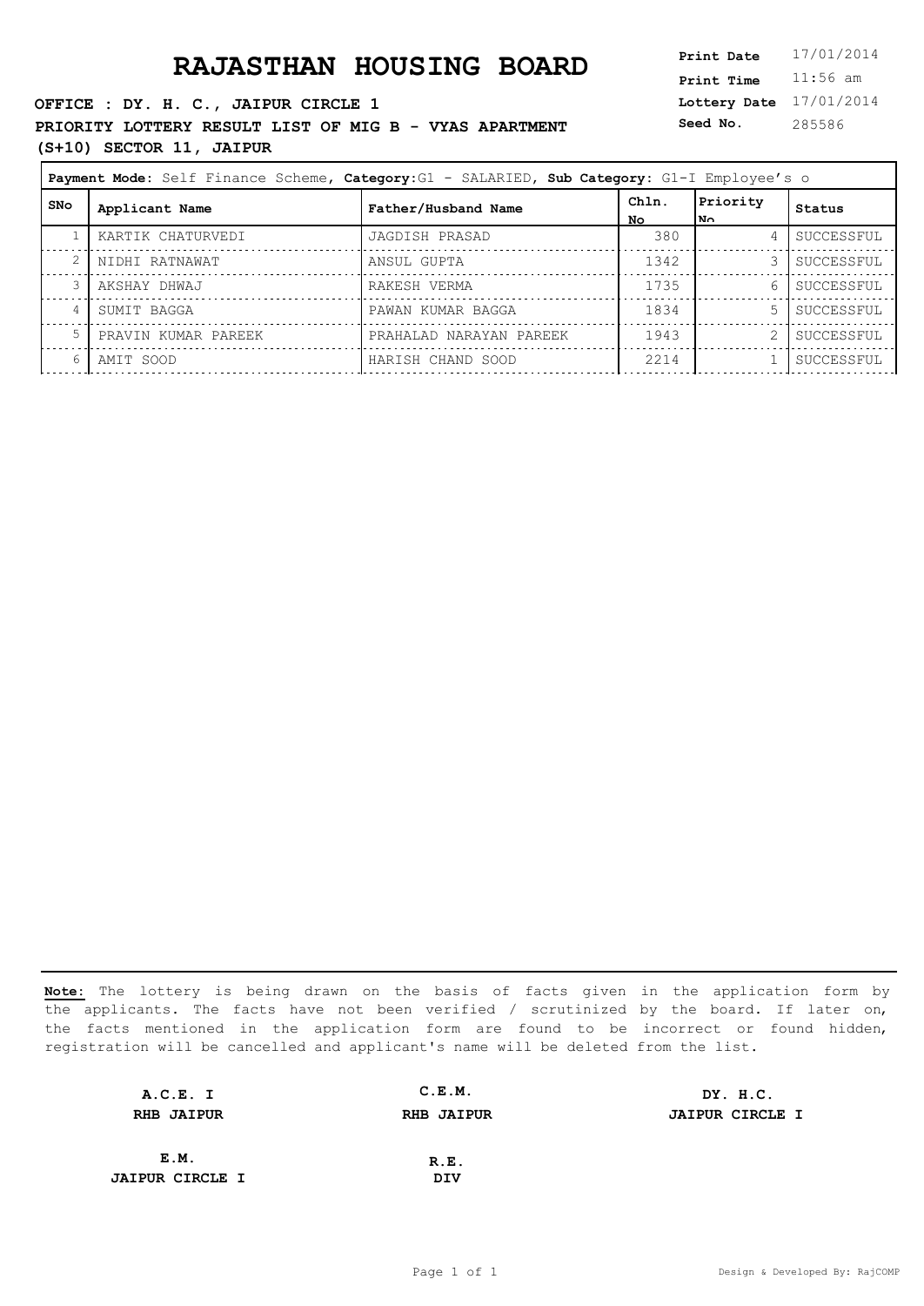### **RAJASTHAN HOUSING BOARD**

**OFFICE : DY. H. C., JAIPUR CIRCLE 1 PRIORITY LOTTERY RESULT LIST OF MIG B - VYAS APARTMENT (S+10) SECTOR 11, JAIPUR**

| 17/01/2014 |
|------------|
| $11:56$ am |
| 17/01/2014 |
| 285586     |
|            |

| <b>Payment Mode:</b> Self Finance Scheme, Category: G1 - SALARIED, Sub Category: G1-I Employee's o |                     |                         |              |                  |            |
|----------------------------------------------------------------------------------------------------|---------------------|-------------------------|--------------|------------------|------------|
| SNo                                                                                                | Applicant Name      | Father/Husband Name     | Chln.<br>No. | Priority<br>ا ⊿ا | Status     |
|                                                                                                    | KARTIK CHATURVEDI   | JAGDISH PRASAD          | 380          | 4                | SUCCESSFUL |
| 2                                                                                                  | NIDHI RATNAWAT      | ANSUL GUPTA             | 1342         |                  | SUCCESSFUL |
| 3                                                                                                  | AKSHAY DHWAJ        | RAKESH VERMA            | 1735         | 61               | SUCCESSFUL |
| 4                                                                                                  | SUMIT BAGGA         | PAWAN KUMAR BAGGA       | 1834         | .5               | SUCCESSFUL |
| 5                                                                                                  | PRAVIN KUMAR PAREEK | PRAHALAD NARAYAN PAREEK | 1943         |                  | SUCCESSFUL |
| 6                                                                                                  | AMIT SOOD           | HARISH CHAND SOOD       | 2214         |                  | SUCCESSFUL |
|                                                                                                    |                     |                         |              |                  |            |

| A.C.E. I               | C.E.M.            | DY. H.C.               |
|------------------------|-------------------|------------------------|
| <b>RHB JAIPUR</b>      | <b>RHB JAIPUR</b> | <b>JAIPUR CIRCLE I</b> |
|                        |                   |                        |
| E.M.                   | R.E.              |                        |
| <b>JAIPUR CIRCLE I</b> | DIV               |                        |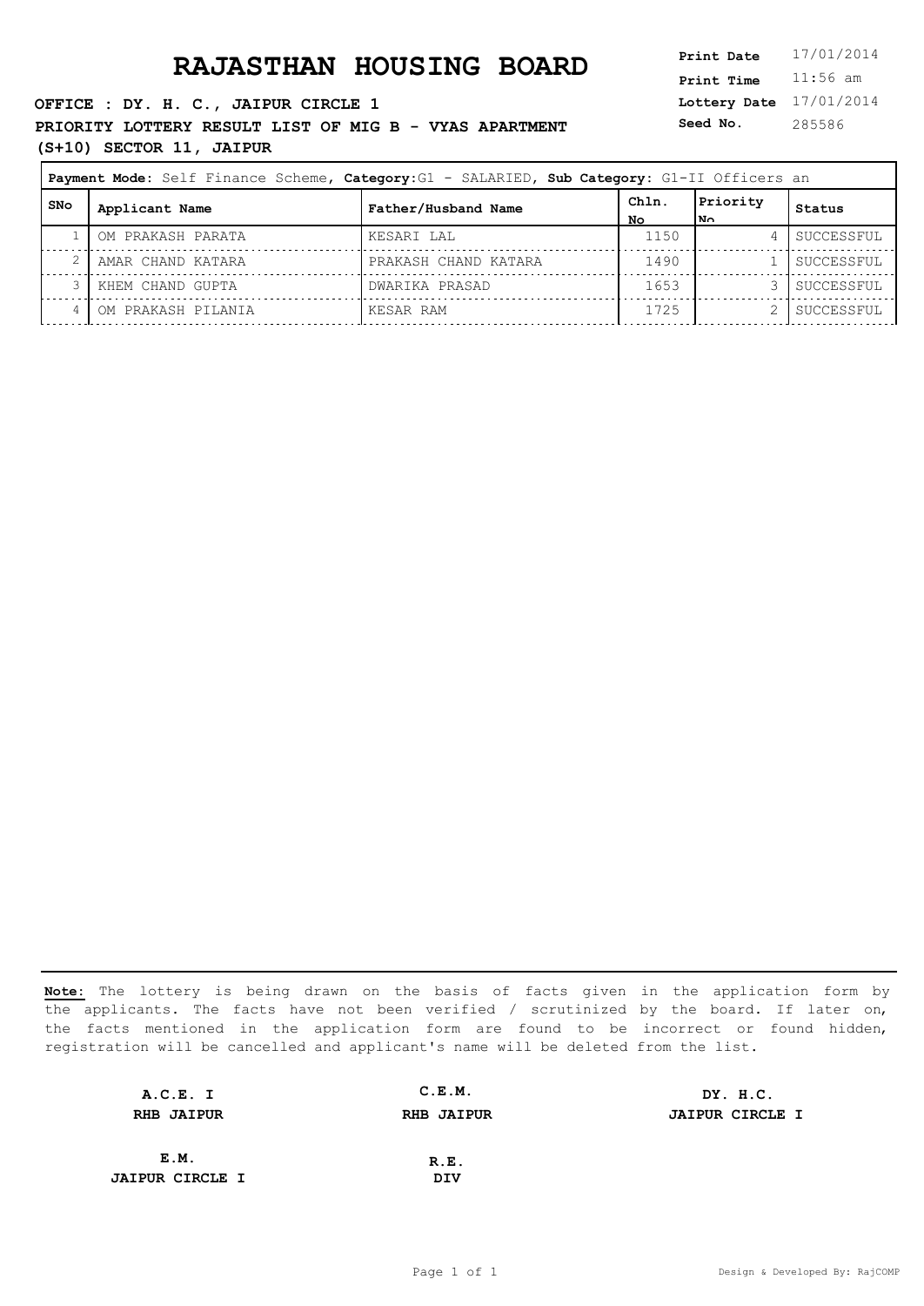**OFFICE : DY. H. C., JAIPUR CIRCLE 1 PRIORITY LOTTERY RESULT LIST OF MIG B - VYAS APARTMENT (S+10) SECTOR 11, JAIPUR**

**Lottery Date** 17/01/2014 **Print Time** 11:56 am **Seed No.** 285586

| Payment Mode: Self Finance Scheme, Category: G1 - SALARIED, Sub Category: G1-II Officers an |                    |                      |             |                 |            |
|---------------------------------------------------------------------------------------------|--------------------|----------------------|-------------|-----------------|------------|
| SNo                                                                                         | Applicant Name     | Father/Husband Name  | Chln.<br>NΟ | Priority<br>∩¤ا | Status     |
|                                                                                             | OM PRAKASH PARATA  | KESARI LAL           | 1150        |                 | SUCCESSFUL |
|                                                                                             | AMAR CHAND KATARA  | PRAKASH CHAND KATARA | 1490        |                 | SUCCESSFUL |
|                                                                                             | KHEM CHAND GUPTA   | DWARIKA PRASAD       | 1653        |                 | SUCCESSFUL |
|                                                                                             | OM PRAKASH PILANIA | KESAR RAM            | 1725        |                 | SUCCESSFUL |

| A.C.E. I               | C.E.M.            | DY. H.C.               |
|------------------------|-------------------|------------------------|
| <b>RHB JAIPUR</b>      | <b>RHB JAIPUR</b> | <b>JAIPUR CIRCLE I</b> |
|                        |                   |                        |
| E.M.                   | R.E.              |                        |
| <b>JAIPUR CIRCLE I</b> | DIV               |                        |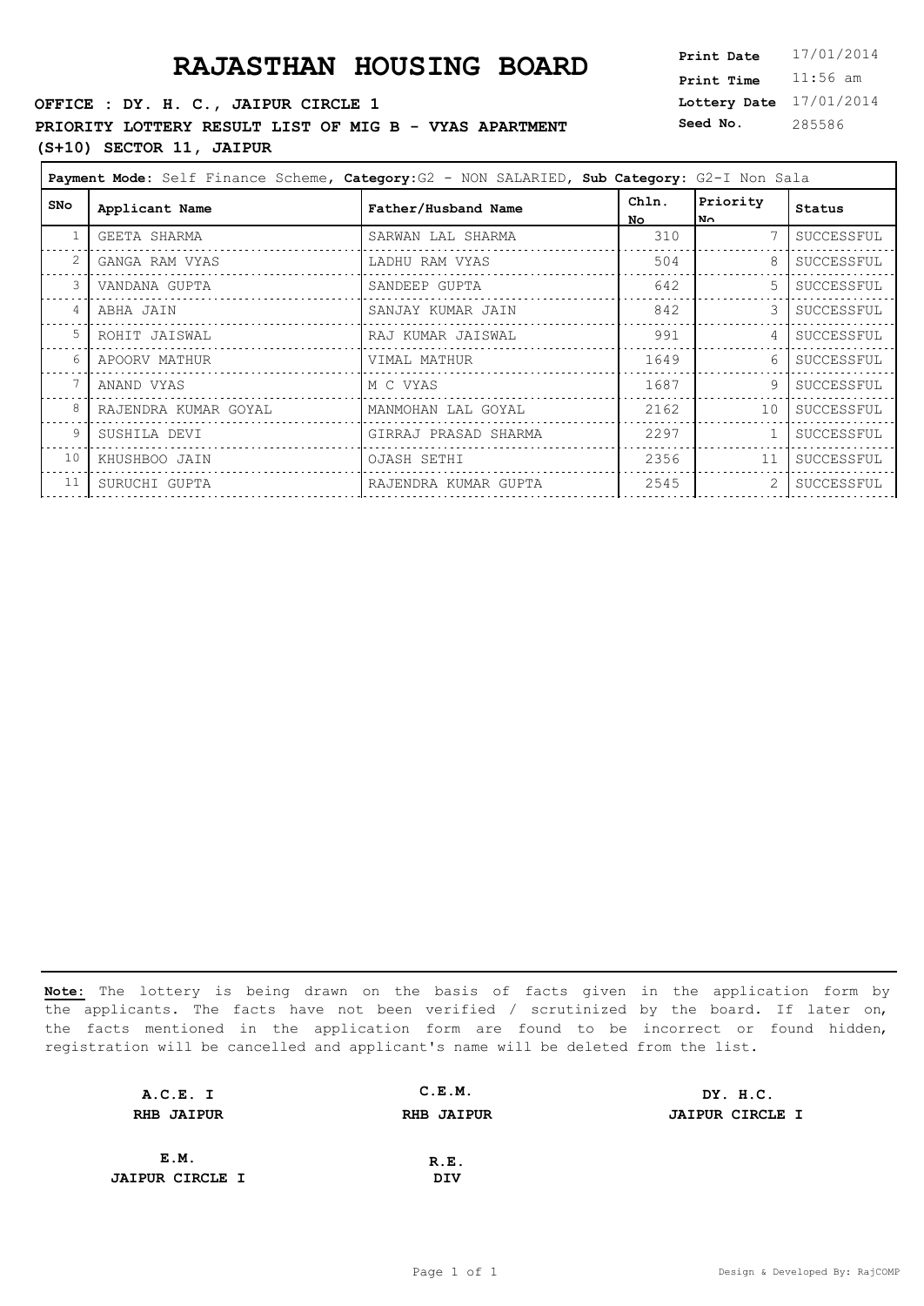### **OFFICE : DY. H. C., JAIPUR CIRCLE 1 PRIORITY LOTTERY RESULT LIST OF MIG B - VYAS APARTMENT (S+10) SECTOR 11, JAIPUR**

**Lottery Date** 17/01/2014 **Print Time** 11:56 am **Seed No.** 285586

| Payment Mode: Self Finance Scheme, Category: G2 - NON SALARIED, Sub Category: G2-I Non Sala |                      |                      |              |                  |            |
|---------------------------------------------------------------------------------------------|----------------------|----------------------|--------------|------------------|------------|
| <b>SNo</b>                                                                                  | Applicant Name       | Father/Husband Name  | Chln.<br>No. | Priority<br>l No | Status     |
| $\mathbf{1}$                                                                                | GEETA SHARMA         | SARWAN LAL SHARMA    | 310          |                  | SUCCESSFUL |
|                                                                                             | GANGA RAM VYAS       | LADHU RAM VYAS       | 504          | 8                | SUCCESSFUL |
|                                                                                             | VANDANA GUPTA        | SANDEEP GUPTA        | 642          | .5               | SUCCESSFUL |
|                                                                                             | ABHA JAIN            | SANJAY KUMAR JAIN    | 842          | 3                | SUCCESSFUL |
| 5                                                                                           | ROHIT JAISWAL        | RAJ KUMAR JAISWAL    | 991          | 4                | SUCCESSFUL |
|                                                                                             | APOORV MATHUR        | VIMAL MATHUR         | 1649         | 6                | SUCCESSFUL |
|                                                                                             | ANAND VYAS           | M C VYAS             | 1687         | 9                | SUCCESSFUL |
| 8                                                                                           | RAJENDRA KUMAR GOYAL | MANMOHAN LAL GOYAL   | 2162         | 10               | SUCCESSFUL |
| 9                                                                                           | SUSHILA DEVI         | GIRRAJ PRASAD SHARMA | 2297         |                  | SUCCESSFUL |
| 10                                                                                          | KHUSHBOO JAIN        | OJASH SETHI          | 2356         | 11               | SUCCESSFUL |
| 11                                                                                          | SURUCHI GUPTA        | RAJENDRA KUMAR GUPTA | 2545         | 2                | SUCCESSFUL |

| A.C.E. I               | C.E.M.            | DY. H.C.               |
|------------------------|-------------------|------------------------|
| <b>RHB JAIPUR</b>      | <b>RHB JAIPUR</b> | <b>JAIPUR CIRCLE I</b> |
|                        |                   |                        |
| E.M.                   | R.E.              |                        |
| <b>JAIPUR CIRCLE I</b> | DIV               |                        |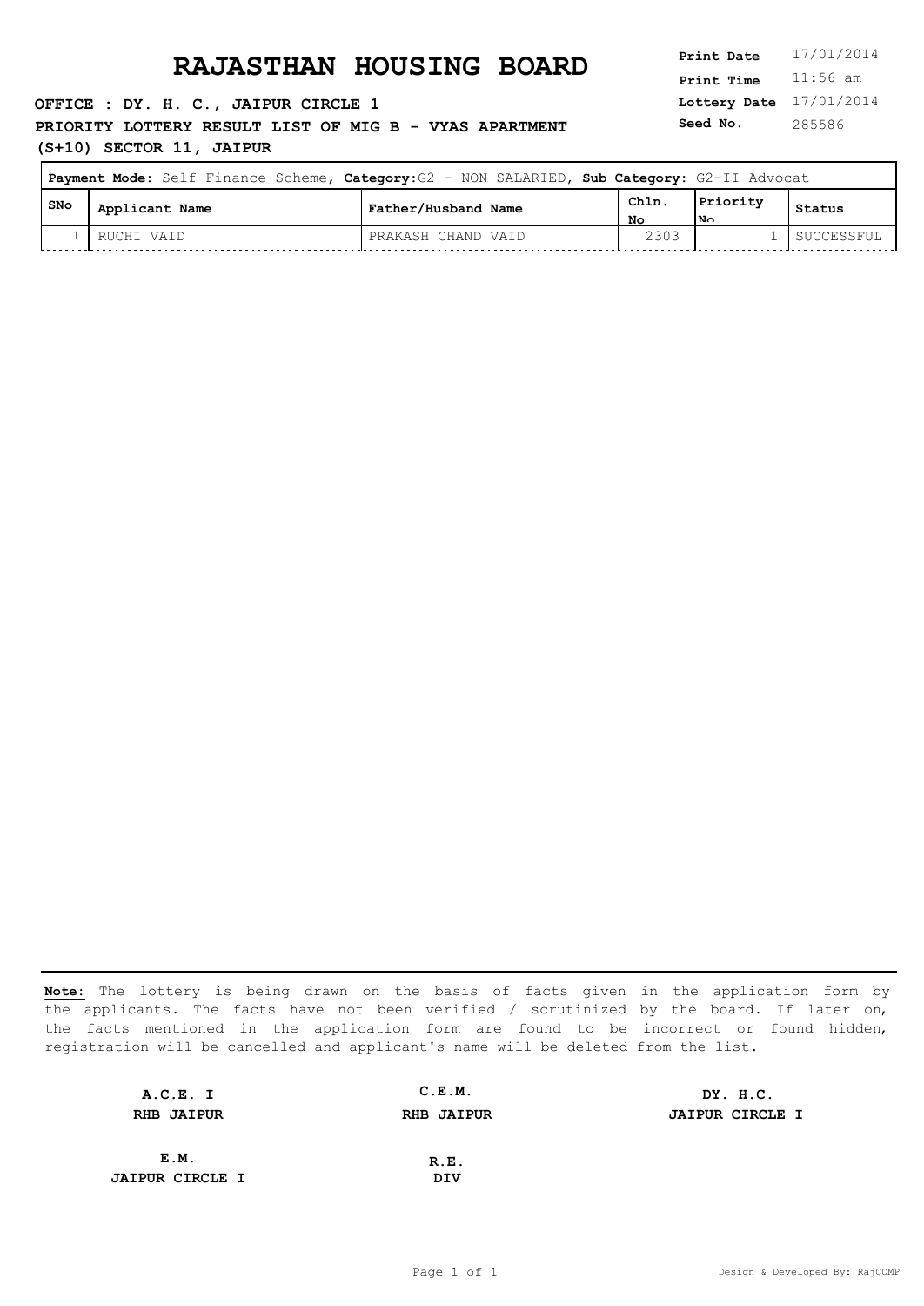**OFFICE : DY. H. C., JAIPUR CIRCLE 1 PRIORITY LOTTERY RESULT LIST OF MIG B - VYAS APARTMENT (S+10) SECTOR 11, JAIPUR**

**Lottery Date** 17/01/2014 **Print Time** 11:56 am **Seed No.** 285586

|       | Payment Mode: Self Finance Scheme, Category: G2 - NON SALARIED, Sub Category: G2-II Advocat |                     |            |                             |            |  |
|-------|---------------------------------------------------------------------------------------------|---------------------|------------|-----------------------------|------------|--|
| l SNo | Applicant Name                                                                              | Father/Husband Name | Chln<br>Nο | Priority<br>1N <sub>0</sub> | Status     |  |
|       | RUCHI VAID                                                                                  | PRAKASH CHAND VAID  | 2303       |                             | SUCCESSFUL |  |

| A.C.E. I               | C.E.M.            | DY. H.C.               |
|------------------------|-------------------|------------------------|
| <b>RHB JAIPUR</b>      | <b>RHB JAIPUR</b> | <b>JAIPUR CIRCLE I</b> |
|                        |                   |                        |
| E.M.                   | R.E.              |                        |
| <b>JAIPUR CIRCLE I</b> | DIV               |                        |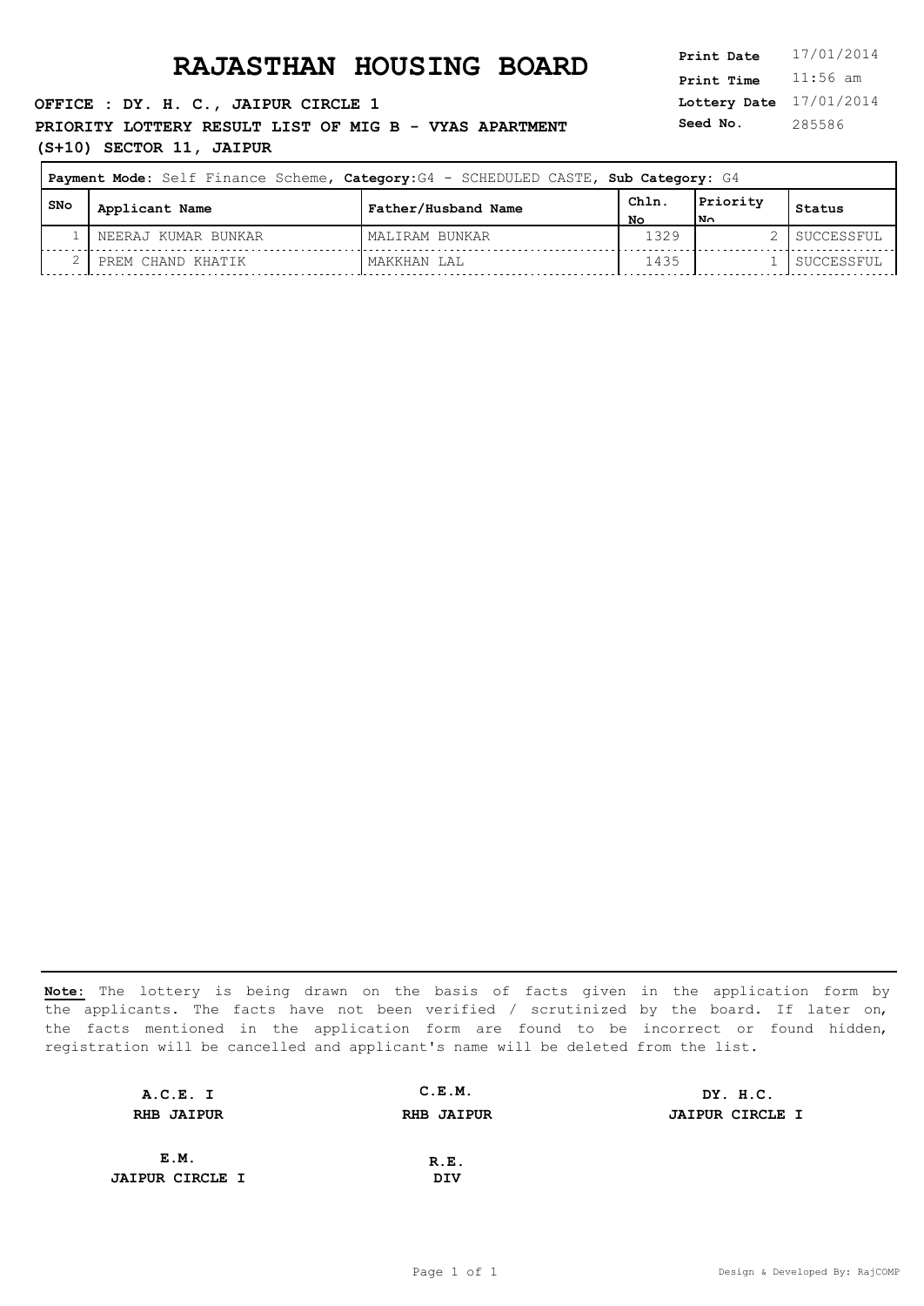**Lottery Date** 17/01/2014 **Print Time** 11:56 am **Seed No.** 285586

### **OFFICE : DY. H. C., JAIPUR CIRCLE 1 PRIORITY LOTTERY RESULT LIST OF MIG B - VYAS APARTMENT (S+10) SECTOR 11, JAIPUR**

| Payment Mode: Self Finance Scheme, Category: G4 - SCHEDULED CASTE, Sub Category: G4 |                     |                     |            |                       |            |
|-------------------------------------------------------------------------------------|---------------------|---------------------|------------|-----------------------|------------|
| l SNo                                                                               | Applicant Name      | Father/Husband Name | Chln<br>NΟ | Priority<br><b>No</b> | Status     |
|                                                                                     | NEERAJ KUMAR BUNKAR | MALIRAM BUNKAR      | 1329       |                       | SUCCESSFUL |
|                                                                                     | PREM CHAND KHATIK   | MAKKHAN LAL         | 1435       |                       | SUCCESSFUL |

| A.C.E. I               | C.E.M.            | DY. H.C.               |
|------------------------|-------------------|------------------------|
| <b>RHB JAIPUR</b>      | <b>RHB JAIPUR</b> | <b>JAIPUR CIRCLE I</b> |
|                        |                   |                        |
| E.M.                   | R.E.              |                        |
| <b>JAIPUR CIRCLE I</b> | DIV               |                        |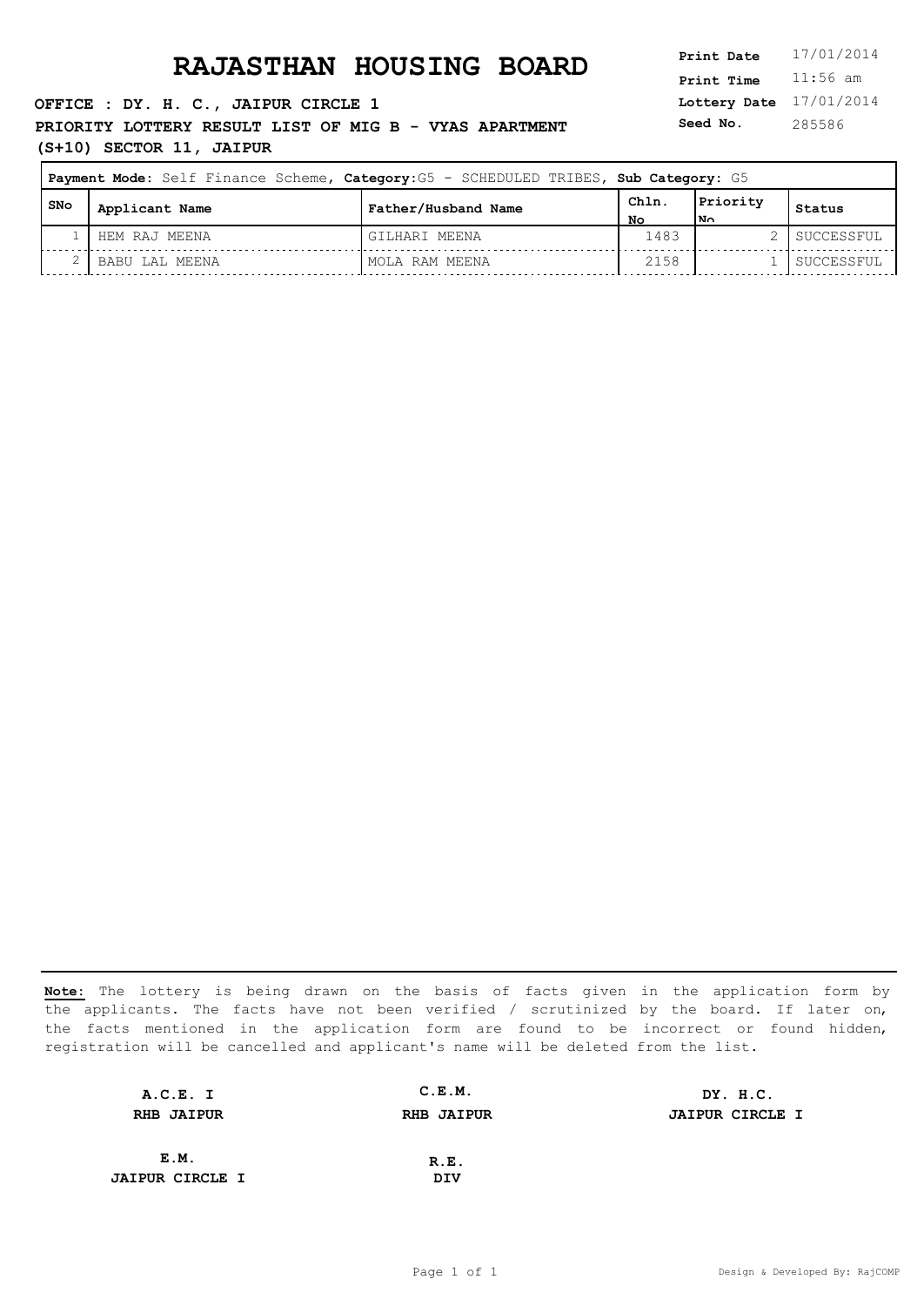**Lottery Date** 17/01/2014 **Print Time** 11:56 am **Seed No.** 285586

### **OFFICE : DY. H. C., JAIPUR CIRCLE 1 PRIORITY LOTTERY RESULT LIST OF MIG B - VYAS APARTMENT (S+10) SECTOR 11, JAIPUR**

| Payment Mode: Self Finance Scheme, Category: G5 - SCHEDULED TRIBES, Sub Category: G5 |                |                     |      |          |            |
|--------------------------------------------------------------------------------------|----------------|---------------------|------|----------|------------|
| l SNo                                                                                | Applicant Name | Father/Husband Name | Chln | Priority | Status     |
|                                                                                      |                |                     | NΟ   | lN∩      |            |
|                                                                                      | HEM RAJ MEENA  | GILHARI MEENA       | 1483 |          | SUCCESSFUL |
|                                                                                      | BABU LAL MEENA | MOLA RAM MEENA      | 2158 |          | SUCCESSFUL |

| A.C.E. I               | C.E.M.            | DY. H.C.               |
|------------------------|-------------------|------------------------|
| <b>RHB JAIPUR</b>      | <b>RHB JAIPUR</b> | <b>JAIPUR CIRCLE I</b> |
|                        |                   |                        |
| E.M.                   | R.E.              |                        |
| <b>JAIPUR CIRCLE I</b> | DIV               |                        |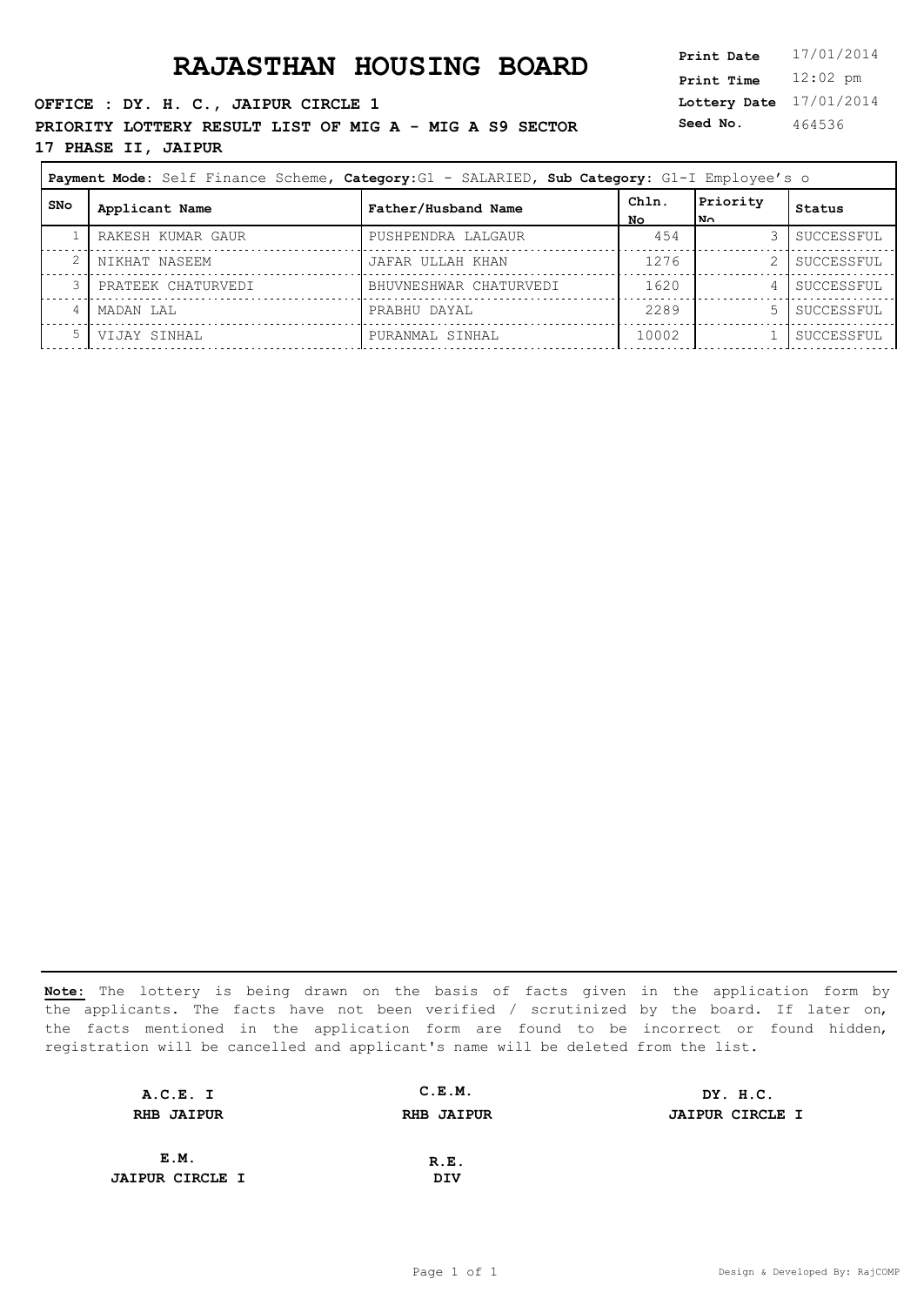### **RAJASTHAN HOUSING BOARD**

**OFFICE : DY. H. C., JAIPUR CIRCLE 1 PRIORITY LOTTERY RESULT LIST OF MIG A - MIG A S9 SECTOR 17 PHASE II, JAIPUR**

| <b>Print Date</b> | 17/01/2014 |
|-------------------|------------|
| <b>Print Time</b> | $12:02$ pm |
| Lottery Date      | 17/01/2014 |
| Seed No.          | 464536     |

| Payment Mode: Self Finance Scheme, Category: G1 - SALARIED, Sub Category: G1-I Employee's o |                    |                        |              |                  |            |
|---------------------------------------------------------------------------------------------|--------------------|------------------------|--------------|------------------|------------|
| SNo                                                                                         | Applicant Name     | Father/Husband Name    | Chln.<br>No. | Priority<br>l No | Status     |
|                                                                                             | RAKESH KUMAR GAUR  | PUSHPENDRA LALGAUR     | 454          |                  | SUCCESSFUL |
|                                                                                             | NIKHAT NASEEM      | JAFAR ULLAH KHAN       | 1276         |                  | SUCCESSFUL |
|                                                                                             | PRATEEK CHATURVEDI | BHUVNESHWAR CHATURVEDI | 1620         |                  | SUCCESSFUL |
|                                                                                             | MADAN LAL          | PRABHU DAYAL           | 2289         |                  | SUCCESSFUL |
|                                                                                             | VIJAY SINHAL       | PURANMAL SINHAL        | 10002        |                  | SUCCESSFUL |

| A.C.E. I               | C.E.M.            | DY. H.C.               |
|------------------------|-------------------|------------------------|
| <b>RHB JAIPUR</b>      | <b>RHB JAIPUR</b> | <b>JAIPUR CIRCLE I</b> |
|                        |                   |                        |
| E.M.                   | R.E.              |                        |
| <b>JAIPUR CIRCLE I</b> | DIV               |                        |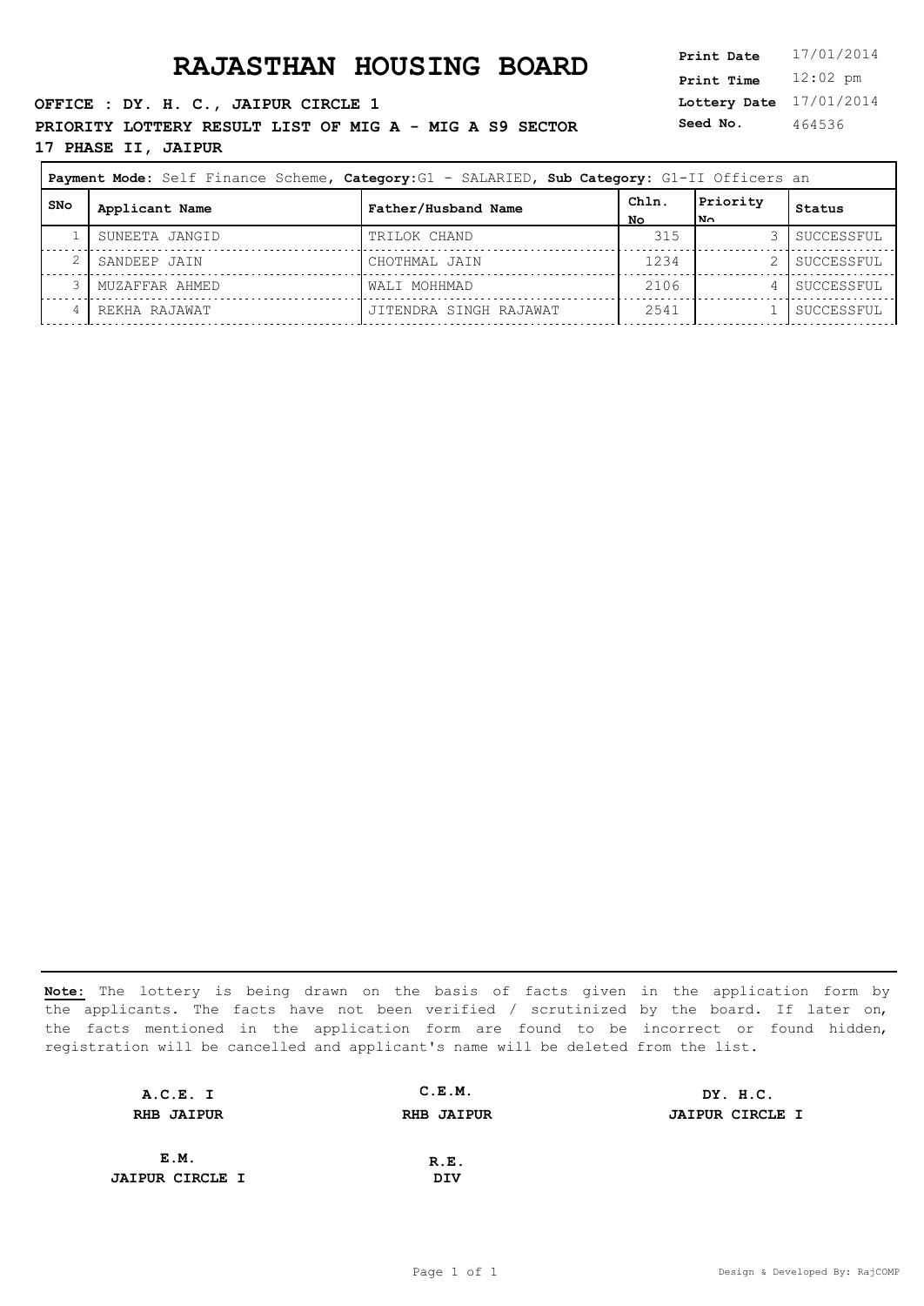### **RAJASTHAN HOUSING BOARD**

**OFFICE : DY. H. C., JAIPUR CIRCLE 1 PRIORITY LOTTERY RESULT LIST OF MIG A - MIG A S9 SECTOR 17 PHASE II, JAIPUR**

| Print Date   | 17/01/2014 |
|--------------|------------|
| Print Time   | $12:02$ pm |
| Lottery Date | 17/01/2014 |
| Seed No.     | 464536     |
|              |            |

| Payment Mode: Self Finance Scheme, Category: G1 - SALARIED, Sub Category: G1-II Officers an |                |                        |             |                  |            |
|---------------------------------------------------------------------------------------------|----------------|------------------------|-------------|------------------|------------|
| SNo                                                                                         | Applicant Name | Father/Husband Name    | Chln.<br>No | Priority<br>l N∩ | Status     |
|                                                                                             | SUNEETA JANGID | TRILOK CHAND           | 315         |                  | SUCCESSFUL |
|                                                                                             | SANDEEP JAIN   | CHOTHMAL JAIN          | 1234        |                  | SUCCESSFUL |
|                                                                                             | MUZAFFAR AHMED | WALI MOHHMAD           | 2106        | 4                | SUCCESSFUL |
|                                                                                             | REKHA RAJAWAT  | JITENDRA SINGH RAJAWAT | 2541        |                  | SUCCESSFUL |

| A.C.E. I               | C.E.M.            | DY. H.C.               |
|------------------------|-------------------|------------------------|
| <b>RHB JAIPUR</b>      | <b>RHB JAIPUR</b> | <b>JAIPUR CIRCLE I</b> |
|                        |                   |                        |
| E.M.                   | R.E.              |                        |
| <b>JAIPUR CIRCLE I</b> | DIV               |                        |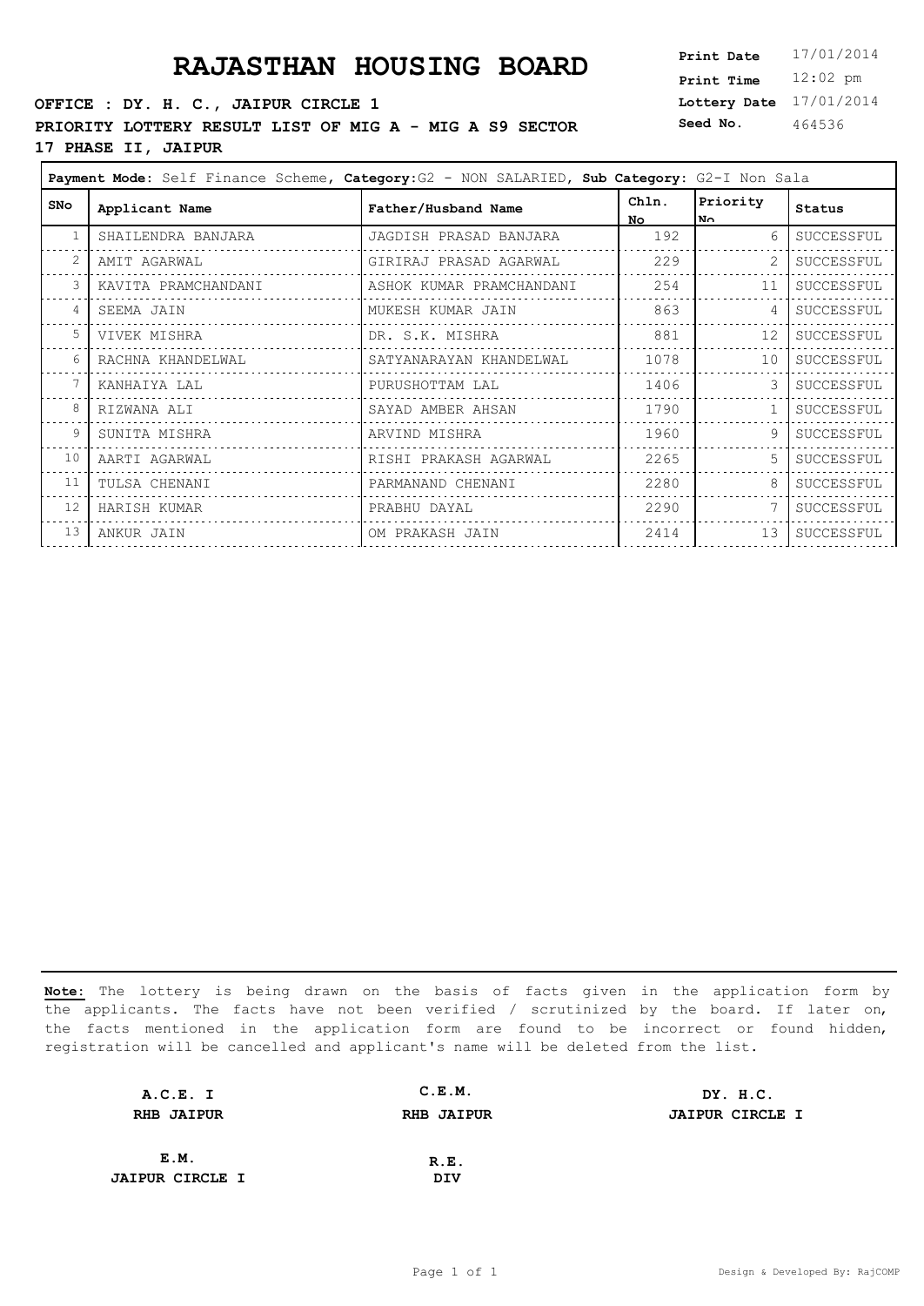# **PRAJASTHAN HOUSING BOARD**

### **OFFICE : DY. H. C., JAIPUR CIRCLE 1 PRIORITY LOTTERY RESULT LIST OF MIG A - MIG A S9 SECTOR 17 PHASE II, JAIPUR**

| <b>Print Date</b> | 17/01/2014 |
|-------------------|------------|
| <b>Print Time</b> | $12:02$ pm |
| Lottery Date      | 17/01/2014 |
| Seed No.          | 464536     |

|     | Payment Mode: Self Finance Scheme, Category: G2 - NON SALARIED, Sub Category: G2-I Non Sala |                          |              |                 |            |
|-----|---------------------------------------------------------------------------------------------|--------------------------|--------------|-----------------|------------|
| SNo | Applicant Name                                                                              | Father/Husband Name      | Chln.<br>No. | Priority<br>No. | Status     |
|     | SHAILENDRA BANJARA                                                                          | JAGDISH PRASAD BANJARA   | 192          | $6 \sqrt{25}$   | SUCCESSFUL |
|     | AMIT AGARWAL                                                                                | GIRIRAJ PRASAD AGARWAL   | 229          |                 | SUCCESSFUL |
| 3   | KAVITA PRAMCHANDANI                                                                         | ASHOK KUMAR PRAMCHANDANI | 254          | 11              | SUCCESSFUL |
| 4   | SEEMA JAIN                                                                                  | MUKESH KUMAR JAIN        | 863          | $\overline{4}$  | SUCCESSFUL |
| 5   | VIVEK MISHRA                                                                                | DR. S.K. MISHRA          | 881          | 12              | SUCCESSFUL |
| 6   | RACHNA KHANDELWAL                                                                           | SATYANARAYAN KHANDELWAL  | 1078         | 10              | SUCCESSFUL |
|     | KANHAIYA LAL                                                                                | PURUSHOTTAM LAL          | 1406         | 3               | SUCCESSFUL |
| 8   | RIZWANA ALI                                                                                 | SAYAD AMBER AHSAN        | 1790         |                 | SUCCESSFUL |
| 9   | SUNITA MISHRA                                                                               | ARVIND MISHRA            | 1960         | 9               | SUCCESSFUL |
| 10  | AARTI AGARWAL                                                                               | RISHI PRAKASH AGARWAL    | 2265         | 5               | SUCCESSFUL |
| 11  | TULSA CHENANI                                                                               | PARMANAND CHENANI        | 2280         | 8               | SUCCESSFUL |
| 12  | HARISH KUMAR                                                                                | PRABHU DAYAL             | 2290         |                 | SUCCESSFUL |
| 13  | ANKUR JAIN                                                                                  | OM PRAKASH JAIN          | 2414         | 13 <sup>°</sup> | SUCCESSFUL |
|     |                                                                                             |                          |              |                 |            |

| A.C.E. I               | C.E.M.            | DY. H.C.               |
|------------------------|-------------------|------------------------|
| <b>RHB JAIPUR</b>      | <b>RHB JAIPUR</b> | <b>JAIPUR CIRCLE I</b> |
|                        |                   |                        |
| E.M.                   | R.E.              |                        |
| <b>JAIPUR CIRCLE I</b> | DIV               |                        |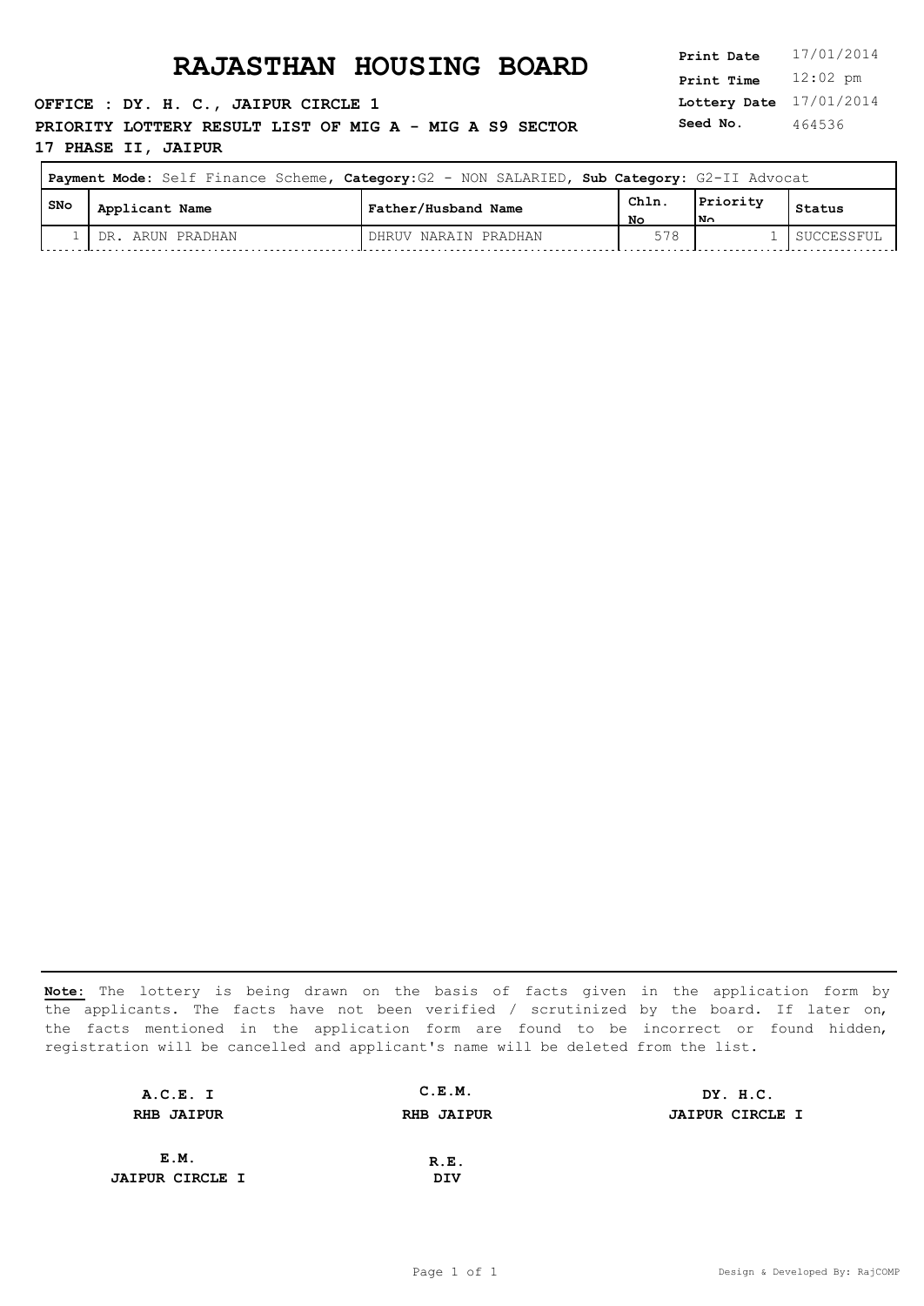**OFFICE : DY. H. C., JAIPUR CIRCLE 1 PRIORITY LOTTERY RESULT LIST OF MIG A - MIG A S9 SECTOR 17 PHASE II, JAIPUR**

**Lottery Date** 17/01/2014 **Print Time** 12:02 pm **Seed No.** 464536

| Payment Mode: Self Finance Scheme, Category: G2 - NON SALARIED, Sub Category: G2-II Advocat |                    |                      |             |                 |            |
|---------------------------------------------------------------------------------------------|--------------------|----------------------|-------------|-----------------|------------|
| l SNo                                                                                       | Applicant Name     | Father/Husband Name  | Chln.<br>NΟ | Priority<br>חוי | Status     |
|                                                                                             | . DR. ARUN PRADHAN | DHRUV NARAIN PRADHAN | 578         |                 | SUCCESSFUL |

| A.C.E. I               | C.E.M.            | DY. H.C.               |
|------------------------|-------------------|------------------------|
| <b>RHB JAIPUR</b>      | <b>RHB JAIPUR</b> | <b>JAIPUR CIRCLE I</b> |
|                        |                   |                        |
| E.M.                   | R.E.              |                        |
| <b>JAIPUR CIRCLE I</b> | DIV               |                        |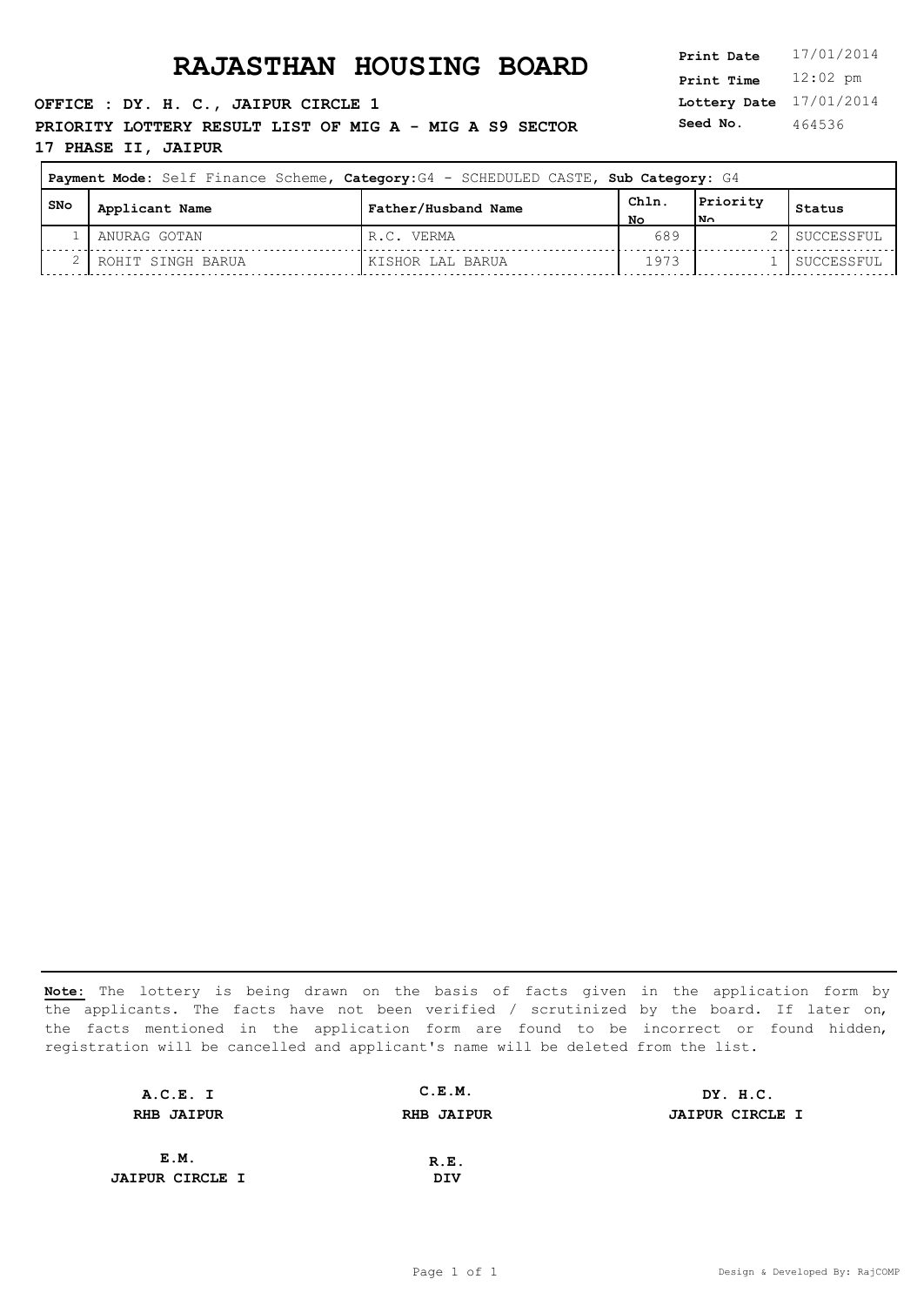**OFFICE : DY. H. C., JAIPUR CIRCLE 1 PRIORITY LOTTERY RESULT LIST OF MIG A - MIG A S9 SECTOR 17 PHASE II, JAIPUR**

**Lottery Date** 17/01/2014 **Print Time** 12:02 pm **Seed No.** 464536

| Payment Mode: Self Finance Scheme, Category: G4 - SCHEDULED CASTE, Sub Category: G4 |                   |                     |            |                  |            |
|-------------------------------------------------------------------------------------|-------------------|---------------------|------------|------------------|------------|
| l SNo                                                                               | Applicant Name    | Father/Husband Name | Chln<br>No | Priority<br>lN∩. | Status     |
|                                                                                     | ANURAG GOTAN      | R.C. VERMA          | 689        |                  | SUCCESSFUL |
|                                                                                     | ROHIT SINGH BARUA | KISHOR LAL BARUA    | 1973       |                  | SUCCESSFUL |

| A.C.E. I               | C.E.M.            | DY. H.C.               |
|------------------------|-------------------|------------------------|
| <b>RHB JAIPUR</b>      | <b>RHB JAIPUR</b> | <b>JAIPUR CIRCLE I</b> |
|                        |                   |                        |
| E.M.                   | R.E.              |                        |
| <b>JAIPUR CIRCLE I</b> | DIV               |                        |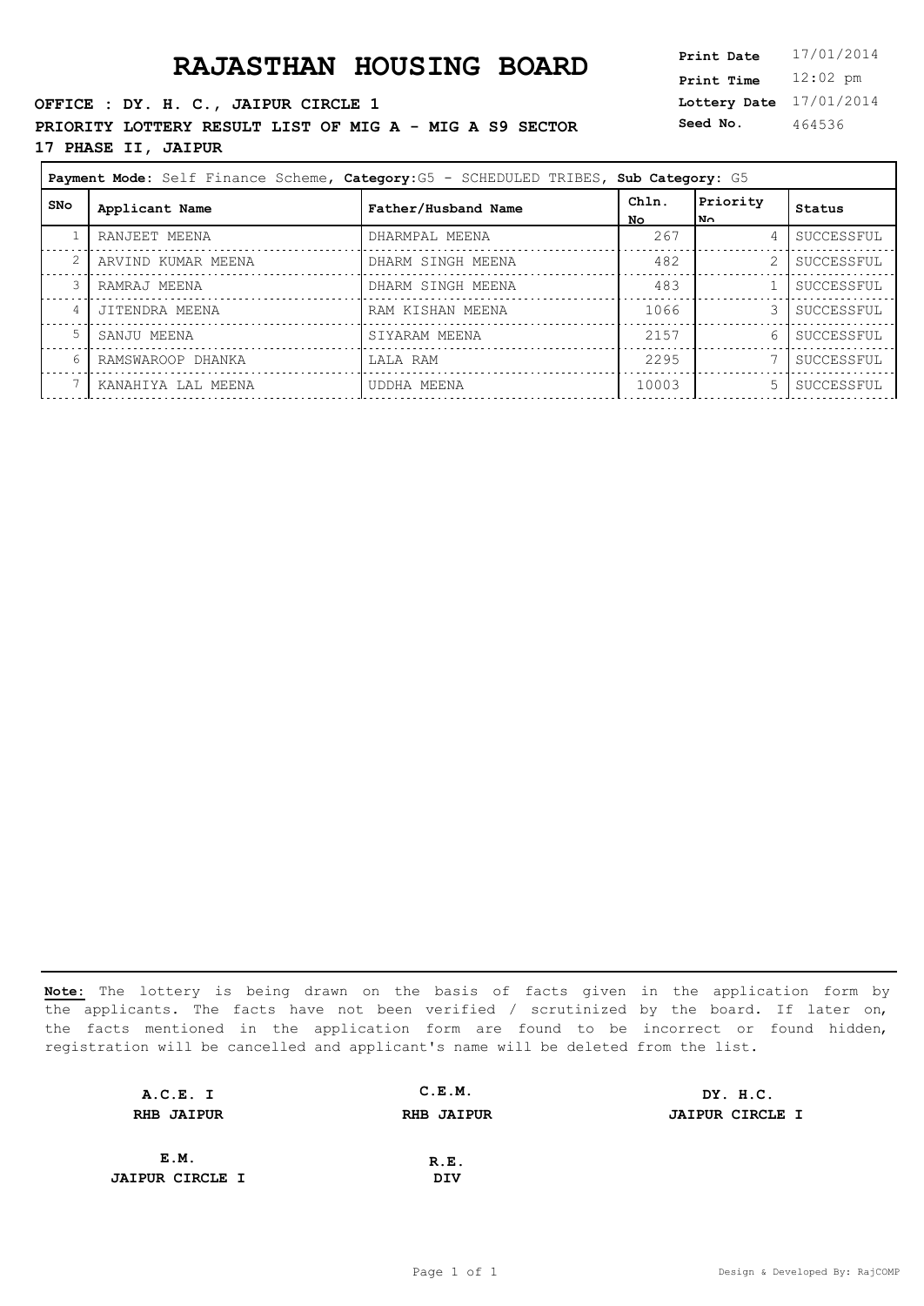**OFFICE : DY. H. C., JAIPUR CIRCLE 1 PRIORITY LOTTERY RESULT LIST OF MIG A - MIG A S9 SECTOR 17 PHASE II, JAIPUR**

**Lottery Date** 17/01/2014 **Print Time** 12:02 pm **Seed No.** 464536

| Payment Mode: Self Finance Scheme, Category: G5 - SCHEDULED TRIBES, Sub Category: G5 |                    |                     |             |                  |            |
|--------------------------------------------------------------------------------------|--------------------|---------------------|-------------|------------------|------------|
| SNo                                                                                  | Applicant Name     | Father/Husband Name | Chln.<br>No | Priority<br>lN∩. | Status     |
|                                                                                      | RANJEET MEENA      | DHARMPAL MEENA      | 267         | 4                | SUCCESSFUL |
| 2                                                                                    | ARVIND KUMAR MEENA | DHARM SINGH MEENA   | 482         | 2                | SUCCESSFUL |
| 3                                                                                    | RAMRAJ MEENA       | DHARM SINGH MEENA   | 483         |                  | SUCCESSFUL |
| 4                                                                                    | JITENDRA MEENA     | RAM KISHAN MEENA    | 1066        | 3                | SUCCESSFUL |
| 5                                                                                    | SANJU MEENA        | SIYARAM MEENA       | 2157        | 6                | SUCCESSFUL |
| 6                                                                                    | RAMSWAROOP DHANKA  | LALA RAM            | 2295        |                  | SUCCESSFUL |
|                                                                                      | KANAHIYA LAL MEENA | UDDHA MEENA         | 10003       | 5                | SUCCESSFUL |

| A.C.E. I               | C.E.M.            | DY. H.C.               |
|------------------------|-------------------|------------------------|
| <b>RHB JAIPUR</b>      | <b>RHB JAIPUR</b> | <b>JAIPUR CIRCLE I</b> |
|                        |                   |                        |
| E.M.                   | R.E.              |                        |
| <b>JAIPUR CIRCLE I</b> | DIV               |                        |